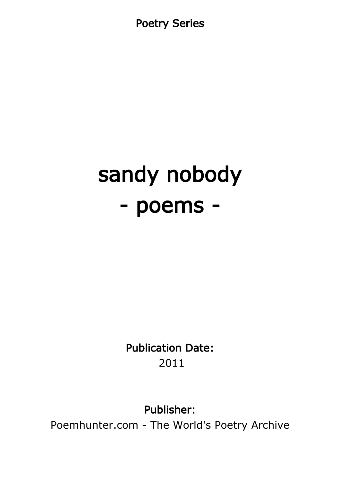Poetry Series

# sandy nobody - poems -

Publication Date: 2011

Publisher:

Poemhunter.com - The World's Poetry Archive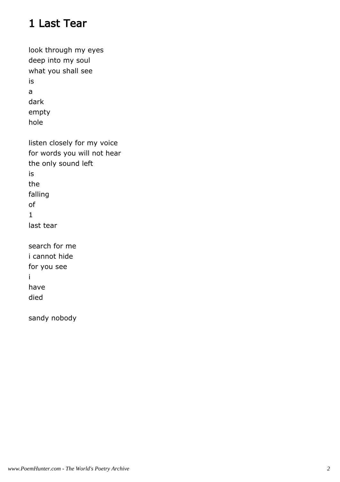# 1 Last Tear

| look through my eyes        |
|-----------------------------|
| deep into my soul           |
| what you shall see          |
| is                          |
| a                           |
| dark                        |
| empty                       |
| hole                        |
| listen closely for my voice |
| for words you will not hear |
| the only sound left         |
| is                          |
| the                         |
| falling                     |
| оf                          |
| $\mathbf{1}$                |
| last tear                   |
| search for me               |
| i cannot hide               |
| for you see                 |
| i                           |
| have                        |
| died                        |
| sandy nobody                |
|                             |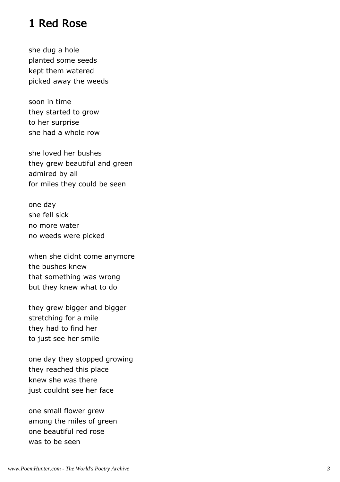#### 1 Red Rose

she dug a hole planted some seeds kept them watered picked away the weeds

soon in time they started to grow to her surprise she had a whole row

she loved her bushes they grew beautiful and green admired by all for miles they could be seen

one day she fell sick no more water no weeds were picked

when she didnt come anymore the bushes knew that something was wrong but they knew what to do

they grew bigger and bigger stretching for a mile they had to find her to just see her smile

one day they stopped growing they reached this place knew she was there just couldnt see her face

one small flower grew among the miles of green one beautiful red rose was to be seen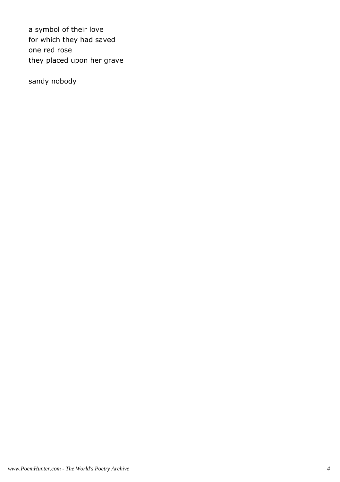a symbol of their love for which they had saved one red rose they placed upon her grave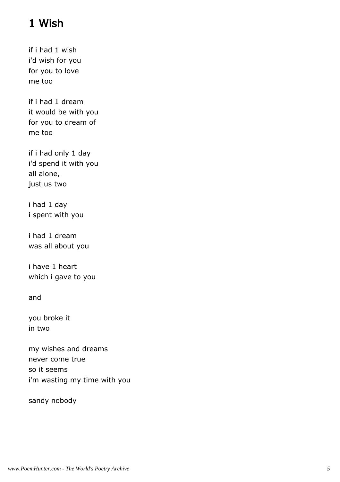# 1 Wish

if i had 1 wish i'd wish for you for you to love me too

if i had 1 dream it would be with you for you to dream of me too

if i had only 1 day i'd spend it with you all alone, just us two

i had 1 day i spent with you

i had 1 dream was all about you

i have 1 heart which i gave to you

and

you broke it in two

my wishes and dreams never come true so it seems i'm wasting my time with you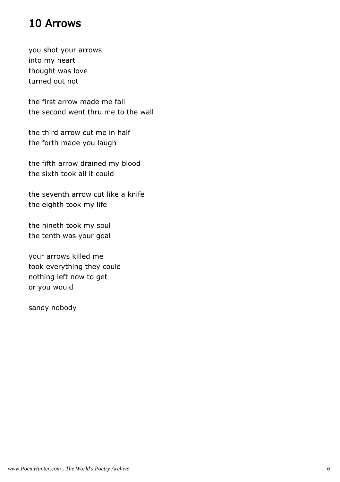#### 10 Arrows

you shot your arrows into my heart thought was love turned out not

the first arrow made me fall the second went thru me to the wall

the third arrow cut me in half the forth made you laugh

the fifth arrow drained my blood the sixth took all it could

the seventh arrow cut like a knife the eighth took my life

the nineth took my soul the tenth was your goal

your arrows killed me took everything they could nothing left now to get or you would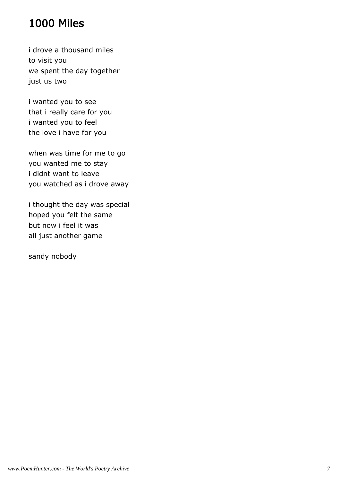# 1000 Miles

i drove a thousand miles to visit you we spent the day together just us two

i wanted you to see that i really care for you i wanted you to feel the love i have for you

when was time for me to go you wanted me to stay i didnt want to leave you watched as i drove away

i thought the day was special hoped you felt the same but now i feel it was all just another game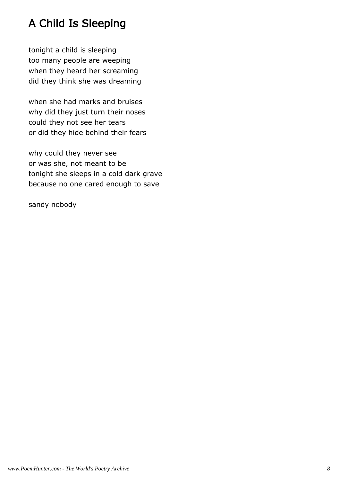# A Child Is Sleeping

tonight a child is sleeping too many people are weeping when they heard her screaming did they think she was dreaming

when she had marks and bruises why did they just turn their noses could they not see her tears or did they hide behind their fears

why could they never see or was she, not meant to be tonight she sleeps in a cold dark grave because no one cared enough to save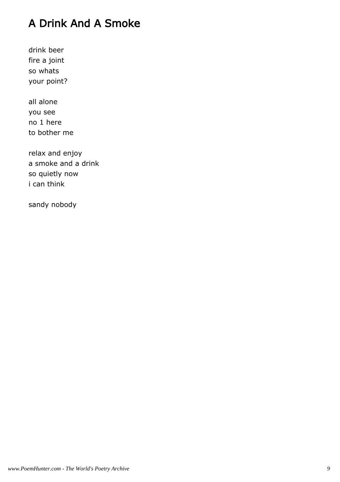# A Drink And A Smoke

drink beer fire a joint so whats your point?

all alone you see no 1 here to bother me

relax and enjoy a smoke and a drink so quietly now i can think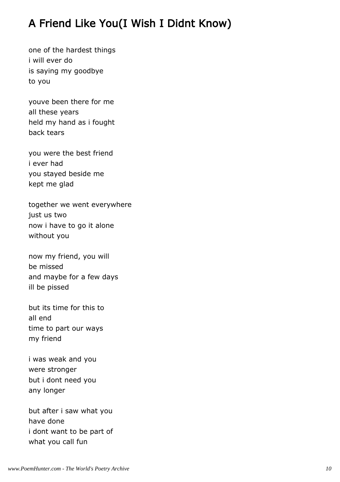# A Friend Like You(I Wish I Didnt Know)

one of the hardest things i will ever do is saying my goodbye to you

youve been there for me all these years held my hand as i fought back tears

you were the best friend i ever had you stayed beside me kept me glad

together we went everywhere just us two now i have to go it alone without you

now my friend, you will be missed and maybe for a few days ill be pissed

but its time for this to all end time to part our ways my friend

i was weak and you were stronger but i dont need you any longer

but after i saw what you have done i dont want to be part of what you call fun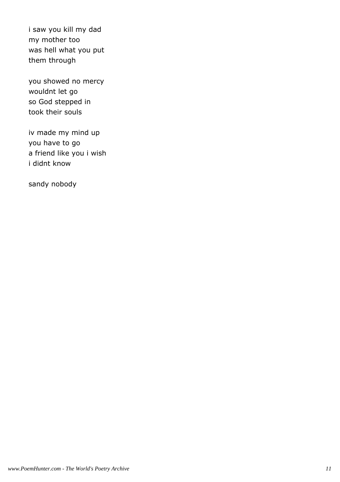i saw you kill my dad my mother too was hell what you put them through

you showed no mercy wouldnt let go so God stepped in took their souls

iv made my mind up you have to go a friend like you i wish i didnt know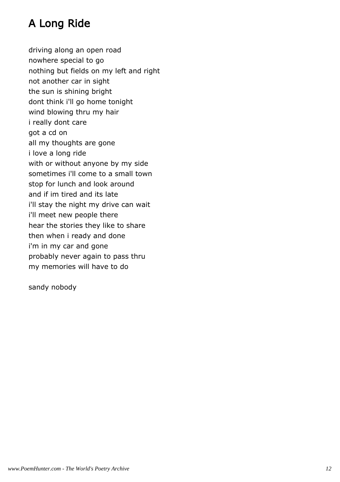# A Long Ride

driving along an open road nowhere special to go nothing but fields on my left and right not another car in sight the sun is shining bright dont think i'll go home tonight wind blowing thru my hair i really dont care got a cd on all my thoughts are gone i love a long ride with or without anyone by my side sometimes i'll come to a small town stop for lunch and look around and if im tired and its late i'll stay the night my drive can wait i'll meet new people there hear the stories they like to share then when i ready and done i'm in my car and gone probably never again to pass thru my memories will have to do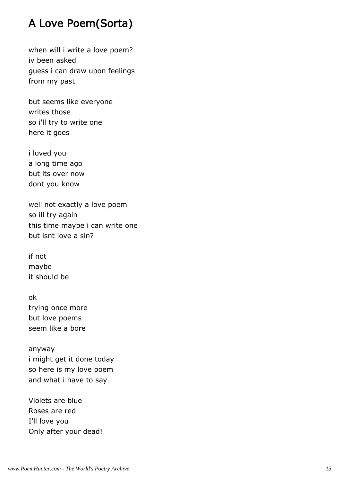# A Love Poem(Sorta)

when will i write a love poem? iv been asked guess i can draw upon feelings from my past

but seems like everyone writes those so i'll try to write one here it goes

i loved you a long time ago but its over now dont you know

well not exactly a love poem so ill try again this time maybe i can write one but isnt love a sin?

if not maybe it should be

ok trying once more but love poems seem like a bore

anyway i might get it done today so here is my love poem and what i have to say

Violets are blue Roses are red I'll love you Only after your dead!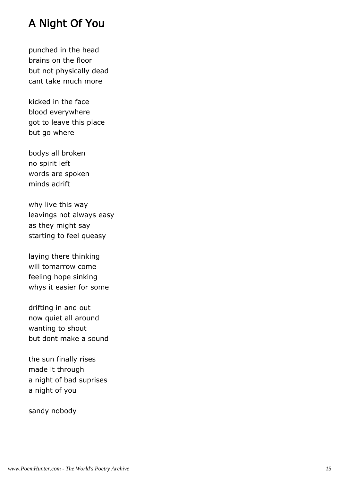#### A Night Of You

punched in the head brains on the floor but not physically dead cant take much more

kicked in the face blood everywhere got to leave this place but go where

bodys all broken no spirit left words are spoken minds adrift

why live this way leavings not always easy as they might say starting to feel queasy

laying there thinking will tomarrow come feeling hope sinking whys it easier for some

drifting in and out now quiet all around wanting to shout but dont make a sound

the sun finally rises made it through a night of bad suprises a night of you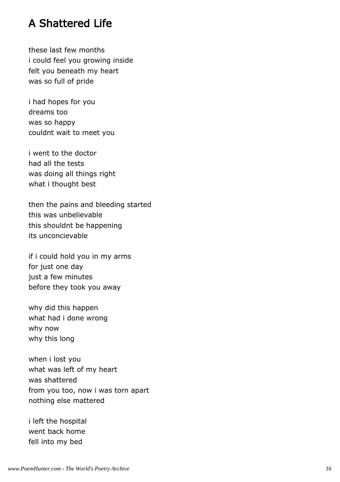#### A Shattered Life

these last few months i could feel you growing inside felt you beneath my heart was so full of pride

i had hopes for you dreams too was so happy couldnt wait to meet you

i went to the doctor had all the tests was doing all things right what i thought best

then the pains and bleeding started this was unbelievable this shouldnt be happening its unconcievable

if i could hold you in my arms for just one day just a few minutes before they took you away

why did this happen what had i done wrong why now why this long

when i lost you what was left of my heart was shattered from you too, now i was torn apart nothing else mattered

i left the hospital went back home fell into my bed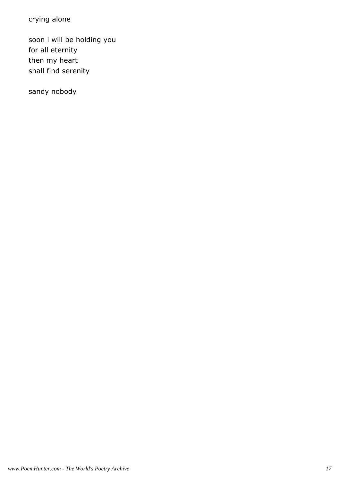crying alone

soon i will be holding you for all eternity then my heart shall find serenity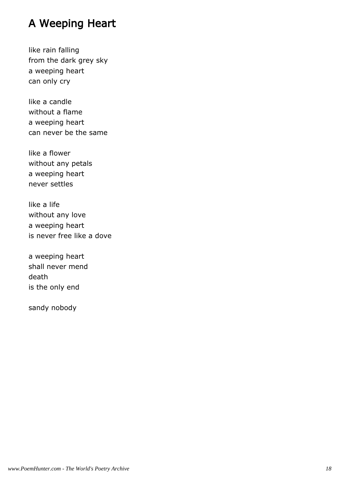#### A Weeping Heart

like rain falling from the dark grey sky a weeping heart can only cry

like a candle without a flame a weeping heart can never be the same

like a flower without any petals a weeping heart never settles

like a life without any love a weeping heart is never free like a dove

a weeping heart shall never mend death is the only end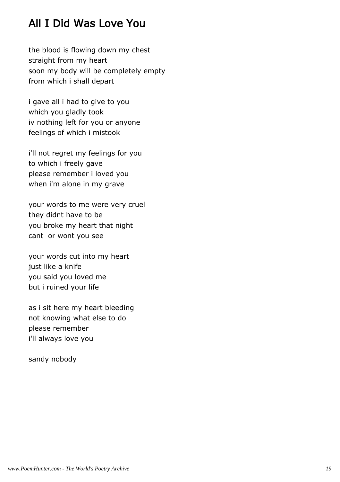# All I Did Was Love You

the blood is flowing down my chest straight from my heart soon my body will be completely empty from which i shall depart

i gave all i had to give to you which you gladly took iv nothing left for you or anyone feelings of which i mistook

i'll not regret my feelings for you to which i freely gave please remember i loved you when i'm alone in my grave

your words to me were very cruel they didnt have to be you broke my heart that night cant or wont you see

your words cut into my heart just like a knife you said you loved me but i ruined your life

as i sit here my heart bleeding not knowing what else to do please remember i'll always love you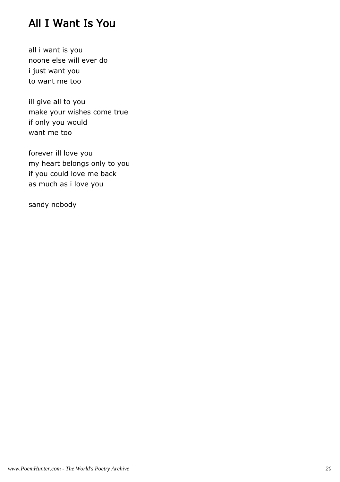# All I Want Is You

all i want is you noone else will ever do i just want you to want me too

ill give all to you make your wishes come true if only you would want me too

forever ill love you my heart belongs only to you if you could love me back as much as i love you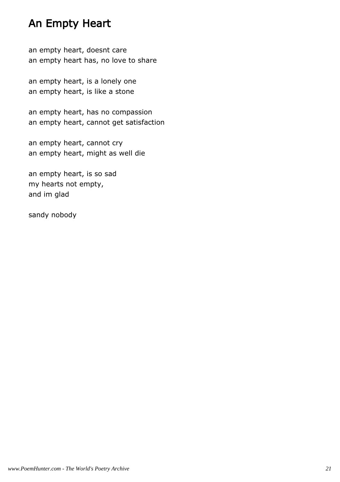#### An Empty Heart

an empty heart, doesnt care an empty heart has, no love to share

an empty heart, is a lonely one an empty heart, is like a stone

an empty heart, has no compassion an empty heart, cannot get satisfaction

an empty heart, cannot cry an empty heart, might as well die

an empty heart, is so sad my hearts not empty, and im glad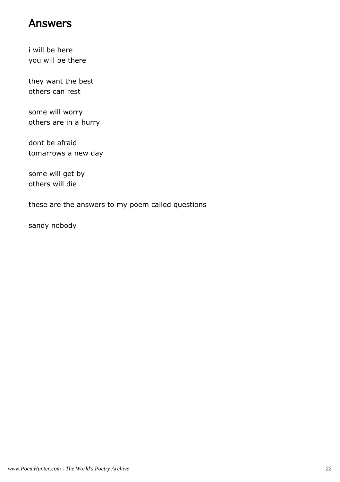#### Answers

i will be here you will be there

they want the best others can rest

some will worry others are in a hurry

dont be afraid tomarrows a new day

some will get by others will die

these are the answers to my poem called questions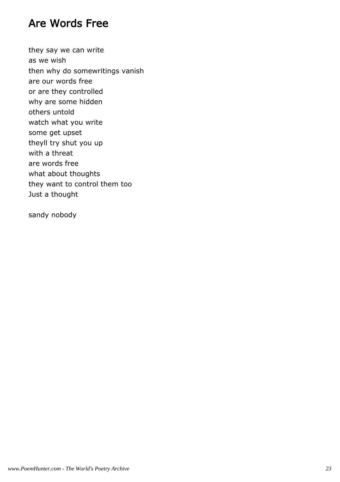#### Are Words Free

they say we can write as we wish then why do somewritings vanish are our words free or are they controlled why are some hidden others untold watch what you write some get upset theyll try shut you up with a threat are words free what about thoughts they want to control them too Just a thought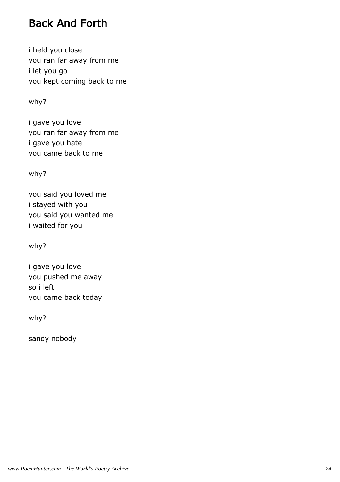### Back And Forth

i held you close you ran far away from me i let you go you kept coming back to me

why?

i gave you love you ran far away from me i gave you hate you came back to me

why?

you said you loved me i stayed with you you said you wanted me i waited for you

why?

i gave you love you pushed me away so i left you came back today

why?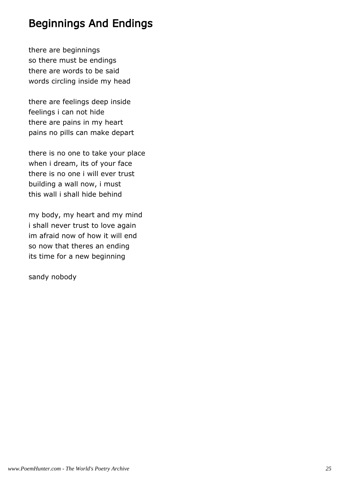# Beginnings And Endings

there are beginnings so there must be endings there are words to be said words circling inside my head

there are feelings deep inside feelings i can not hide there are pains in my heart pains no pills can make depart

there is no one to take your place when i dream, its of your face there is no one i will ever trust building a wall now, i must this wall i shall hide behind

my body, my heart and my mind i shall never trust to love again im afraid now of how it will end so now that theres an ending its time for a new beginning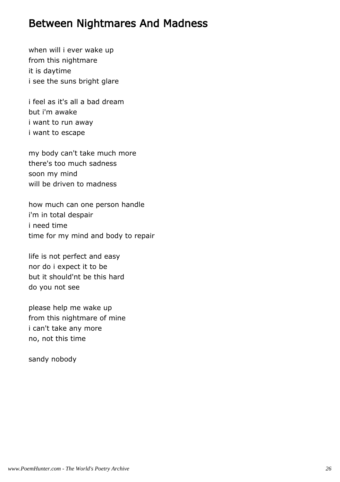#### Between Nightmares And Madness

when will i ever wake up from this nightmare it is daytime i see the suns bright glare

i feel as it's all a bad dream but i'm awake i want to run away i want to escape

my body can't take much more there's too much sadness soon my mind will be driven to madness

how much can one person handle i'm in total despair i need time time for my mind and body to repair

life is not perfect and easy nor do i expect it to be but it should'nt be this hard do you not see

please help me wake up from this nightmare of mine i can't take any more no, not this time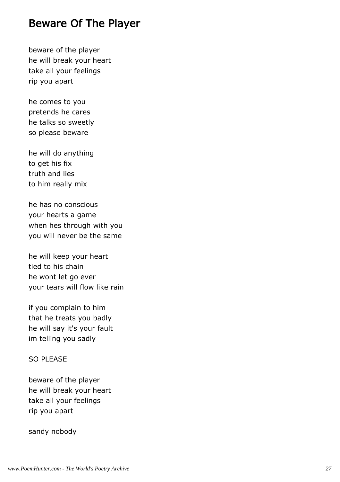#### Beware Of The Player

beware of the player he will break your heart take all your feelings rip you apart

he comes to you pretends he cares he talks so sweetly so please beware

he will do anything to get his fix truth and lies to him really mix

he has no conscious your hearts a game when hes through with you you will never be the same

he will keep your heart tied to his chain he wont let go ever your tears will flow like rain

if you complain to him that he treats you badly he will say it's your fault im telling you sadly

#### SO PLEASE

beware of the player he will break your heart take all your feelings rip you apart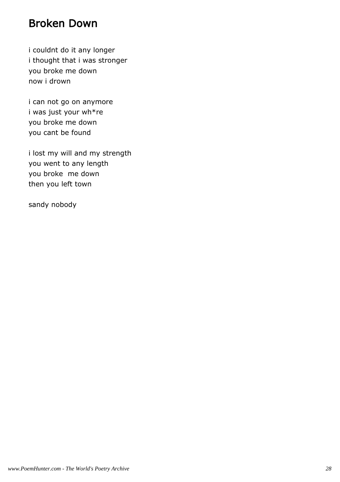#### Broken Down

i couldnt do it any longer i thought that i was stronger you broke me down now i drown

i can not go on anymore i was just your wh\*re you broke me down you cant be found

i lost my will and my strength you went to any length you broke me down then you left town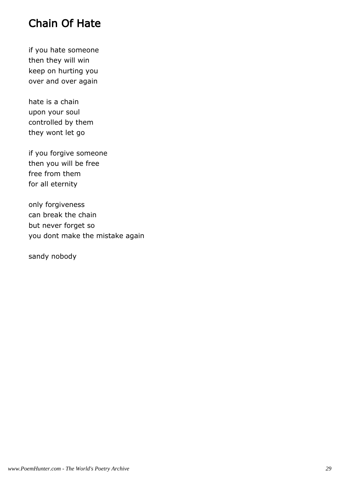## Chain Of Hate

if you hate someone then they will win keep on hurting you over and over again

hate is a chain upon your soul controlled by them they wont let go

if you forgive someone then you will be free free from them for all eternity

only forgiveness can break the chain but never forget so you dont make the mistake again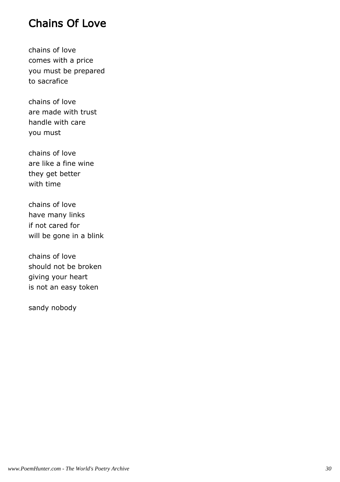#### Chains Of Love

chains of love comes with a price you must be prepared to sacrafice

chains of love are made with trust handle with care you must

chains of love are like a fine wine they get better with time

chains of love have many links if not cared for will be gone in a blink

chains of love should not be broken giving your heart is not an easy token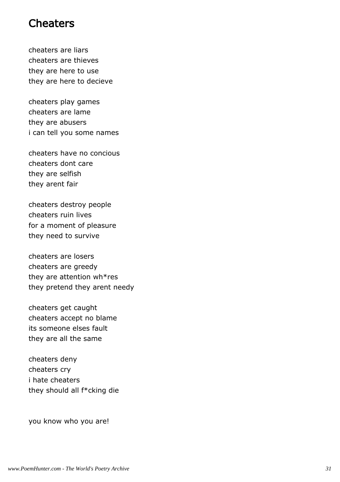#### **Cheaters**

cheaters are liars cheaters are thieves they are here to use they are here to decieve

cheaters play games cheaters are lame they are abusers i can tell you some names

cheaters have no concious cheaters dont care they are selfish they arent fair

cheaters destroy people cheaters ruin lives for a moment of pleasure they need to survive

cheaters are losers cheaters are greedy they are attention wh\*res they pretend they arent needy

cheaters get caught cheaters accept no blame its someone elses fault they are all the same

cheaters deny cheaters cry i hate cheaters they should all f\*cking die

you know who you are!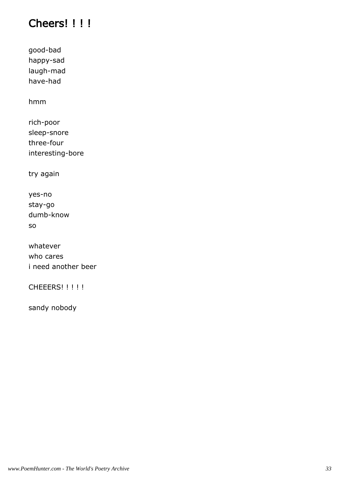# Cheers! !!!

good-bad happy-sad laugh-mad have-had

hmm

rich-poor sleep-snore three-four interesting-bore

try again

yes-no stay-go dumb-know so

whatever who cares i need another beer

CHEEERS! !!!!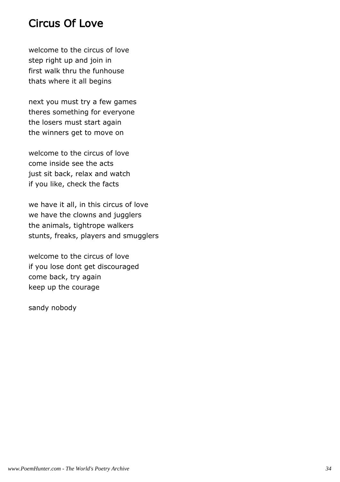#### Circus Of Love

welcome to the circus of love step right up and join in first walk thru the funhouse thats where it all begins

next you must try a few games theres something for everyone the losers must start again the winners get to move on

welcome to the circus of love come inside see the acts just sit back, relax and watch if you like, check the facts

we have it all, in this circus of love we have the clowns and jugglers the animals, tightrope walkers stunts, freaks, players and smugglers

welcome to the circus of love if you lose dont get discouraged come back, try again keep up the courage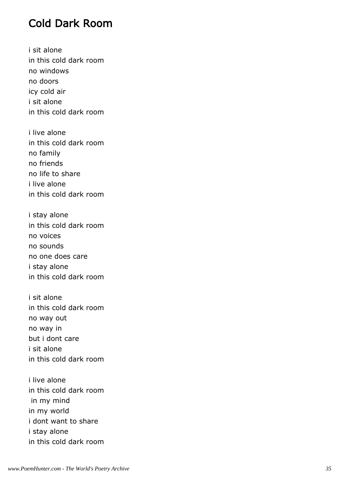#### Cold Dark Room

i sit alone in this cold dark room no windows no doors icy cold air i sit alone in this cold dark room

i live alone in this cold dark room no family no friends no life to share i live alone in this cold dark room

i stay alone in this cold dark room no voices no sounds no one does care i stay alone in this cold dark room

i sit alone in this cold dark room no way out no way in but i dont care i sit alone in this cold dark room

i live alone in this cold dark room in my mind in my world i dont want to share i stay alone in this cold dark room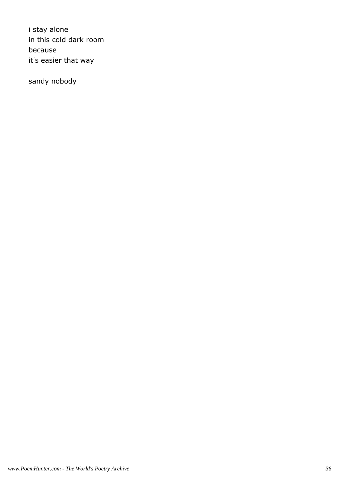i stay alone in this cold dark room because it's easier that way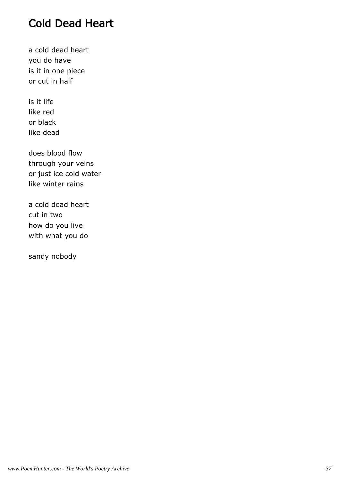# Cold Dead Heart

a cold dead heart you do have is it in one piece or cut in half

is it life like red or black like dead

does blood flow through your veins or just ice cold water like winter rains

a cold dead heart cut in two how do you live with what you do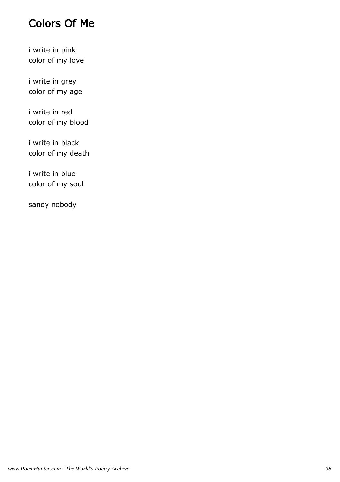# Colors Of Me

i write in pink color of my love

i write in grey color of my age

i write in red color of my blood

i write in black color of my death

i write in blue color of my soul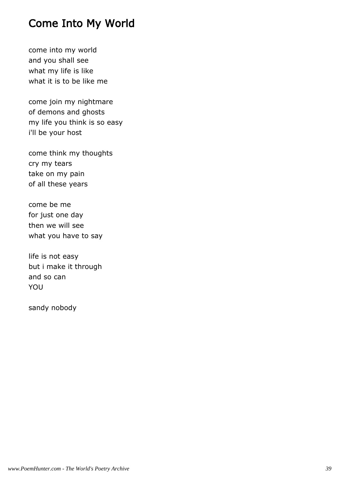# Come Into My World

come into my world and you shall see what my life is like what it is to be like me

come join my nightmare of demons and ghosts my life you think is so easy i'll be your host

come think my thoughts cry my tears take on my pain of all these years

come be me for just one day then we will see what you have to say

life is not easy but i make it through and so can YOU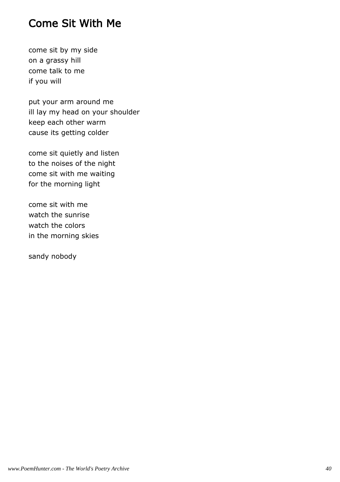# Come Sit With Me

come sit by my side on a grassy hill come talk to me if you will

put your arm around me ill lay my head on your shoulder keep each other warm cause its getting colder

come sit quietly and listen to the noises of the night come sit with me waiting for the morning light

come sit with me watch the sunrise watch the colors in the morning skies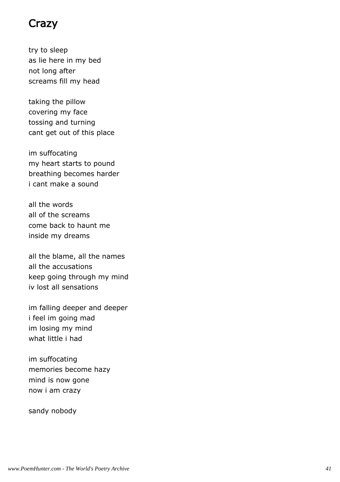#### Crazy

try to sleep as lie here in my bed not long after screams fill my head

taking the pillow covering my face tossing and turning cant get out of this place

im suffocating my heart starts to pound breathing becomes harder i cant make a sound

all the words all of the screams come back to haunt me inside my dreams

all the blame, all the names all the accusations keep going through my mind iv lost all sensations

im falling deeper and deeper i feel im going mad im losing my mind what little i had

im suffocating memories become hazy mind is now gone now i am crazy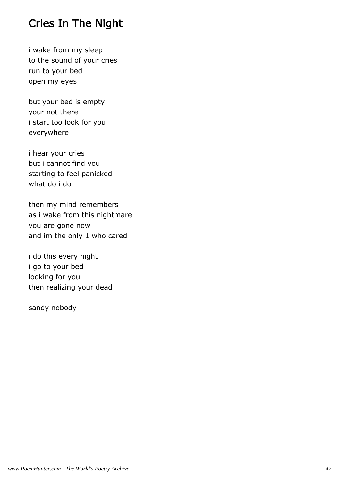# Cries In The Night

i wake from my sleep to the sound of your cries run to your bed open my eyes

but your bed is empty your not there i start too look for you everywhere

i hear your cries but i cannot find you starting to feel panicked what do i do

then my mind remembers as i wake from this nightmare you are gone now and im the only 1 who cared

i do this every night i go to your bed looking for you then realizing your dead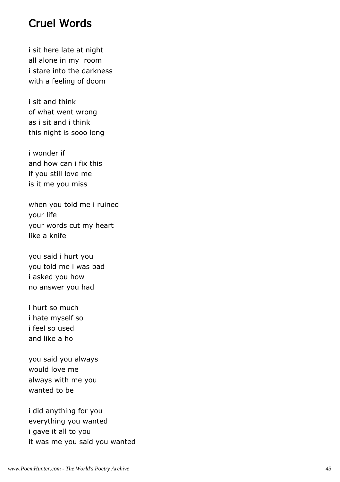#### Cruel Words

i sit here late at night all alone in my room i stare into the darkness with a feeling of doom

i sit and think of what went wrong as i sit and i think this night is sooo long

i wonder if and how can i fix this if you still love me is it me you miss

when you told me i ruined your life your words cut my heart like a knife

you said i hurt you you told me i was bad i asked you how no answer you had

i hurt so much i hate myself so i feel so used and like a ho

you said you always would love me always with me you wanted to be

i did anything for you everything you wanted i gave it all to you it was me you said you wanted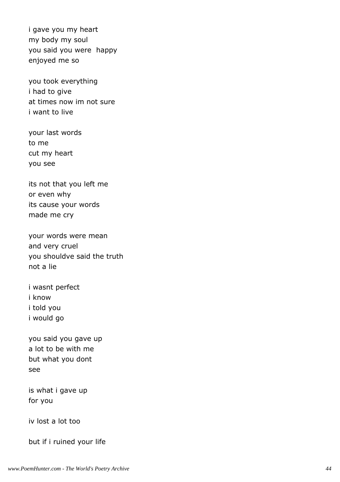i gave you my heart my body my soul you said you were happy enjoyed me so

you took everything i had to give at times now im not sure i want to live

your last words to me cut my heart you see

its not that you left me or even why its cause your words made me cry

your words were mean and very cruel you shouldve said the truth not a lie

i wasnt perfect i know i told you i would go

you said you gave up a lot to be with me but what you dont see

is what i gave up for you

iv lost a lot too

but if i ruined your life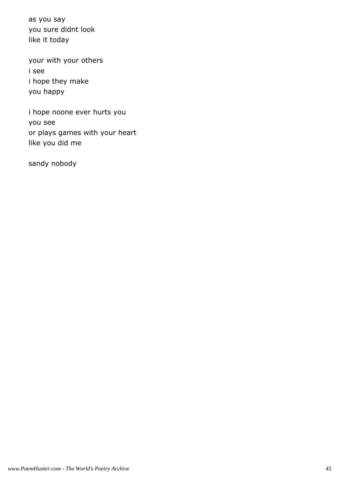as you say you sure didnt look like it today

your with your others i see i hope they make you happy

i hope noone ever hurts you you see or plays games with your heart like you did me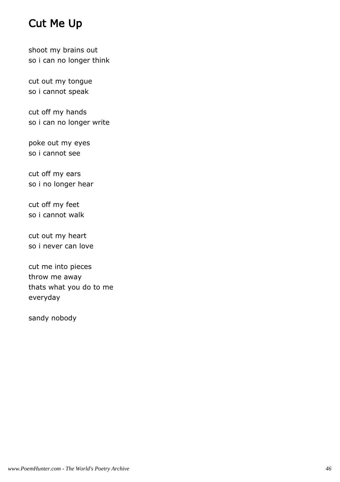# Cut Me Up

shoot my brains out so i can no longer think

cut out my tongue so i cannot speak

cut off my hands so i can no longer write

poke out my eyes so i cannot see

cut off my ears so i no longer hear

cut off my feet so i cannot walk

cut out my heart so i never can love

cut me into pieces throw me away thats what you do to me everyday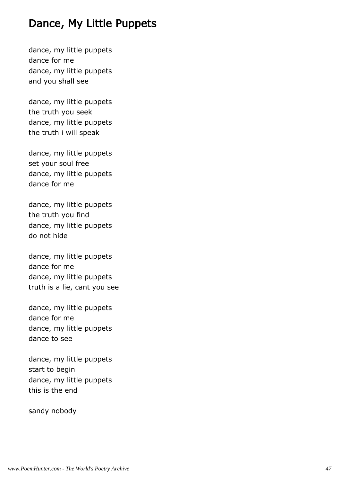# Dance, My Little Puppets

dance, my little puppets dance for me dance, my little puppets and you shall see

dance, my little puppets the truth you seek dance, my little puppets the truth i will speak

dance, my little puppets set your soul free dance, my little puppets dance for me

dance, my little puppets the truth you find dance, my little puppets do not hide

dance, my little puppets dance for me dance, my little puppets truth is a lie, cant you see

dance, my little puppets dance for me dance, my little puppets dance to see

dance, my little puppets start to begin dance, my little puppets this is the end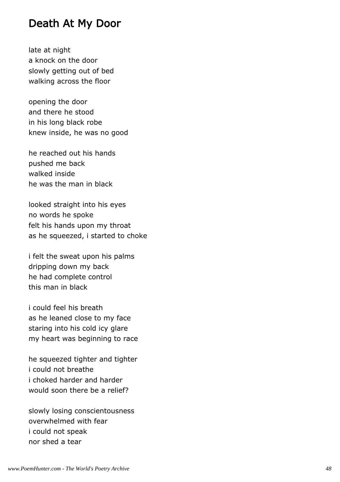#### Death At My Door

late at night a knock on the door slowly getting out of bed walking across the floor

opening the door and there he stood in his long black robe knew inside, he was no good

he reached out his hands pushed me back walked inside he was the man in black

looked straight into his eyes no words he spoke felt his hands upon my throat as he squeezed, i started to choke

i felt the sweat upon his palms dripping down my back he had complete control this man in black

i could feel his breath as he leaned close to my face staring into his cold icy glare my heart was beginning to race

he squeezed tighter and tighter i could not breathe i choked harder and harder would soon there be a relief?

slowly losing conscientousness overwhelmed with fear i could not speak nor shed a tear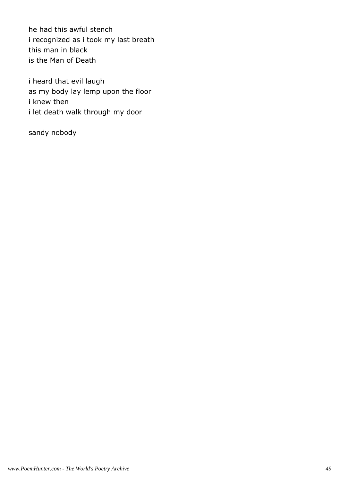he had this awful stench i recognized as i took my last breath this man in black is the Man of Death

i heard that evil laugh as my body lay lemp upon the floor i knew then i let death walk through my door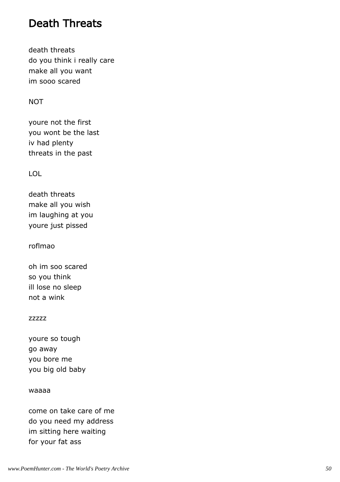# Death Threats

death threats do you think i really care make all you want im sooo scared

#### **NOT**

youre not the first you wont be the last iv had plenty threats in the past

#### LOL

death threats make all you wish im laughing at you youre just pissed

roflmao

oh im soo scared so you think ill lose no sleep not a wink

#### zzzzz

youre so tough go away you bore me you big old baby

#### waaaa

come on take care of me do you need my address im sitting here waiting for your fat ass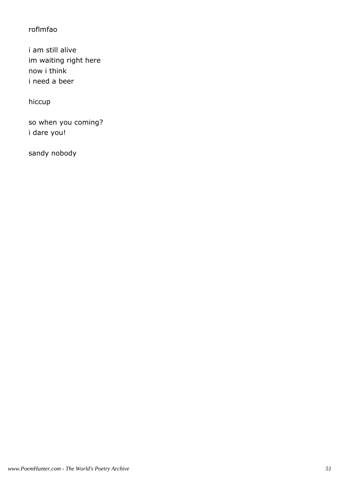#### roflmfao

i am still alive im waiting right here now i think i need a beer

hiccup

so when you coming? i dare you!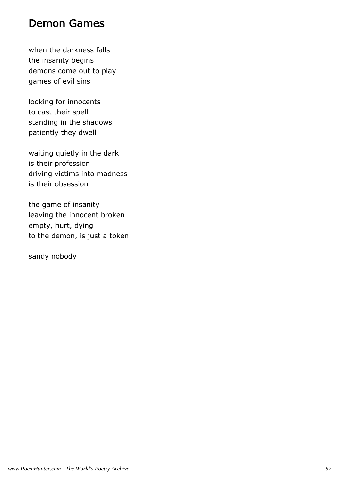### Demon Games

when the darkness falls the insanity begins demons come out to play games of evil sins

looking for innocents to cast their spell standing in the shadows patiently they dwell

waiting quietly in the dark is their profession driving victims into madness is their obsession

the game of insanity leaving the innocent broken empty, hurt, dying to the demon, is just a token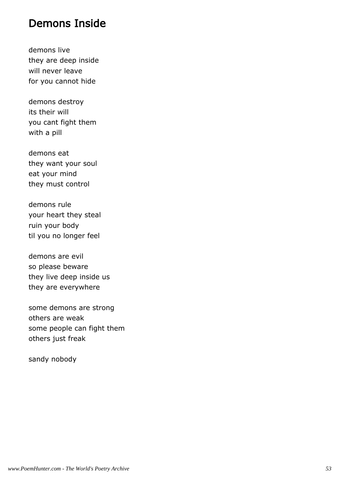#### Demons Inside

demons live they are deep inside will never leave for you cannot hide

demons destroy its their will you cant fight them with a pill

demons eat they want your soul eat your mind they must control

demons rule your heart they steal ruin your body til you no longer feel

demons are evil so please beware they live deep inside us they are everywhere

some demons are strong others are weak some people can fight them others just freak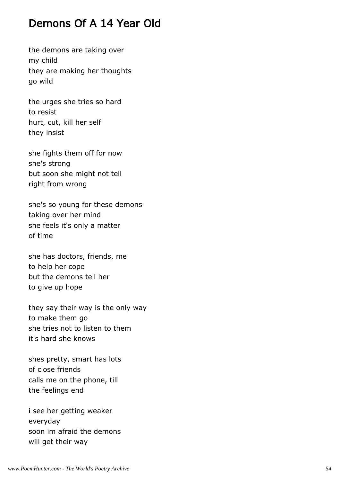# Demons Of A 14 Year Old

the demons are taking over my child they are making her thoughts go wild

the urges she tries so hard to resist hurt, cut, kill her self they insist

she fights them off for now she's strong but soon she might not tell right from wrong

she's so young for these demons taking over her mind she feels it's only a matter of time

she has doctors, friends, me to help her cope but the demons tell her to give up hope

they say their way is the only way to make them go she tries not to listen to them it's hard she knows

shes pretty, smart has lots of close friends calls me on the phone, till the feelings end

i see her getting weaker everyday soon im afraid the demons will get their way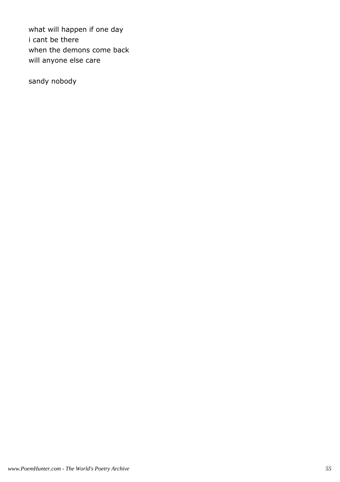what will happen if one day i cant be there when the demons come back will anyone else care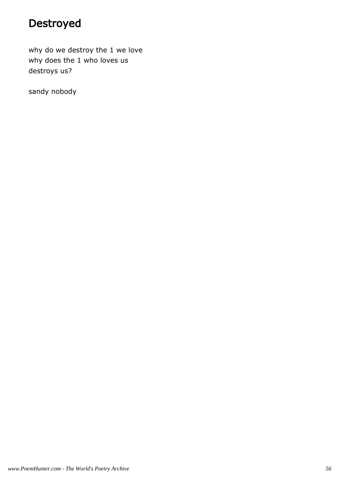# Destroyed

why do we destroy the 1 we love why does the 1 who loves us destroys us?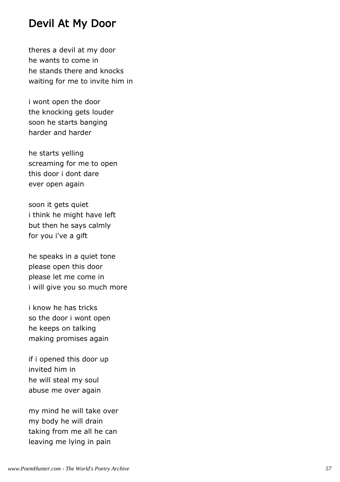### Devil At My Door

theres a devil at my door he wants to come in he stands there and knocks waiting for me to invite him in

i wont open the door the knocking gets louder soon he starts banging harder and harder

he starts yelling screaming for me to open this door i dont dare ever open again

soon it gets quiet i think he might have left but then he says calmly for you i've a gift

he speaks in a quiet tone please open this door please let me come in i will give you so much more

i know he has tricks so the door i wont open he keeps on talking making promises again

if i opened this door up invited him in he will steal my soul abuse me over again

my mind he will take over my body he will drain taking from me all he can leaving me lying in pain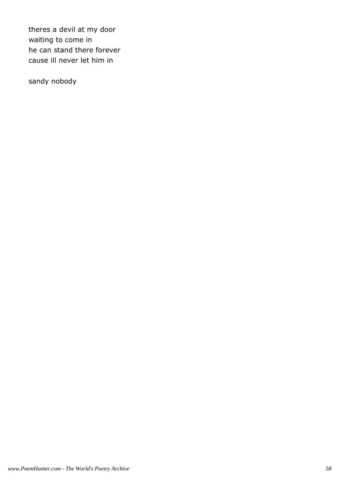theres a devil at my door waiting to come in he can stand there forever cause ill never let him in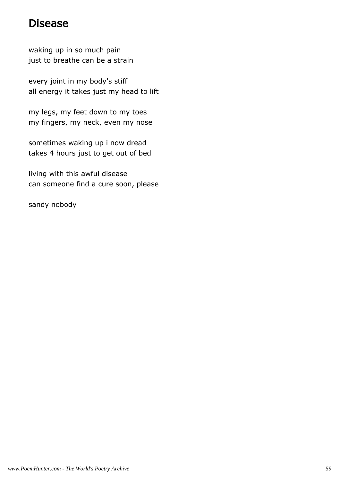# Disease

waking up in so much pain just to breathe can be a strain

every joint in my body's stiff all energy it takes just my head to lift

my legs, my feet down to my toes my fingers, my neck, even my nose

sometimes waking up i now dread takes 4 hours just to get out of bed

living with this awful disease can someone find a cure soon, please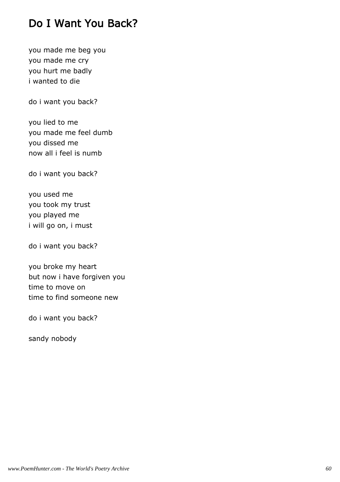# Do I Want You Back?

you made me beg you you made me cry you hurt me badly i wanted to die

do i want you back?

you lied to me you made me feel dumb you dissed me now all i feel is numb

do i want you back?

you used me you took my trust you played me i will go on, i must

do i want you back?

you broke my heart but now i have forgiven you time to move on time to find someone new

do i want you back?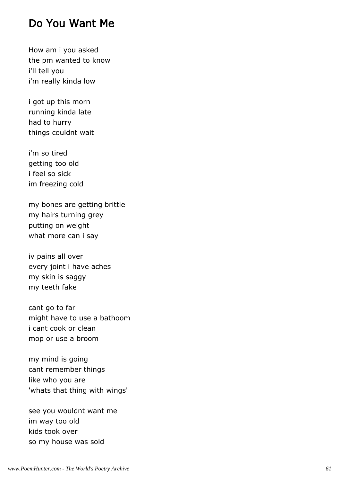#### Do You Want Me

How am i you asked the pm wanted to know i'll tell you i'm really kinda low

i got up this morn running kinda late had to hurry things couldnt wait

i'm so tired getting too old i feel so sick im freezing cold

my bones are getting brittle my hairs turning grey putting on weight what more can i say

iv pains all over every joint i have aches my skin is saggy my teeth fake

cant go to far might have to use a bathoom i cant cook or clean mop or use a broom

my mind is going cant remember things like who you are 'whats that thing with wings'

see you wouldnt want me im way too old kids took over so my house was sold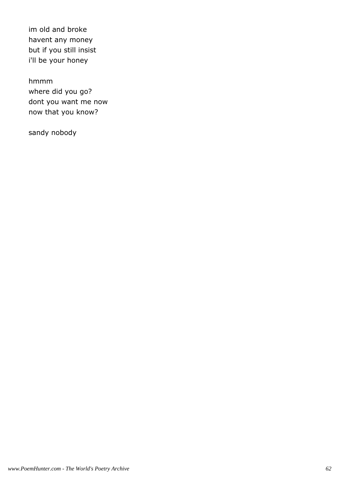im old and broke havent any money but if you still insist i'll be your honey

hmmm where did you go? dont you want me now now that you know?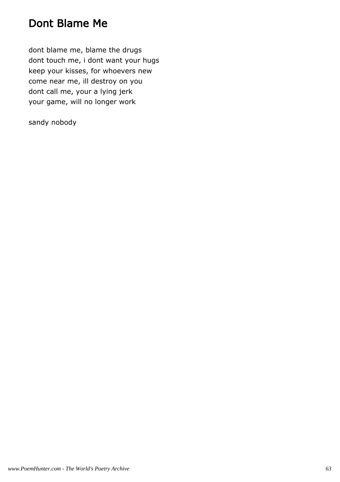# Dont Blame Me

dont blame me, blame the drugs dont touch me, i dont want your hugs keep your kisses, for whoevers new come near me, ill destroy on you dont call me, your a lying jerk your game, will no longer work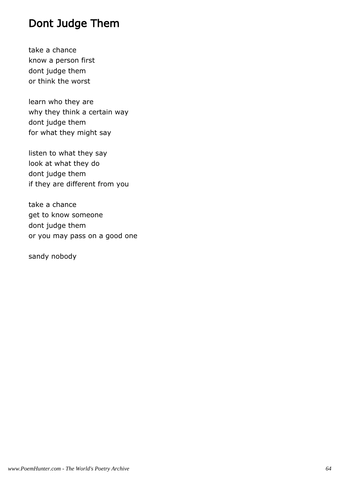# Dont Judge Them

take a chance know a person first dont judge them or think the worst

learn who they are why they think a certain way dont judge them for what they might say

listen to what they say look at what they do dont judge them if they are different from you

take a chance get to know someone dont judge them or you may pass on a good one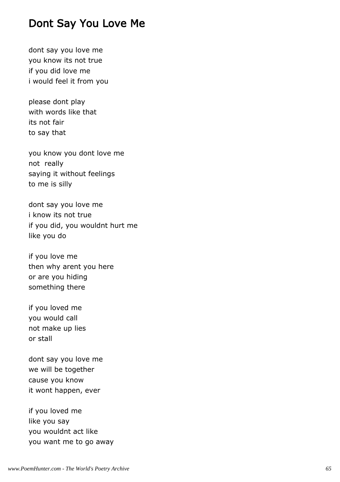### Dont Say You Love Me

dont say you love me you know its not true if you did love me i would feel it from you

please dont play with words like that its not fair to say that

you know you dont love me not really saying it without feelings to me is silly

dont say you love me i know its not true if you did, you wouldnt hurt me like you do

if you love me then why arent you here or are you hiding something there

if you loved me you would call not make up lies or stall

dont say you love me we will be together cause you know it wont happen, ever

if you loved me like you say you wouldnt act like you want me to go away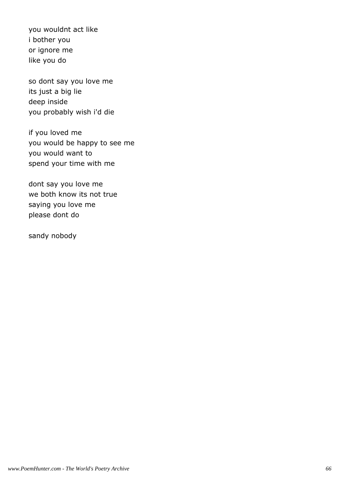you wouldnt act like i bother you or ignore me like you do

so dont say you love me its just a big lie deep inside you probably wish i'd die

if you loved me you would be happy to see me you would want to spend your time with me

dont say you love me we both know its not true saying you love me please dont do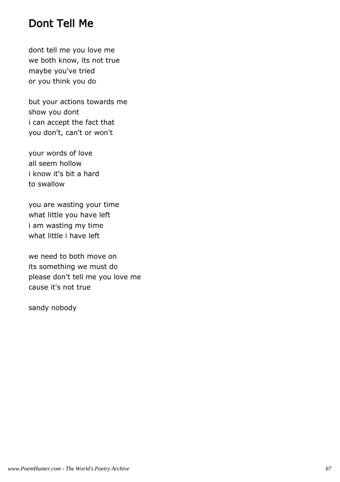# Dont Tell Me

dont tell me you love me we both know, its not true maybe you've tried or you think you do

but your actions towards me show you dont i can accept the fact that you don't, can't or won't

your words of love all seem hollow i know it's bit a hard to swallow

you are wasting your time what little you have left i am wasting my time what little i have left

we need to both move on its something we must do please don't tell me you love me cause it's not true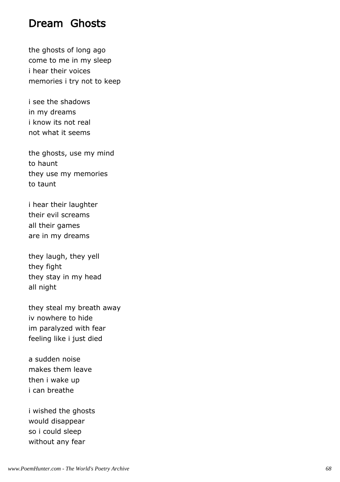#### Dream Ghosts

the ghosts of long ago come to me in my sleep i hear their voices memories i try not to keep

i see the shadows in my dreams i know its not real not what it seems

the ghosts, use my mind to haunt they use my memories to taunt

i hear their laughter their evil screams all their games are in my dreams

they laugh, they yell they fight they stay in my head all night

they steal my breath away iv nowhere to hide im paralyzed with fear feeling like i just died

a sudden noise makes them leave then i wake up i can breathe

i wished the ghosts would disappear so i could sleep without any fear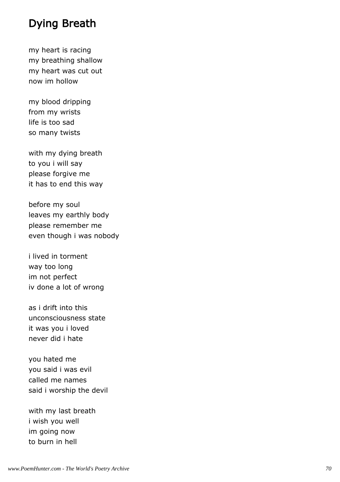# Dying Breath

my heart is racing my breathing shallow my heart was cut out now im hollow

my blood dripping from my wrists life is too sad so many twists

with my dying breath to you i will say please forgive me it has to end this way

before my soul leaves my earthly body please remember me even though i was nobody

i lived in torment way too long im not perfect iv done a lot of wrong

as i drift into this unconsciousness state it was you i loved never did i hate

you hated me you said i was evil called me names said i worship the devil

with my last breath i wish you well im going now to burn in hell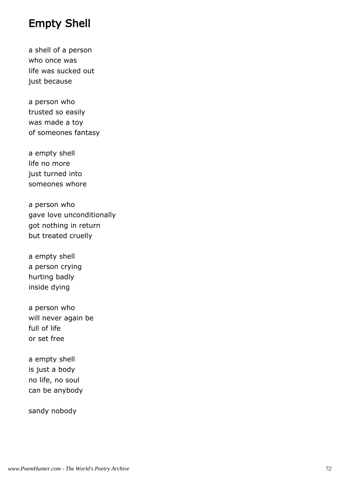## Empty Shell

a shell of a person who once was life was sucked out just because

a person who trusted so easily was made a toy of someones fantasy

a empty shell life no more just turned into someones whore

a person who gave love unconditionally got nothing in return but treated cruelly

a empty shell a person crying hurting badly inside dying

a person who will never again be full of life or set free

a empty shell is just a body no life, no soul can be anybody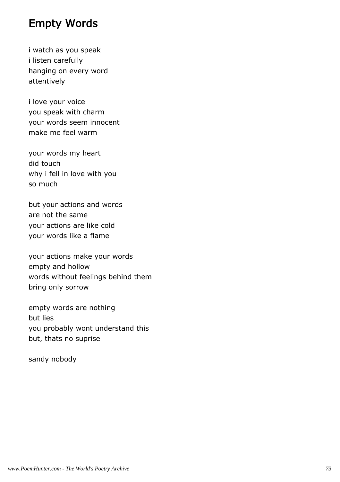## Empty Words

i watch as you speak i listen carefully hanging on every word attentively

i love your voice you speak with charm your words seem innocent make me feel warm

your words my heart did touch why i fell in love with you so much

but your actions and words are not the same your actions are like cold your words like a flame

your actions make your words empty and hollow words without feelings behind them bring only sorrow

empty words are nothing but lies you probably wont understand this but, thats no suprise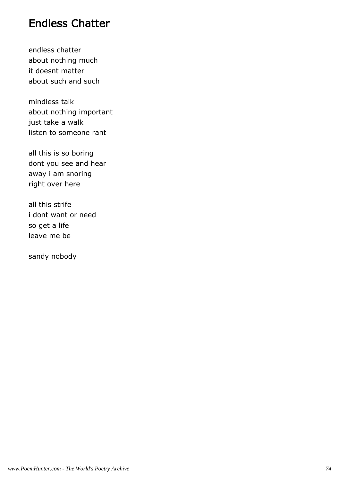## Endless Chatter

endless chatter about nothing much it doesnt matter about such and such

mindless talk about nothing important just take a walk listen to someone rant

all this is so boring dont you see and hear away i am snoring right over here

all this strife i dont want or need so get a life leave me be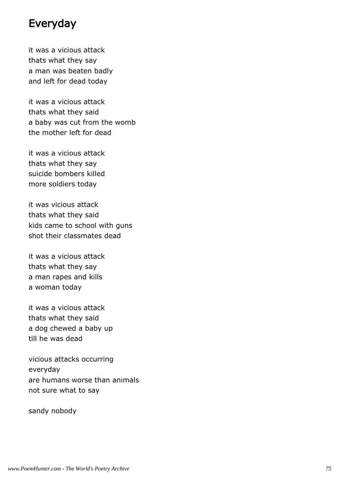## Everyday

it was a vicious attack thats what they say a man was beaten badly and left for dead today

it was a vicious attack thats what they said a baby was cut from the womb the mother left for dead

it was a vicious attack thats what they say suicide bombers killed more soldiers today

it was vicious attack thats what they said kids came to school with guns shot their classmates dead

it was a vicious attack thats what they say a man rapes and kills a woman today

it was a vicious attack thats what they said a dog chewed a baby up till he was dead

vicious attacks occurring everyday are humans worse than animals not sure what to say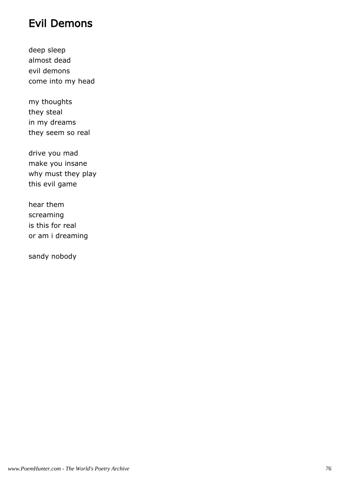# Evil Demons

deep sleep almost dead evil demons come into my head

my thoughts they steal in my dreams they seem so real

drive you mad make you insane why must they play this evil game

hear them screaming is this for real or am i dreaming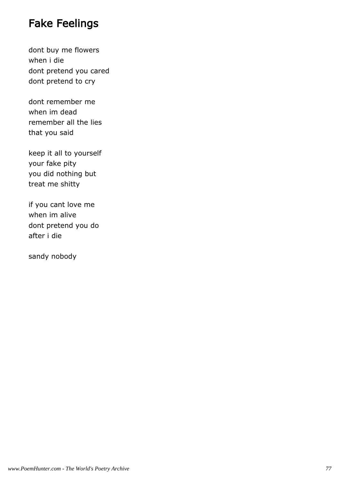# Fake Feelings

dont buy me flowers when i die dont pretend you cared dont pretend to cry

dont remember me when im dead remember all the lies that you said

keep it all to yourself your fake pity you did nothing but treat me shitty

if you cant love me when im alive dont pretend you do after i die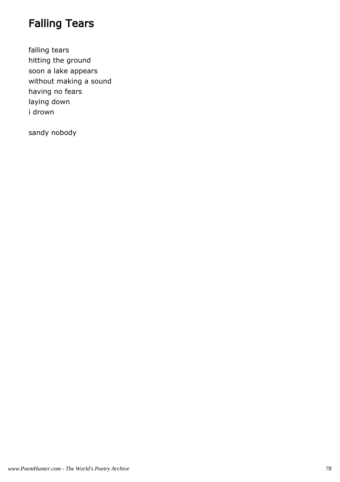# Falling Tears

falling tears hitting the ground soon a lake appears without making a sound having no fears laying down i drown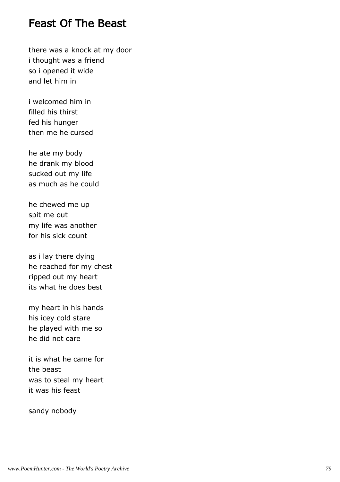## Feast Of The Beast

there was a knock at my door i thought was a friend so i opened it wide and let him in

i welcomed him in filled his thirst fed his hunger then me he cursed

he ate my body he drank my blood sucked out my life as much as he could

he chewed me up spit me out my life was another for his sick count

as i lay there dying he reached for my chest ripped out my heart its what he does best

my heart in his hands his icey cold stare he played with me so he did not care

it is what he came for the beast was to steal my heart it was his feast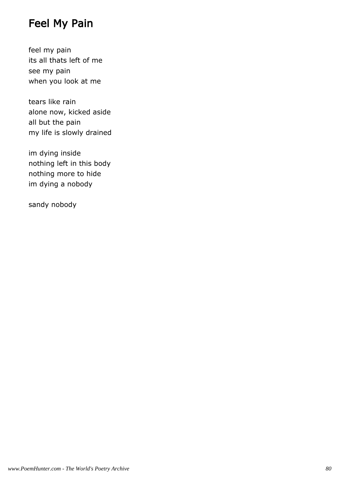# Feel My Pain

feel my pain its all thats left of me see my pain when you look at me

tears like rain alone now, kicked aside all but the pain my life is slowly drained

im dying inside nothing left in this body nothing more to hide im dying a nobody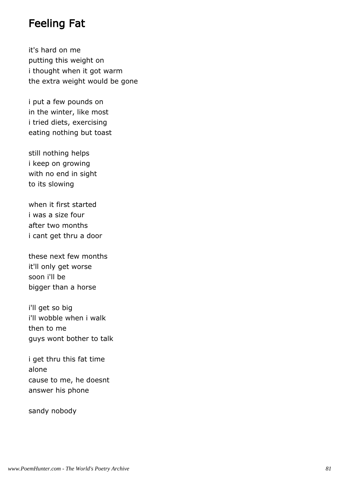## Feeling Fat

it's hard on me putting this weight on i thought when it got warm the extra weight would be gone

i put a few pounds on in the winter, like most i tried diets, exercising eating nothing but toast

still nothing helps i keep on growing with no end in sight to its slowing

when it first started i was a size four after two months i cant get thru a door

these next few months it'll only get worse soon i'll be bigger than a horse

i'll get so big i'll wobble when i walk then to me guys wont bother to talk

i get thru this fat time alone cause to me, he doesnt answer his phone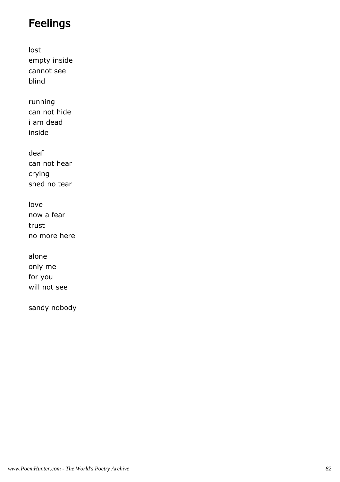# Feelings

lost empty inside cannot see blind

running can not hide i am dead inside

deaf can not hear crying shed no tear

love now a fear trust no more here

alone only me for you will not see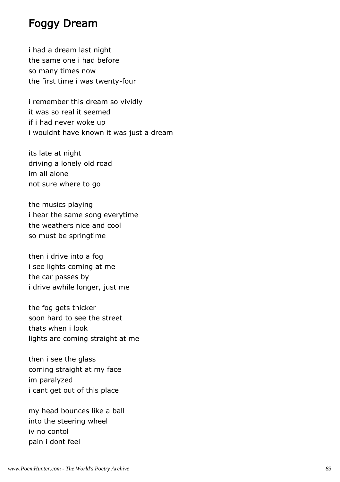## Foggy Dream

i had a dream last night the same one i had before so many times now the first time i was twenty-four

i remember this dream so vividly it was so real it seemed if i had never woke up i wouldnt have known it was just a dream

its late at night driving a lonely old road im all alone not sure where to go

the musics playing i hear the same song everytime the weathers nice and cool so must be springtime

then i drive into a fog i see lights coming at me the car passes by i drive awhile longer, just me

the fog gets thicker soon hard to see the street thats when i look lights are coming straight at me

then i see the glass coming straight at my face im paralyzed i cant get out of this place

my head bounces like a ball into the steering wheel iv no contol pain i dont feel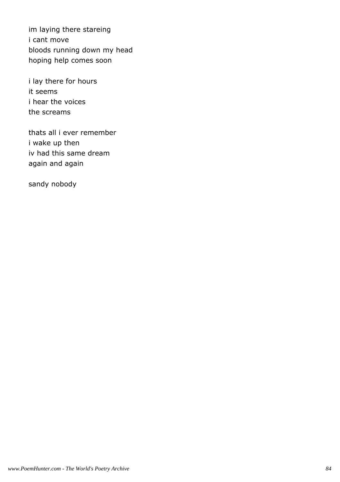im laying there stareing i cant move bloods running down my head hoping help comes soon

i lay there for hours it seems i hear the voices the screams

thats all i ever remember i wake up then iv had this same dream again and again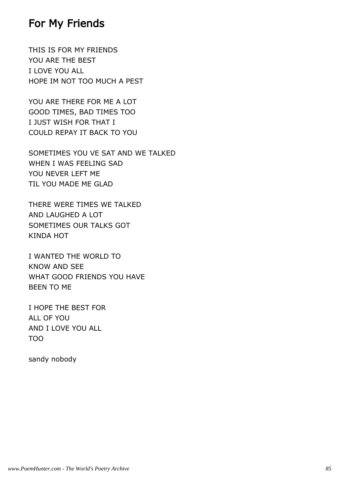## For My Friends

THIS IS FOR MY FRIENDS YOU ARE THE BEST I LOVE YOU ALL HOPE IM NOT TOO MUCH A PEST

YOU ARE THERE FOR ME A LOT GOOD TIMES, BAD TIMES TOO I JUST WISH FOR THAT I COULD REPAY IT BACK TO YOU

SOMETIMES YOU VE SAT AND WE TALKED WHEN I WAS FEELING SAD YOU NEVER LEFT ME TIL YOU MADE ME GLAD

THERE WERE TIMES WE TALKED AND LAUGHED A LOT SOMETIMES OUR TALKS GOT KINDA HOT

I WANTED THE WORLD TO KNOW AND SEE WHAT GOOD FRIENDS YOU HAVE BEEN TO ME

I HOPE THE BEST FOR ALL OF YOU AND I LOVE YOU ALL TOO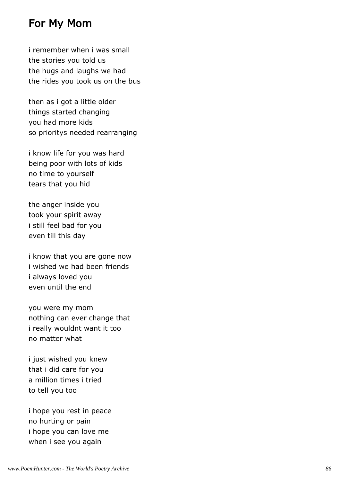## For My Mom

i remember when i was small the stories you told us the hugs and laughs we had the rides you took us on the bus

then as i got a little older things started changing you had more kids so prioritys needed rearranging

i know life for you was hard being poor with lots of kids no time to yourself tears that you hid

the anger inside you took your spirit away i still feel bad for you even till this day

i know that you are gone now i wished we had been friends i always loved you even until the end

you were my mom nothing can ever change that i really wouldnt want it too no matter what

i just wished you knew that i did care for you a million times i tried to tell you too

i hope you rest in peace no hurting or pain i hope you can love me when i see you again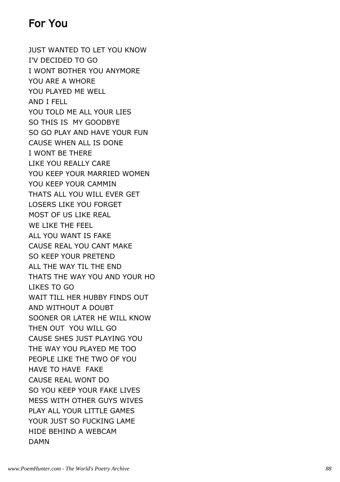# For You

JUST WANTED TO LET YOU KNOW I'V DECIDED TO GO I WONT BOTHER YOU ANYMORE YOU ARE A WHORE YOU PLAYED ME WELL AND I FELL YOU TOLD ME ALL YOUR LIES SO THIS IS MY GOODBYE SO GO PLAY AND HAVE YOUR FUN CAUSE WHEN ALL IS DONE I WONT BE THERE LIKE YOU REALLY CARE YOU KEEP YOUR MARRIED WOMEN YOU KEEP YOUR CAMMIN THATS ALL YOU WILL EVER GET LOSERS LIKE YOU FORGET MOST OF US LIKE REAL WE LIKE THE FEEL ALL YOU WANT IS FAKE CAUSE REAL YOU CANT MAKE SO KEEP YOUR PRETEND ALL THE WAY TIL THE END THATS THE WAY YOU AND YOUR HO LIKES TO GO WAIT TILL HER HUBBY FINDS OUT AND WITHOUT A DOUBT SOONER OR LATER HE WILL KNOW THEN OUT YOU WILL GO CAUSE SHES JUST PLAYING YOU THE WAY YOU PLAYED ME TOO PEOPLE LIKE THE TWO OF YOU HAVE TO HAVE FAKE CAUSE REAL WONT DO SO YOU KEEP YOUR FAKE LIVES MESS WITH OTHER GUYS WIVES PLAY ALL YOUR LITTLE GAMES YOUR JUST SO FUCKING LAME HIDE BEHIND A WEBCAM DAMN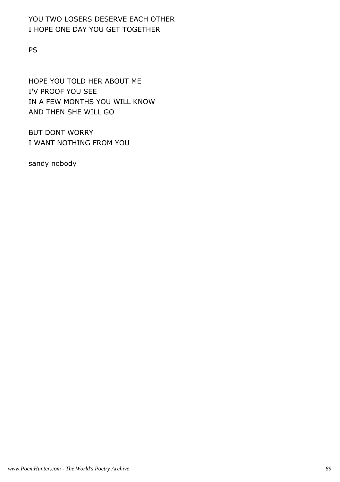#### YOU TWO LOSERS DESERVE EACH OTHER I HOPE ONE DAY YOU GET TOGETHER

PS

HOPE YOU TOLD HER ABOUT ME I'V PROOF YOU SEE IN A FEW MONTHS YOU WILL KNOW AND THEN SHE WILL GO

BUT DONT WORRY I WANT NOTHING FROM YOU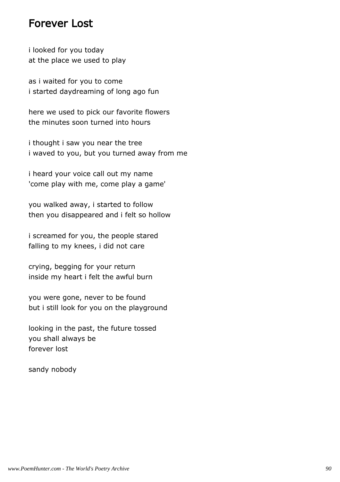### Forever Lost

i looked for you today at the place we used to play

as i waited for you to come i started daydreaming of long ago fun

here we used to pick our favorite flowers the minutes soon turned into hours

i thought i saw you near the tree i waved to you, but you turned away from me

i heard your voice call out my name 'come play with me, come play a game'

you walked away, i started to follow then you disappeared and i felt so hollow

i screamed for you, the people stared falling to my knees, i did not care

crying, begging for your return inside my heart i felt the awful burn

you were gone, never to be found but i still look for you on the playground

looking in the past, the future tossed you shall always be forever lost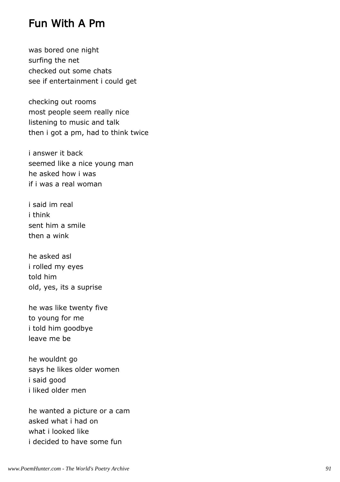### Fun With A Pm

was bored one night surfing the net checked out some chats see if entertainment i could get

checking out rooms most people seem really nice listening to music and talk then i got a pm, had to think twice

i answer it back seemed like a nice young man he asked how i was if i was a real woman

i said im real i think sent him a smile then a wink

he asked asl i rolled my eyes told him old, yes, its a suprise

he was like twenty five to young for me i told him goodbye leave me be

he wouldnt go says he likes older women i said good i liked older men

he wanted a picture or a cam asked what i had on what i looked like i decided to have some fun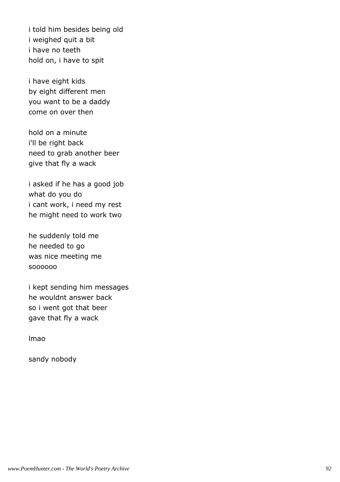i told him besides being old i weighed quit a bit i have no teeth hold on, i have to spit

i have eight kids by eight different men you want to be a daddy come on over then

hold on a minute i'll be right back need to grab another beer give that fly a wack

i asked if he has a good job what do you do i cant work, i need my rest he might need to work two

he suddenly told me he needed to go was nice meeting me soooooo

i kept sending him messages he wouldnt answer back so i went got that beer gave that fly a wack

lmao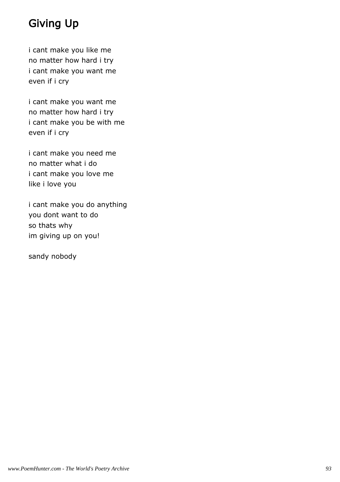# Giving Up

i cant make you like me no matter how hard i try i cant make you want me even if i cry

i cant make you want me no matter how hard i try i cant make you be with me even if i cry

i cant make you need me no matter what i do i cant make you love me like i love you

i cant make you do anything you dont want to do so thats why im giving up on you!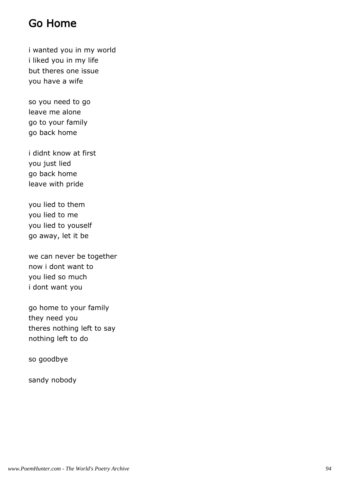# Go Home

i wanted you in my world i liked you in my life but theres one issue you have a wife

so you need to go leave me alone go to your family go back home

i didnt know at first you just lied go back home leave with pride

you lied to them you lied to me you lied to youself go away, let it be

we can never be together now i dont want to you lied so much i dont want you

go home to your family they need you theres nothing left to say nothing left to do

so goodbye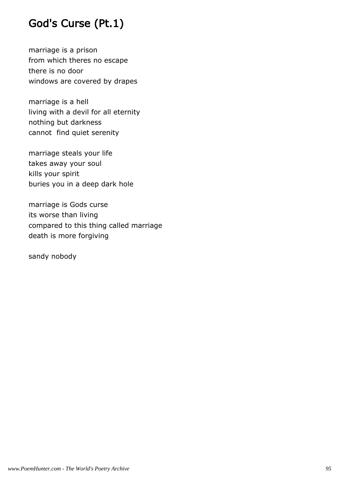# God's Curse (Pt.1)

marriage is a prison from which theres no escape there is no door windows are covered by drapes

marriage is a hell living with a devil for all eternity nothing but darkness cannot find quiet serenity

marriage steals your life takes away your soul kills your spirit buries you in a deep dark hole

marriage is Gods curse its worse than living compared to this thing called marriage death is more forgiving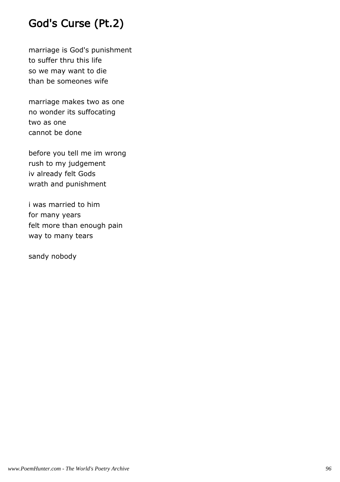# God's Curse (Pt.2)

marriage is God's punishment to suffer thru this life so we may want to die than be someones wife

marriage makes two as one no wonder its suffocating two as one cannot be done

before you tell me im wrong rush to my judgement iv already felt Gods wrath and punishment

i was married to him for many years felt more than enough pain way to many tears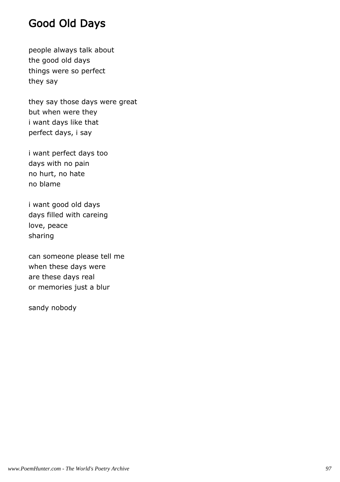# Good Old Days

people always talk about the good old days things were so perfect they say

they say those days were great but when were they i want days like that perfect days, i say

i want perfect days too days with no pain no hurt, no hate no blame

i want good old days days filled with careing love, peace sharing

can someone please tell me when these days were are these days real or memories just a blur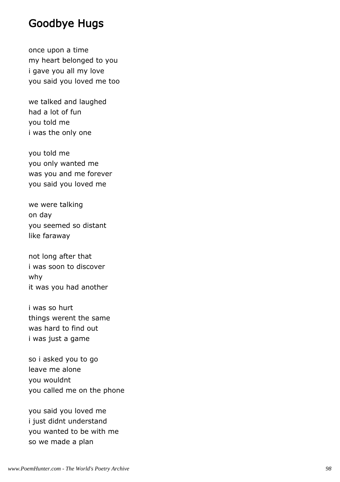## Goodbye Hugs

once upon a time my heart belonged to you i gave you all my love you said you loved me too

we talked and laughed had a lot of fun you told me i was the only one

you told me you only wanted me was you and me forever you said you loved me

we were talking on day you seemed so distant like faraway

not long after that i was soon to discover why it was you had another

i was so hurt things werent the same was hard to find out i was just a game

so i asked you to go leave me alone you wouldnt you called me on the phone

you said you loved me i just didnt understand you wanted to be with me so we made a plan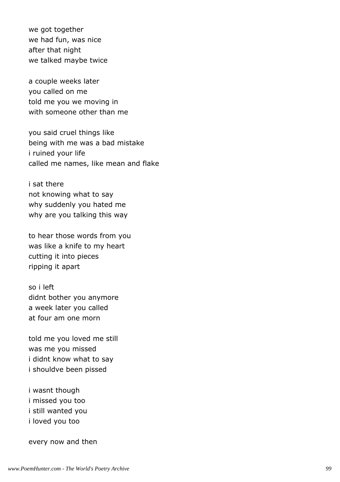we got together we had fun, was nice after that night we talked maybe twice

a couple weeks later you called on me told me you we moving in with someone other than me

you said cruel things like being with me was a bad mistake i ruined your life called me names, like mean and flake

i sat there not knowing what to say why suddenly you hated me why are you talking this way

to hear those words from you was like a knife to my heart cutting it into pieces ripping it apart

so i left didnt bother you anymore a week later you called at four am one morn

told me you loved me still was me you missed i didnt know what to say i shouldve been pissed

i wasnt though i missed you too i still wanted you i loved you too

every now and then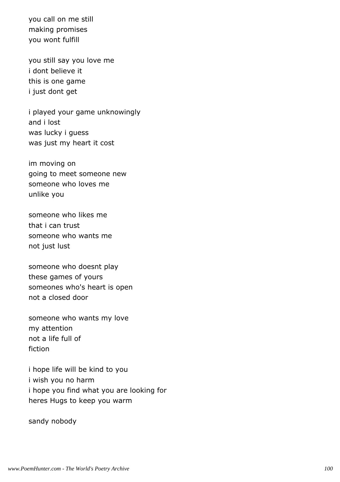you call on me still making promises you wont fulfill

you still say you love me i dont believe it this is one game i just dont get

i played your game unknowingly and i lost was lucky i guess was just my heart it cost

im moving on going to meet someone new someone who loves me unlike you

someone who likes me that i can trust someone who wants me not just lust

someone who doesnt play these games of yours someones who's heart is open not a closed door

someone who wants my love my attention not a life full of fiction

i hope life will be kind to you i wish you no harm i hope you find what you are looking for heres Hugs to keep you warm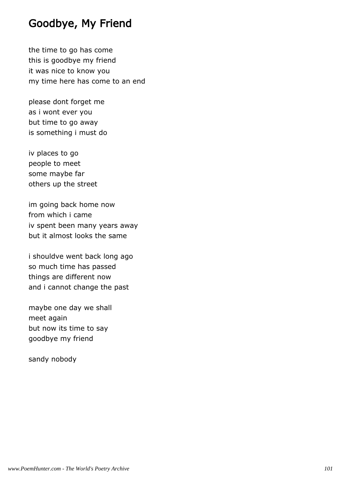# Goodbye, My Friend

the time to go has come this is goodbye my friend it was nice to know you my time here has come to an end

please dont forget me as i wont ever you but time to go away is something i must do

iv places to go people to meet some maybe far others up the street

im going back home now from which i came iv spent been many years away but it almost looks the same

i shouldve went back long ago so much time has passed things are different now and i cannot change the past

maybe one day we shall meet again but now its time to say goodbye my friend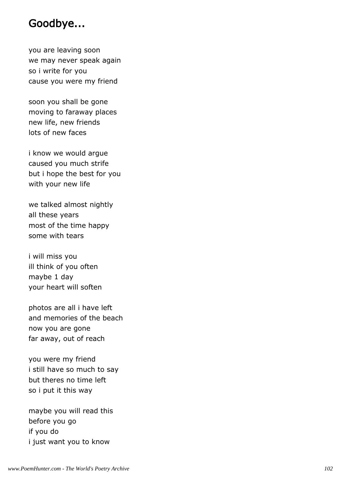## Goodbye...

you are leaving soon we may never speak again so i write for you cause you were my friend

soon you shall be gone moving to faraway places new life, new friends lots of new faces

i know we would argue caused you much strife but i hope the best for you with your new life

we talked almost nightly all these years most of the time happy some with tears

i will miss you ill think of you often maybe 1 day your heart will soften

photos are all i have left and memories of the beach now you are gone far away, out of reach

you were my friend i still have so much to say but theres no time left so i put it this way

maybe you will read this before you go if you do i just want you to know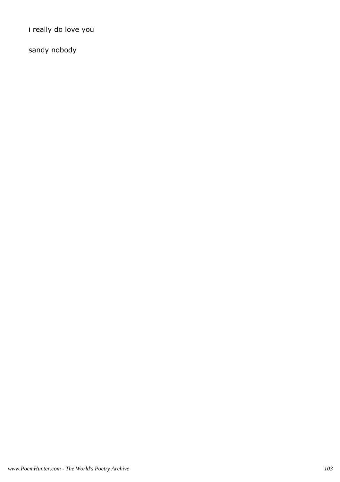i really do love you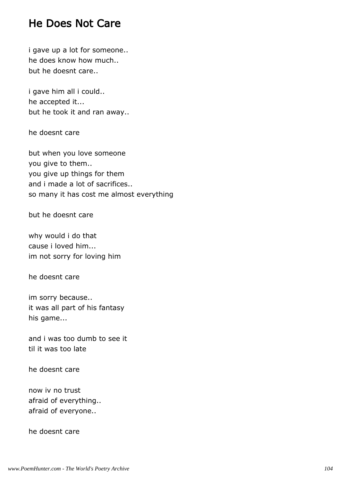## He Does Not Care

i gave up a lot for someone.. he does know how much.. but he doesnt care..

i gave him all i could.. he accepted it... but he took it and ran away..

he doesnt care

but when you love someone you give to them.. you give up things for them and i made a lot of sacrifices.. so many it has cost me almost everything

but he doesnt care

why would i do that cause i loved him... im not sorry for loving him

he doesnt care

im sorry because.. it was all part of his fantasy his game...

and i was too dumb to see it til it was too late

he doesnt care

now iv no trust afraid of everything.. afraid of everyone..

he doesnt care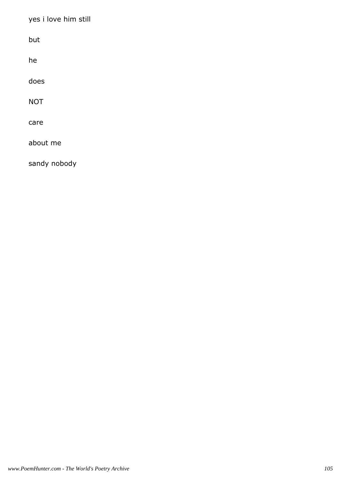yes i love him still

but

he

does

NOT

care

about me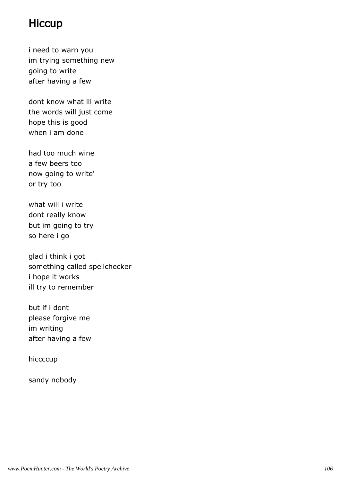## **Hiccup**

i need to warn you im trying something new going to write after having a few

dont know what ill write the words will just come hope this is good when i am done

had too much wine a few beers too now going to write' or try too

what will i write dont really know but im going to try so here i go

glad i think i got something called spellchecker i hope it works ill try to remember

but if i dont please forgive me im writing after having a few

hiccccup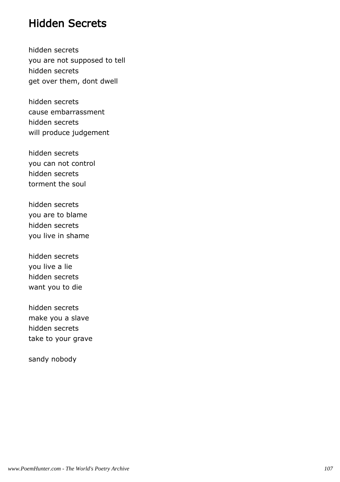## Hidden Secrets

hidden secrets you are not supposed to tell hidden secrets get over them, dont dwell

hidden secrets cause embarrassment hidden secrets will produce judgement

hidden secrets you can not control hidden secrets torment the soul

hidden secrets you are to blame hidden secrets you live in shame

hidden secrets you live a lie hidden secrets want you to die

hidden secrets make you a slave hidden secrets take to your grave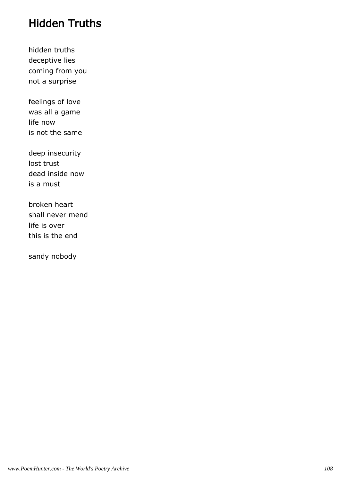## Hidden Truths

hidden truths deceptive lies coming from you not a surprise

feelings of love was all a game life now is not the same

deep insecurity lost trust dead inside now is a must

broken heart shall never mend life is over this is the end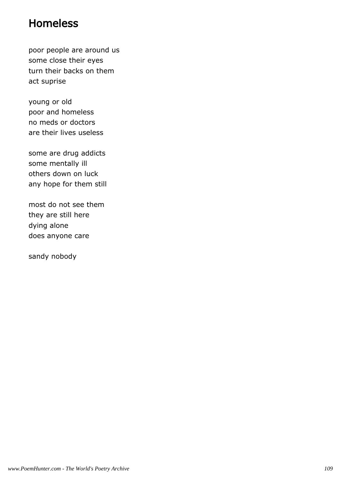### Homeless

poor people are around us some close their eyes turn their backs on them act suprise

young or old poor and homeless no meds or doctors are their lives useless

some are drug addicts some mentally ill others down on luck any hope for them still

most do not see them they are still here dying alone does anyone care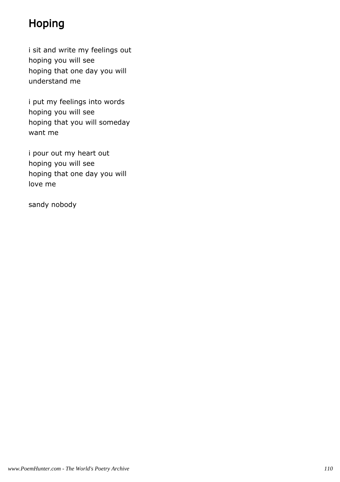# Hoping

i sit and write my feelings out hoping you will see hoping that one day you will understand me

i put my feelings into words hoping you will see hoping that you will someday want me

i pour out my heart out hoping you will see hoping that one day you will love me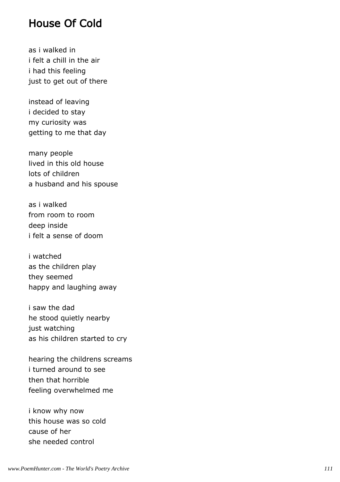#### House Of Cold

as i walked in i felt a chill in the air i had this feeling just to get out of there

instead of leaving i decided to stay my curiosity was getting to me that day

many people lived in this old house lots of children a husband and his spouse

as i walked from room to room deep inside i felt a sense of doom

i watched as the children play they seemed happy and laughing away

i saw the dad he stood quietly nearby just watching as his children started to cry

hearing the childrens screams i turned around to see then that horrible feeling overwhelmed me

i know why now this house was so cold cause of her she needed control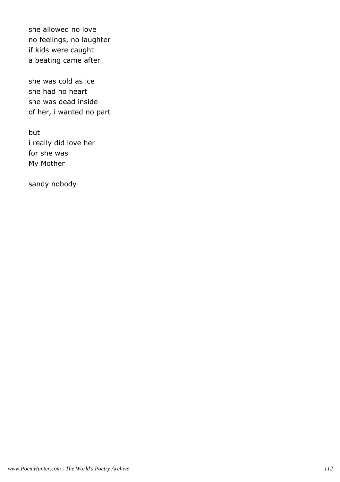she allowed no love no feelings, no laughter if kids were caught a beating came after

she was cold as ice she had no heart she was dead inside of her, i wanted no part

but i really did love her for she was My Mother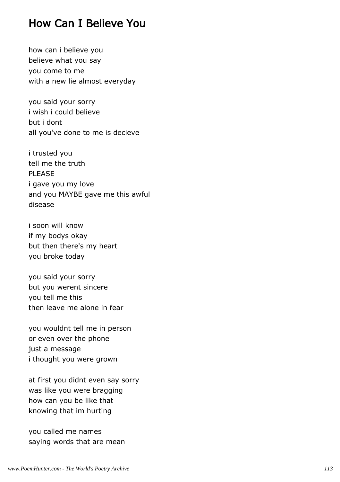### How Can I Believe You

how can i believe you believe what you say you come to me with a new lie almost everyday

you said your sorry i wish i could believe but i dont all you've done to me is decieve

i trusted you tell me the truth PI FASE i gave you my love and you MAYBE gave me this awful disease

i soon will know if my bodys okay but then there's my heart you broke today

you said your sorry but you werent sincere you tell me this then leave me alone in fear

you wouldnt tell me in person or even over the phone just a message i thought you were grown

at first you didnt even say sorry was like you were bragging how can you be like that knowing that im hurting

you called me names saying words that are mean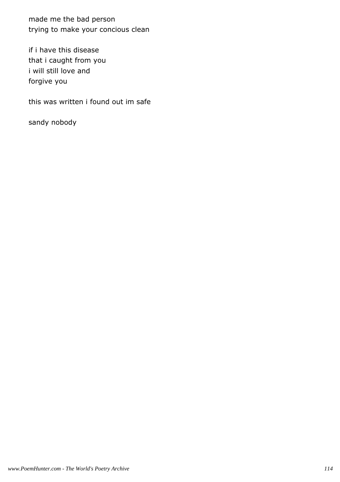made me the bad person trying to make your concious clean

if i have this disease that i caught from you i will still love and forgive you

this was written i found out im safe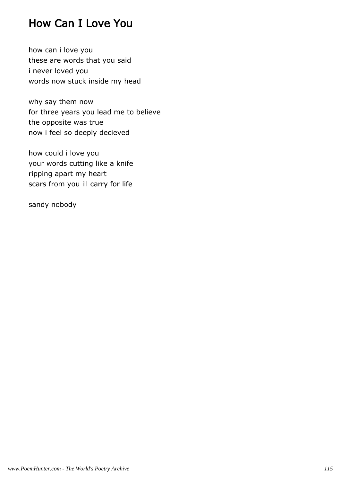## How Can I Love You

how can i love you these are words that you said i never loved you words now stuck inside my head

why say them now for three years you lead me to believe the opposite was true now i feel so deeply decieved

how could i love you your words cutting like a knife ripping apart my heart scars from you ill carry for life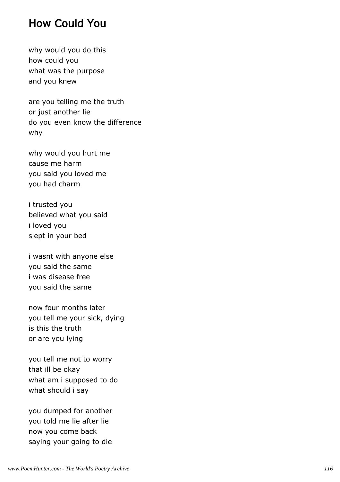#### How Could You

why would you do this how could you what was the purpose and you knew

are you telling me the truth or just another lie do you even know the difference why

why would you hurt me cause me harm you said you loved me you had charm

i trusted you believed what you said i loved you slept in your bed

i wasnt with anyone else you said the same i was disease free you said the same

now four months later you tell me your sick, dying is this the truth or are you lying

you tell me not to worry that ill be okay what am i supposed to do what should i say

you dumped for another you told me lie after lie now you come back saying your going to die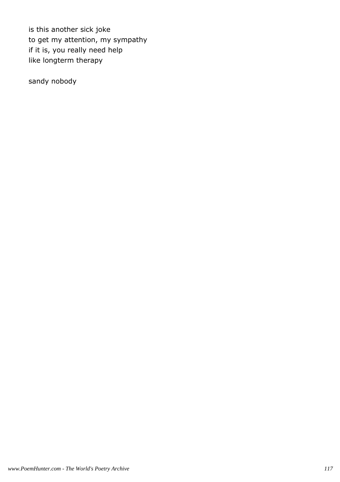is this another sick joke to get my attention, my sympathy if it is, you really need help like longterm therapy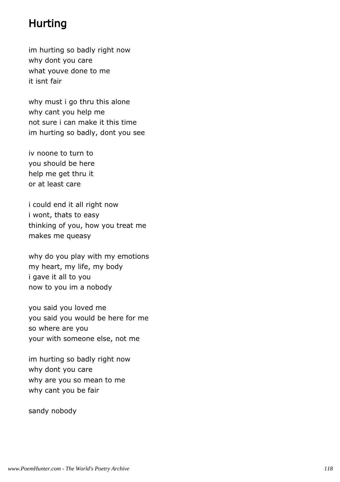## Hurting

im hurting so badly right now why dont you care what youve done to me it isnt fair

why must i go thru this alone why cant you help me not sure i can make it this time im hurting so badly, dont you see

iv noone to turn to you should be here help me get thru it or at least care

i could end it all right now i wont, thats to easy thinking of you, how you treat me makes me queasy

why do you play with my emotions my heart, my life, my body i gave it all to you now to you im a nobody

you said you loved me you said you would be here for me so where are you your with someone else, not me

im hurting so badly right now why dont you care why are you so mean to me why cant you be fair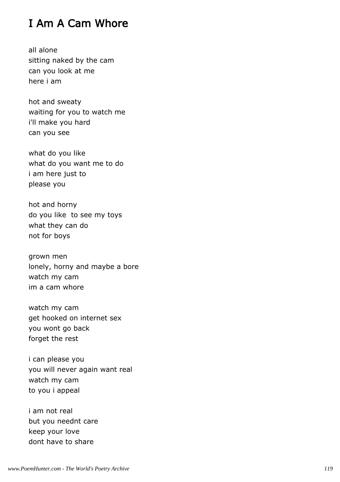# I Am A Cam Whore

all alone sitting naked by the cam can you look at me here i am

hot and sweaty waiting for you to watch me i'll make you hard can you see

what do you like what do you want me to do i am here just to please you

hot and horny do you like to see my toys what they can do not for boys

grown men lonely, horny and maybe a bore watch my cam im a cam whore

watch my cam get hooked on internet sex you wont go back forget the rest

i can please you you will never again want real watch my cam to you i appeal

i am not real but you neednt care keep your love dont have to share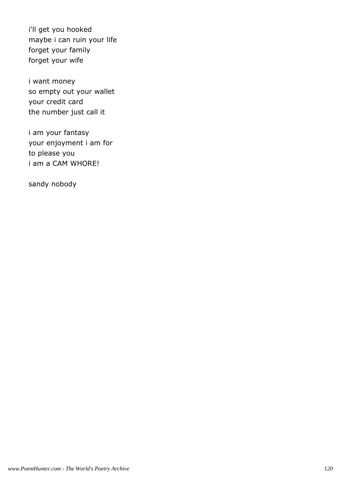i'll get you hooked maybe i can ruin your life forget your family forget your wife

i want money so empty out your wallet your credit card the number just call it

i am your fantasy your enjoyment i am for to please you i am a CAM WHORE!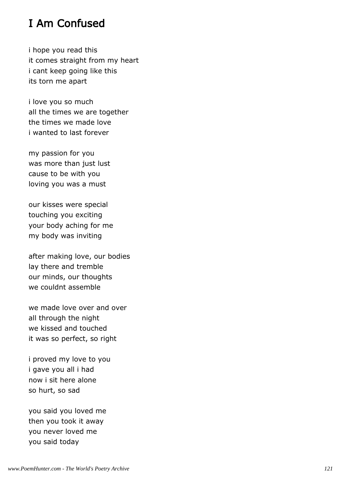## I Am Confused

i hope you read this it comes straight from my heart i cant keep going like this its torn me apart

i love you so much all the times we are together the times we made love i wanted to last forever

my passion for you was more than just lust cause to be with you loving you was a must

our kisses were special touching you exciting your body aching for me my body was inviting

after making love, our bodies lay there and tremble our minds, our thoughts we couldnt assemble

we made love over and over all through the night we kissed and touched it was so perfect, so right

i proved my love to you i gave you all i had now i sit here alone so hurt, so sad

you said you loved me then you took it away you never loved me you said today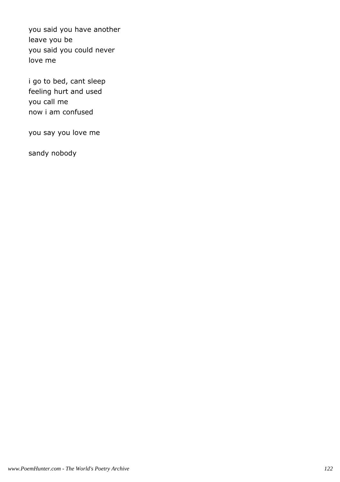you said you have another leave you be you said you could never love me

i go to bed, cant sleep feeling hurt and used you call me now i am confused

you say you love me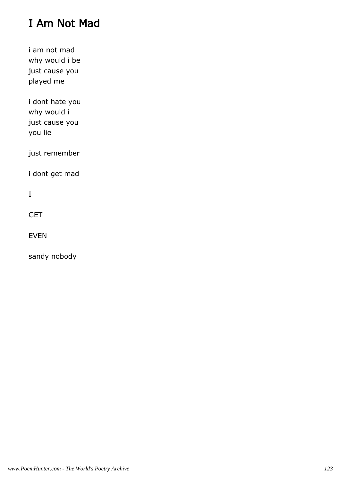# I Am Not Mad

i am not mad why would i be just cause you played me

i dont hate you why would i just cause you you lie

just remember

i dont get mad

I

**GET** 

EVEN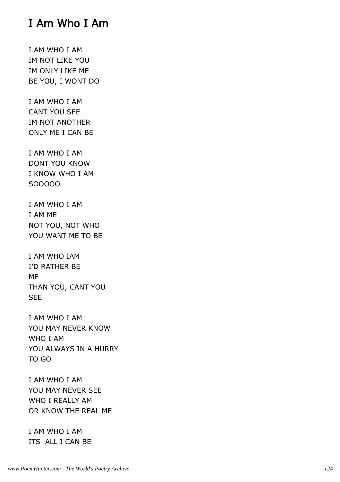## I Am Who I Am

I AM WHO I AM IM NOT LIKE YOU IM ONLY LIKE ME BE YOU, I WONT DO

I AM WHO I AM CANT YOU SEE IM NOT ANOTHER ONLY ME I CAN BE

I AM WHO I AM DONT YOU KNOW I KNOW WHO I AM SOOOOO

I AM WHO I AM I AM ME NOT YOU, NOT WHO YOU WANT ME TO BE

I AM WHO IAM I'D RATHER BE ME THAN YOU, CANT YOU SEE

I AM WHO I AM YOU MAY NEVER KNOW WHO I AM YOU ALWAYS IN A HURRY TO GO

I AM WHO I AM YOU MAY NEVER SEE WHO I REALLY AM OR KNOW THE REAL ME

I AM WHO I AM ITS ALL I CAN BE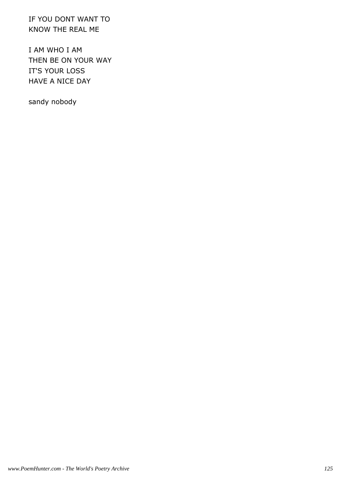IF YOU DONT WANT TO KNOW THE REAL ME

I AM WHO I AM THEN BE ON YOUR WAY IT'S YOUR LOSS HAVE A NICE DAY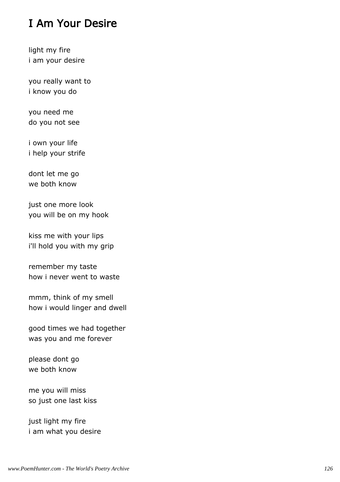# I Am Your Desire

light my fire i am your desire

you really want to i know you do

you need me do you not see

i own your life i help your strife

dont let me go we both know

just one more look you will be on my hook

kiss me with your lips i'll hold you with my grip

remember my taste how i never went to waste

mmm, think of my smell how i would linger and dwell

good times we had together was you and me forever

please dont go we both know

me you will miss so just one last kiss

just light my fire i am what you desire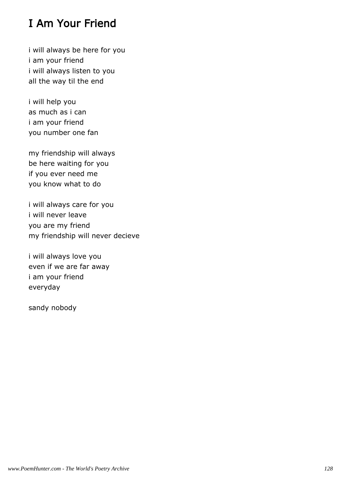# I Am Your Friend

i will always be here for you i am your friend i will always listen to you all the way til the end

i will help you as much as i can i am your friend you number one fan

my friendship will always be here waiting for you if you ever need me you know what to do

i will always care for you i will never leave you are my friend my friendship will never decieve

i will always love you even if we are far away i am your friend everyday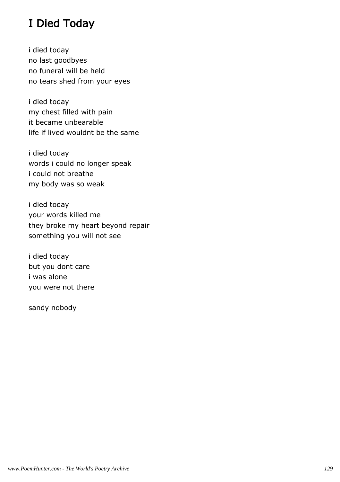# I Died Today

i died today no last goodbyes no funeral will be held no tears shed from your eyes

i died today my chest filled with pain it became unbearable life if lived wouldnt be the same

i died today words i could no longer speak i could not breathe my body was so weak

i died today your words killed me they broke my heart beyond repair something you will not see

i died today but you dont care i was alone you were not there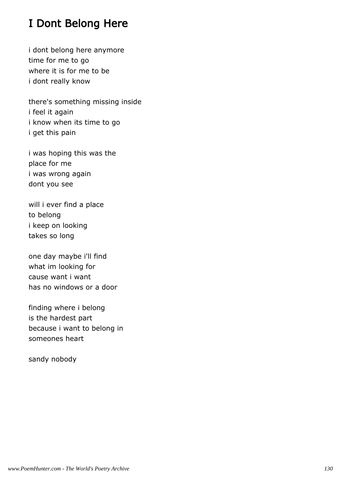# I Dont Belong Here

i dont belong here anymore time for me to go where it is for me to be i dont really know

there's something missing inside i feel it again i know when its time to go i get this pain

i was hoping this was the place for me i was wrong again dont you see

will i ever find a place to belong i keep on looking takes so long

one day maybe i'll find what im looking for cause want i want has no windows or a door

finding where i belong is the hardest part because i want to belong in someones heart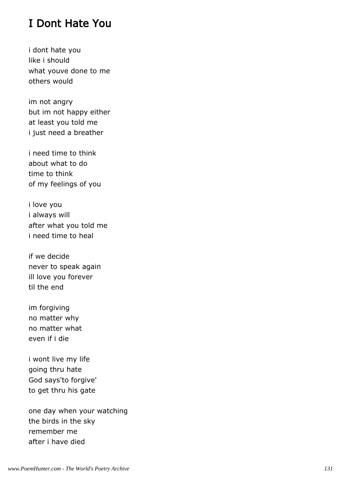## I Dont Hate You

i dont hate you like i should what youve done to me others would

im not angry but im not happy either at least you told me i just need a breather

i need time to think about what to do time to think of my feelings of you

i love you i always will after what you told me i need time to heal

if we decide never to speak again ill love you forever til the end

im forgiving no matter why no matter what even if i die

i wont live my life going thru hate God says'to forgive' to get thru his gate

one day when your watching the birds in the sky remember me after i have died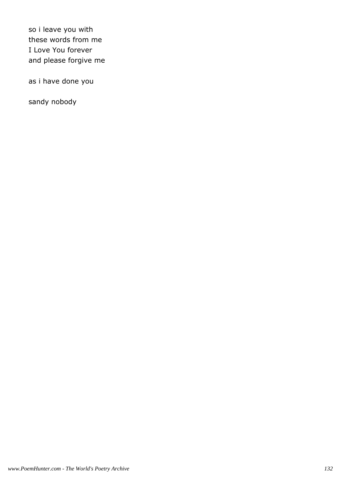so i leave you with these words from me I Love You forever and please forgive me

as i have done you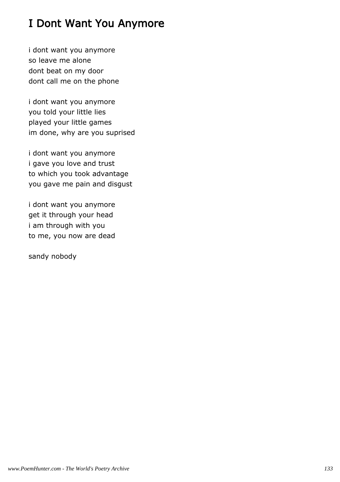# I Dont Want You Anymore

i dont want you anymore so leave me alone dont beat on my door dont call me on the phone

i dont want you anymore you told your little lies played your little games im done, why are you suprised

i dont want you anymore i gave you love and trust to which you took advantage you gave me pain and disgust

i dont want you anymore get it through your head i am through with you to me, you now are dead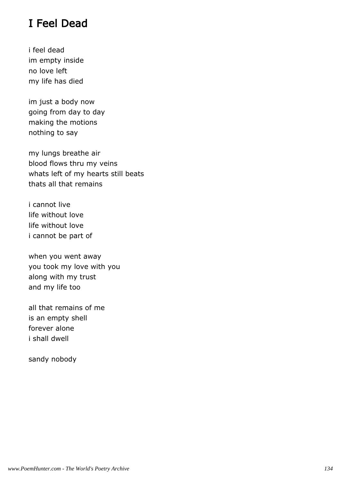## I Feel Dead

i feel dead im empty inside no love left my life has died

im just a body now going from day to day making the motions nothing to say

my lungs breathe air blood flows thru my veins whats left of my hearts still beats thats all that remains

i cannot live life without love life without love i cannot be part of

when you went away you took my love with you along with my trust and my life too

all that remains of me is an empty shell forever alone i shall dwell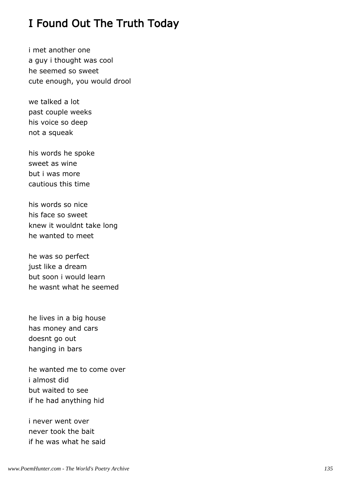## I Found Out The Truth Today

i met another one a guy i thought was cool he seemed so sweet cute enough, you would drool

we talked a lot past couple weeks his voice so deep not a squeak

his words he spoke sweet as wine but i was more cautious this time

his words so nice his face so sweet knew it wouldnt take long he wanted to meet

he was so perfect just like a dream but soon i would learn he wasnt what he seemed

he lives in a big house has money and cars doesnt go out hanging in bars

he wanted me to come over i almost did but waited to see if he had anything hid

i never went over never took the bait if he was what he said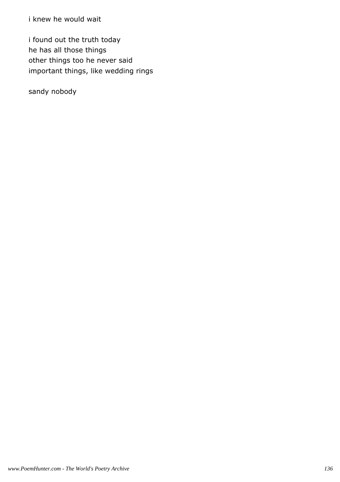i knew he would wait

i found out the truth today he has all those things other things too he never said important things, like wedding rings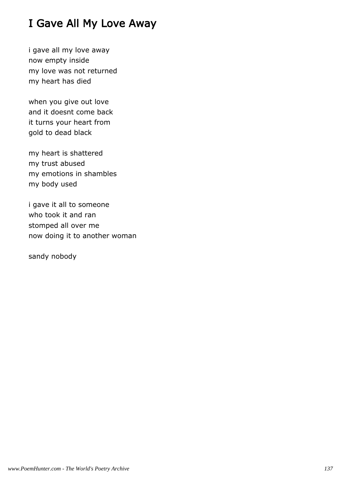# I Gave All My Love Away

i gave all my love away now empty inside my love was not returned my heart has died

when you give out love and it doesnt come back it turns your heart from gold to dead black

my heart is shattered my trust abused my emotions in shambles my body used

i gave it all to someone who took it and ran stomped all over me now doing it to another woman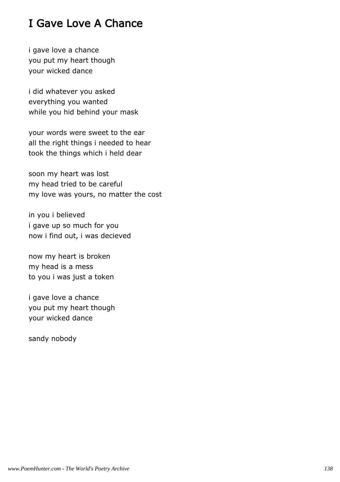# I Gave Love A Chance

i gave love a chance you put my heart though your wicked dance

i did whatever you asked everything you wanted while you hid behind your mask

your words were sweet to the ear all the right things i needed to hear took the things which i held dear

soon my heart was lost my head tried to be careful my love was yours, no matter the cost

in you i believed i gave up so much for you now i find out, i was decieved

now my heart is broken my head is a mess to you i was just a token

i gave love a chance you put my heart though your wicked dance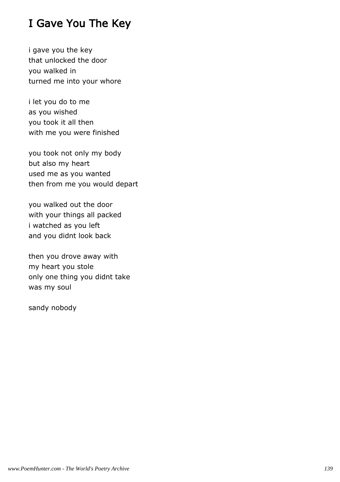# I Gave You The Key

i gave you the key that unlocked the door you walked in turned me into your whore

i let you do to me as you wished you took it all then with me you were finished

you took not only my body but also my heart used me as you wanted then from me you would depart

you walked out the door with your things all packed i watched as you left and you didnt look back

then you drove away with my heart you stole only one thing you didnt take was my soul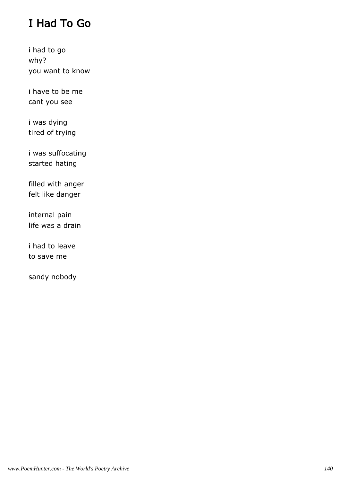# I Had To Go

i had to go why? you want to know

i have to be me cant you see

i was dying tired of trying

i was suffocating started hating

filled with anger felt like danger

internal pain life was a drain

i had to leave to save me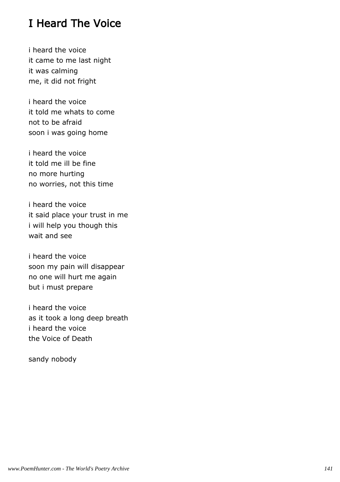## I Heard The Voice

i heard the voice it came to me last night it was calming me, it did not fright

i heard the voice it told me whats to come not to be afraid soon i was going home

i heard the voice it told me ill be fine no more hurting no worries, not this time

i heard the voice it said place your trust in me i will help you though this wait and see

i heard the voice soon my pain will disappear no one will hurt me again but i must prepare

i heard the voice as it took a long deep breath i heard the voice the Voice of Death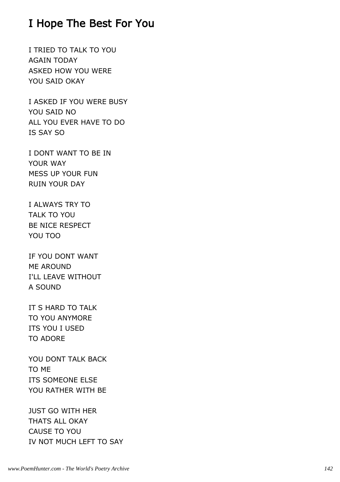### I Hope The Best For You

I TRIED TO TALK TO YOU AGAIN TODAY ASKED HOW YOU WERE YOU SAID OKAY

I ASKED IF YOU WERE BUSY YOU SAID NO ALL YOU EVER HAVE TO DO IS SAY SO

I DONT WANT TO BE IN YOUR WAY MESS UP YOUR FUN RUIN YOUR DAY

I ALWAYS TRY TO TALK TO YOU BE NICE RESPECT YOU TOO

IF YOU DONT WANT ME AROUND I'LL LEAVE WITHOUT A SOUND

IT S HARD TO TALK TO YOU ANYMORE ITS YOU I USED TO ADORE

YOU DONT TALK BACK TO ME ITS SOMEONE ELSE YOU RATHER WITH BE

JUST GO WITH HER THATS ALL OKAY CAUSE TO YOU IV NOT MUCH LEFT TO SAY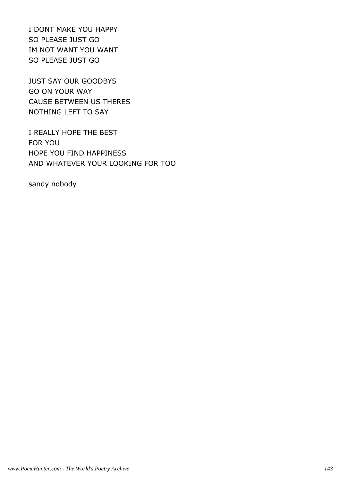I DONT MAKE YOU HAPPY SO PLEASE JUST GO IM NOT WANT YOU WANT SO PLEASE JUST GO

JUST SAY OUR GOODBYS GO ON YOUR WAY CAUSE BETWEEN US THERES NOTHING LEFT TO SAY

I REALLY HOPE THE BEST FOR YOU HOPE YOU FIND HAPPINESS AND WHATEVER YOUR LOOKING FOR TOO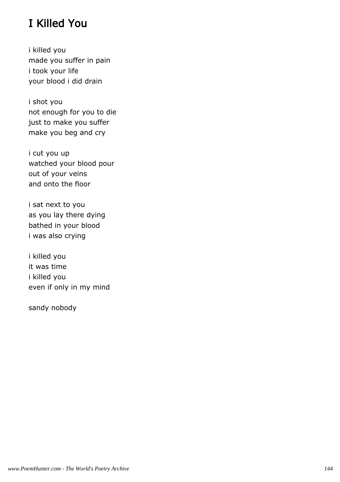## I Killed You

i killed you made you suffer in pain i took your life your blood i did drain

i shot you not enough for you to die just to make you suffer make you beg and cry

i cut you up watched your blood pour out of your veins and onto the floor

i sat next to you as you lay there dying bathed in your blood i was also crying

i killed you it was time i killed you even if only in my mind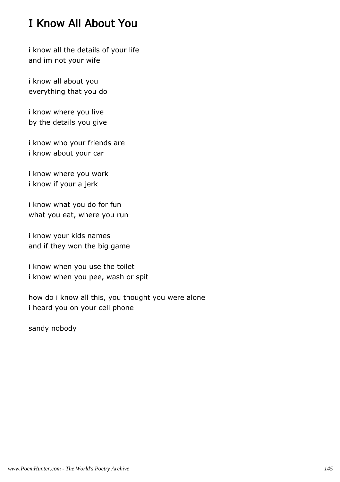## I Know All About You

i know all the details of your life and im not your wife

i know all about you everything that you do

i know where you live by the details you give

i know who your friends are i know about your car

i know where you work i know if your a jerk

i know what you do for fun what you eat, where you run

i know your kids names and if they won the big game

i know when you use the toilet i know when you pee, wash or spit

how do i know all this, you thought you were alone i heard you on your cell phone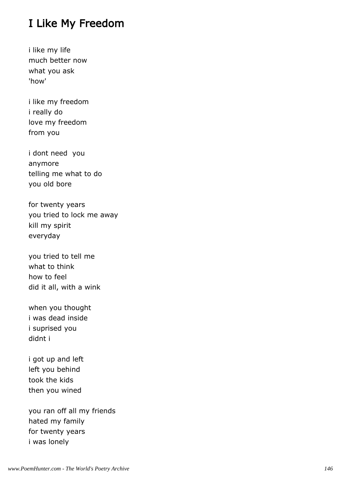#### I Like My Freedom

i like my life much better now what you ask 'how'

i like my freedom i really do love my freedom from you

i dont need you anymore telling me what to do you old bore

for twenty years you tried to lock me away kill my spirit everyday

you tried to tell me what to think how to feel did it all, with a wink

when you thought i was dead inside i suprised you didnt i

i got up and left left you behind took the kids then you wined

you ran off all my friends hated my family for twenty years i was lonely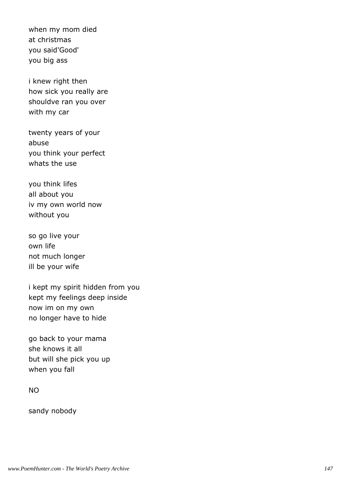when my mom died at christmas you said'Good' you big ass

i knew right then how sick you really are shouldve ran you over with my car

twenty years of your abuse you think your perfect whats the use

you think lifes all about you iv my own world now without you

so go live your own life not much longer ill be your wife

i kept my spirit hidden from you kept my feelings deep inside now im on my own no longer have to hide

go back to your mama she knows it all but will she pick you up when you fall

#### NO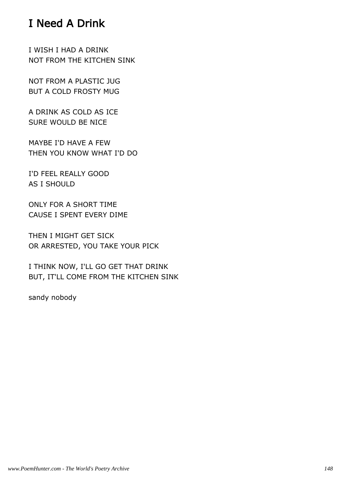## I Need A Drink

I WISH I HAD A DRINK NOT FROM THE KITCHEN SINK

NOT FROM A PLASTIC JUG BUT A COLD FROSTY MUG

A DRINK AS COLD AS ICE SURE WOULD BE NICE

MAYBE I'D HAVE A FEW THEN YOU KNOW WHAT I'D DO

I'D FEEL REALLY GOOD AS I SHOULD

ONLY FOR A SHORT TIME CAUSE I SPENT EVERY DIME

THEN I MIGHT GET SICK OR ARRESTED, YOU TAKE YOUR PICK

I THINK NOW, I'LL GO GET THAT DRINK BUT, IT'LL COME FROM THE KITCHEN SINK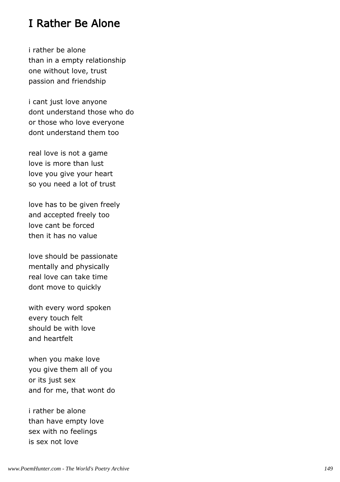#### I Rather Be Alone

i rather be alone than in a empty relationship one without love, trust passion and friendship

i cant just love anyone dont understand those who do or those who love everyone dont understand them too

real love is not a game love is more than lust love you give your heart so you need a lot of trust

love has to be given freely and accepted freely too love cant be forced then it has no value

love should be passionate mentally and physically real love can take time dont move to quickly

with every word spoken every touch felt should be with love and heartfelt

when you make love you give them all of you or its just sex and for me, that wont do

i rather be alone than have empty love sex with no feelings is sex not love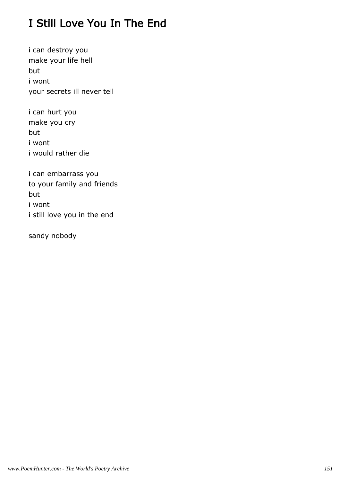## I Still Love You In The End

i can destroy you make your life hell but i wont your secrets ill never tell

i can hurt you make you cry but i wont i would rather die

i can embarrass you to your family and friends but i wont i still love you in the end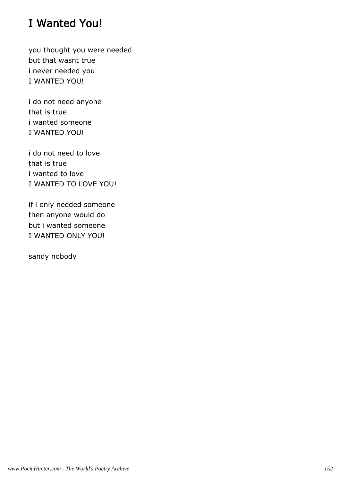## I Wanted You!

you thought you were needed but that wasnt true i never needed you I WANTED YOU!

i do not need anyone that is true i wanted someone I WANTED YOU!

i do not need to love that is true i wanted to love I WANTED TO LOVE YOU!

if i only needed someone then anyone would do but i wanted someone I WANTED ONLY YOU!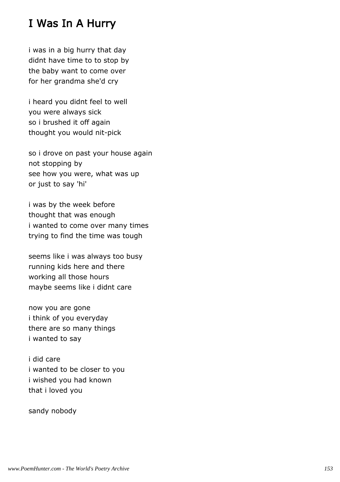#### I Was In A Hurry

i was in a big hurry that day didnt have time to to stop by the baby want to come over for her grandma she'd cry

i heard you didnt feel to well you were always sick so i brushed it off again thought you would nit-pick

so i drove on past your house again not stopping by see how you were, what was up or just to say 'hi'

i was by the week before thought that was enough i wanted to come over many times trying to find the time was tough

seems like i was always too busy running kids here and there working all those hours maybe seems like i didnt care

now you are gone i think of you everyday there are so many things i wanted to say

i did care i wanted to be closer to you i wished you had known that i loved you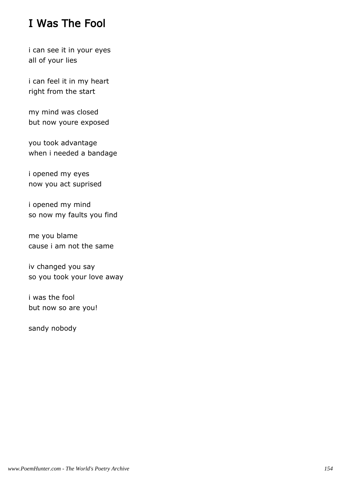## I Was The Fool

i can see it in your eyes all of your lies

i can feel it in my heart right from the start

my mind was closed but now youre exposed

you took advantage when i needed a bandage

i opened my eyes now you act suprised

i opened my mind so now my faults you find

me you blame cause i am not the same

iv changed you say so you took your love away

i was the fool but now so are you!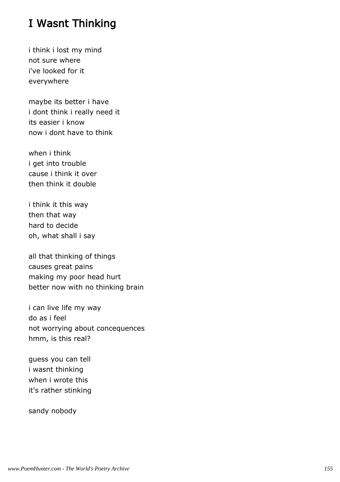## I Wasnt Thinking

i think i lost my mind not sure where i've looked for it everywhere

maybe its better i have i dont think i really need it its easier i know now i dont have to think

when i think i get into trouble cause i think it over then think it double

i think it this way then that way hard to decide oh, what shall i say

all that thinking of things causes great pains making my poor head hurt better now with no thinking brain

i can live life my way do as i feel not worrying about concequences hmm, is this real?

guess you can tell i wasnt thinking when i wrote this it's rather stinking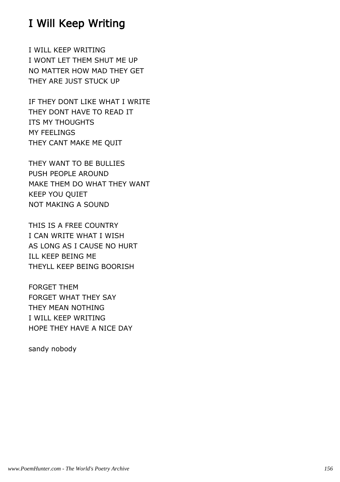## I Will Keep Writing

I WILL KEEP WRITING I WONT LET THEM SHUT ME UP NO MATTER HOW MAD THEY GET THEY ARE JUST STUCK UP

IF THEY DONT LIKE WHAT I WRITE THEY DONT HAVE TO READ IT ITS MY THOUGHTS MY FEELINGS THEY CANT MAKE ME QUIT

THEY WANT TO BE BULLIES PUSH PEOPLE AROUND MAKE THEM DO WHAT THEY WANT KEEP YOU QUIET NOT MAKING A SOUND

THIS IS A FREE COUNTRY I CAN WRITE WHAT I WISH AS LONG AS I CAUSE NO HURT ILL KEEP BEING ME THEYLL KEEP BEING BOORISH

FORGET THEM FORGET WHAT THEY SAY THEY MEAN NOTHING I WILL KEEP WRITING HOPE THEY HAVE A NICE DAY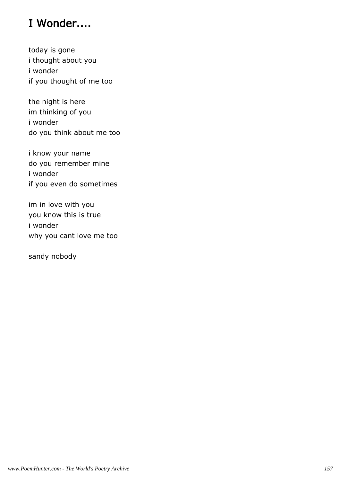## I Wonder....

today is gone i thought about you i wonder if you thought of me too

the night is here im thinking of you i wonder do you think about me too

i know your name do you remember mine i wonder if you even do sometimes

im in love with you you know this is true i wonder why you cant love me too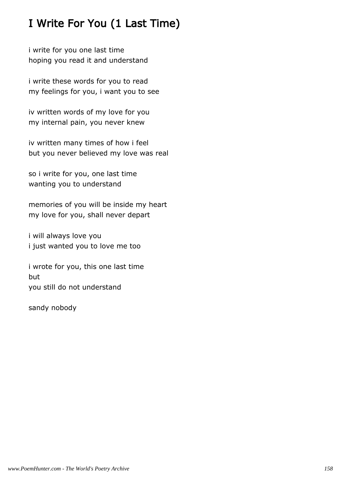## I Write For You (1 Last Time)

i write for you one last time hoping you read it and understand

i write these words for you to read my feelings for you, i want you to see

iv written words of my love for you my internal pain, you never knew

iv written many times of how i feel but you never believed my love was real

so i write for you, one last time wanting you to understand

memories of you will be inside my heart my love for you, shall never depart

i will always love you i just wanted you to love me too

i wrote for you, this one last time but you still do not understand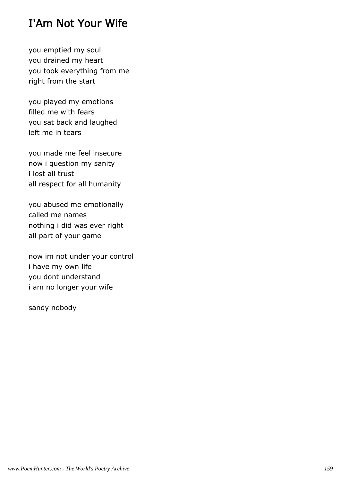## I'Am Not Your Wife

you emptied my soul you drained my heart you took everything from me right from the start

you played my emotions filled me with fears you sat back and laughed left me in tears

you made me feel insecure now i question my sanity i lost all trust all respect for all humanity

you abused me emotionally called me names nothing i did was ever right all part of your game

now im not under your control i have my own life you dont understand i am no longer your wife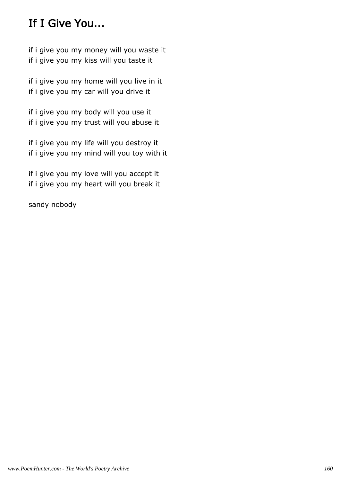## If I Give You...

if i give you my money will you waste it if i give you my kiss will you taste it

if i give you my home will you live in it if i give you my car will you drive it

if i give you my body will you use it if i give you my trust will you abuse it

if i give you my life will you destroy it if i give you my mind will you toy with it

if i give you my love will you accept it if i give you my heart will you break it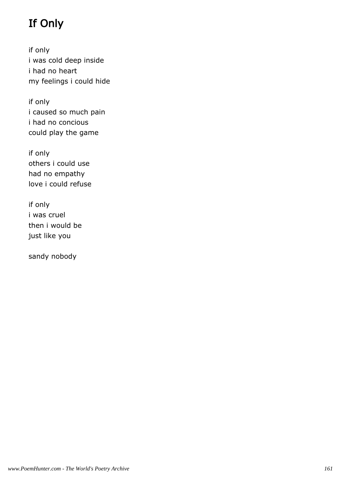# If Only

if only i was cold deep inside i had no heart my feelings i could hide

if only i caused so much pain i had no concious could play the game

if only others i could use had no empathy love i could refuse

if only i was cruel then i would be just like you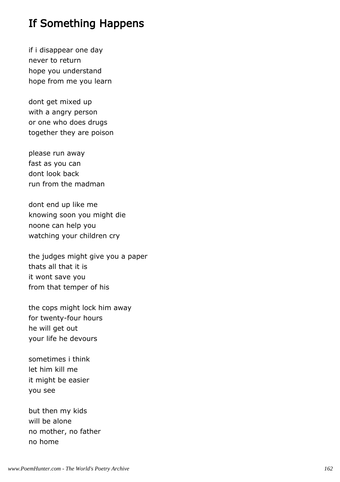## If Something Happens

if i disappear one day never to return hope you understand hope from me you learn

dont get mixed up with a angry person or one who does drugs together they are poison

please run away fast as you can dont look back run from the madman

dont end up like me knowing soon you might die noone can help you watching your children cry

the judges might give you a paper thats all that it is it wont save you from that temper of his

the cops might lock him away for twenty-four hours he will get out your life he devours

sometimes i think let him kill me it might be easier you see

but then my kids will be alone no mother, no father no home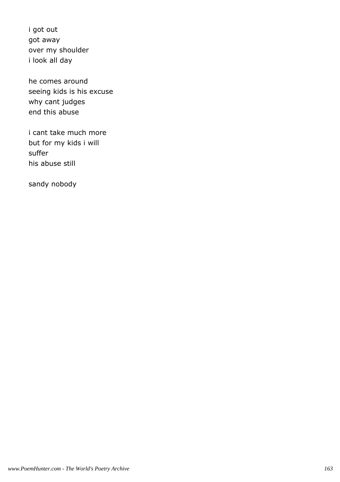i got out got away over my shoulder i look all day

he comes around seeing kids is his excuse why cant judges end this abuse

i cant take much more but for my kids i will suffer his abuse still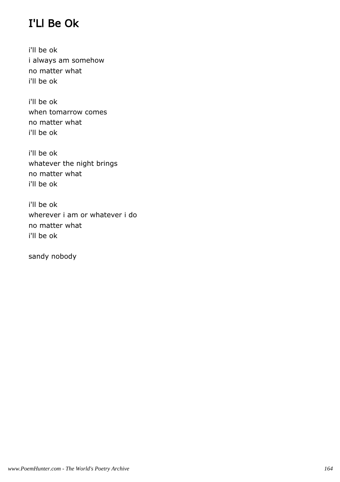## I'Ll Be Ok

i'll be ok i always am somehow no matter what i'll be ok

i'll be ok when tomarrow comes no matter what i'll be ok

i'll be ok whatever the night brings no matter what i'll be ok

i'll be ok wherever i am or whatever i do no matter what i'll be ok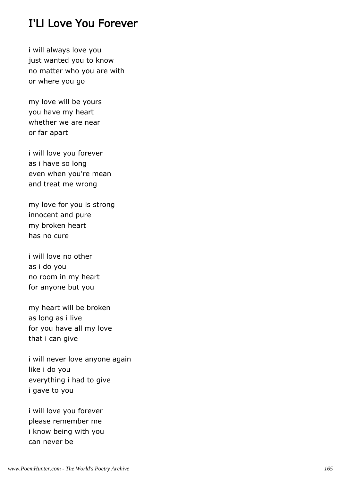#### I'Ll Love You Forever

i will always love you just wanted you to know no matter who you are with or where you go

my love will be yours you have my heart whether we are near or far apart

i will love you forever as i have so long even when you're mean and treat me wrong

my love for you is strong innocent and pure my broken heart has no cure

i will love no other as i do you no room in my heart for anyone but you

my heart will be broken as long as i live for you have all my love that i can give

i will never love anyone again like i do you everything i had to give i gave to you

i will love you forever please remember me i know being with you can never be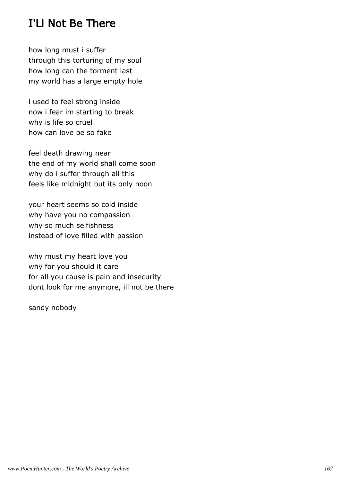## I'Ll Not Be There

how long must i suffer through this torturing of my soul how long can the torment last my world has a large empty hole

i used to feel strong inside now i fear im starting to break why is life so cruel how can love be so fake

feel death drawing near the end of my world shall come soon why do i suffer through all this feels like midnight but its only noon

your heart seems so cold inside why have you no compassion why so much selfishness instead of love filled with passion

why must my heart love you why for you should it care for all you cause is pain and insecurity dont look for me anymore, ill not be there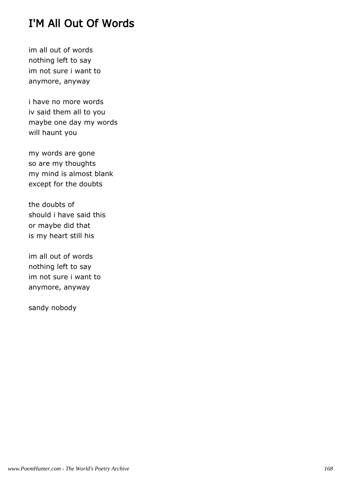## I'M All Out Of Words

im all out of words nothing left to say im not sure i want to anymore, anyway

i have no more words iv said them all to you maybe one day my words will haunt you

my words are gone so are my thoughts my mind is almost blank except for the doubts

the doubts of should i have said this or maybe did that is my heart still his

im all out of words nothing left to say im not sure i want to anymore, anyway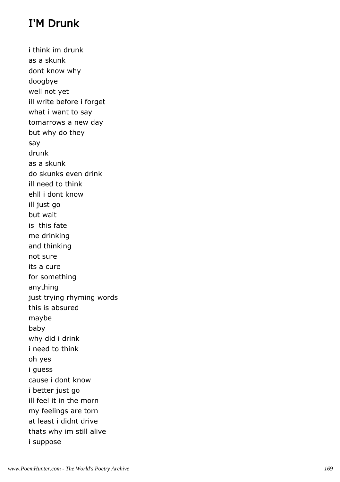## I'M Drunk

i think im drunk as a skunk dont know why doogbye well not yet ill write before i forget what i want to say tomarrows a new day but why do they say drunk as a skunk do skunks even drink ill need to think ehll i dont know ill just go but wait is this fate me drinking and thinking not sure its a cure for something anything just trying rhyming words this is absured maybe baby why did i drink i need to think oh yes i guess cause i dont know i better just go ill feel it in the morn my feelings are torn at least i didnt drive thats why im still alive i suppose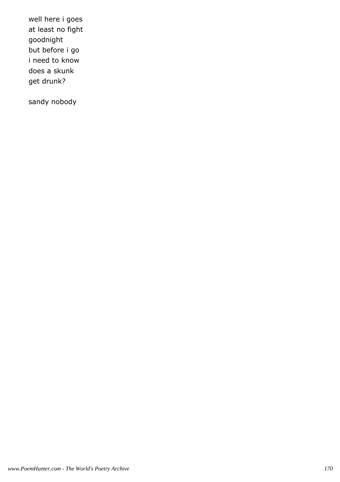well here i goes at least no fight goodnight but before i go i need to know does a skunk get drunk?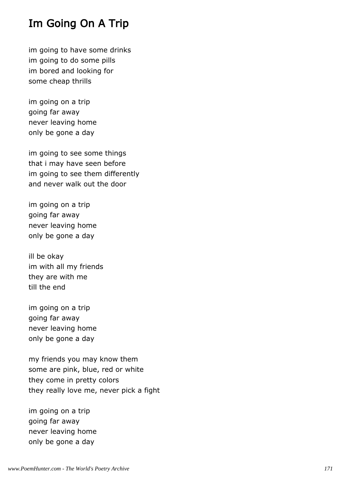#### Im Going On A Trip

im going to have some drinks im going to do some pills im bored and looking for some cheap thrills

im going on a trip going far away never leaving home only be gone a day

im going to see some things that i may have seen before im going to see them differently and never walk out the door

im going on a trip going far away never leaving home only be gone a day

ill be okay im with all my friends they are with me till the end

im going on a trip going far away never leaving home only be gone a day

my friends you may know them some are pink, blue, red or white they come in pretty colors they really love me, never pick a fight

im going on a trip going far away never leaving home only be gone a day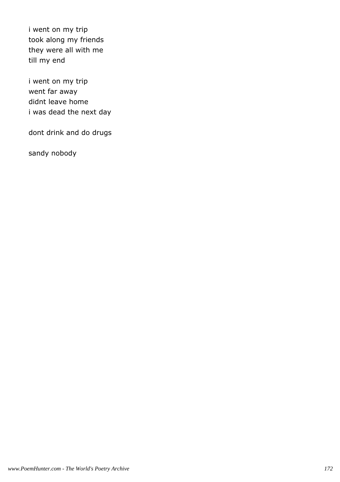i went on my trip took along my friends they were all with me till my end

i went on my trip went far away didnt leave home i was dead the next day

dont drink and do drugs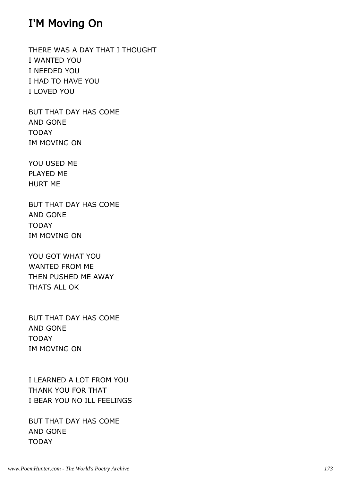#### I'M Moving On

THERE WAS A DAY THAT I THOUGHT I WANTED YOU I NEEDED YOU I HAD TO HAVE YOU I LOVED YOU

BUT THAT DAY HAS COME AND GONE TODAY IM MOVING ON

YOU USED ME PLAYED ME HURT ME

BUT THAT DAY HAS COME AND GONE TODAY IM MOVING ON

YOU GOT WHAT YOU WANTED FROM ME THEN PUSHED ME AWAY THATS ALL OK

BUT THAT DAY HAS COME AND GONE TODAY IM MOVING ON

I LEARNED A LOT FROM YOU THANK YOU FOR THAT I BEAR YOU NO ILL FEELINGS

BUT THAT DAY HAS COME AND GONE TODAY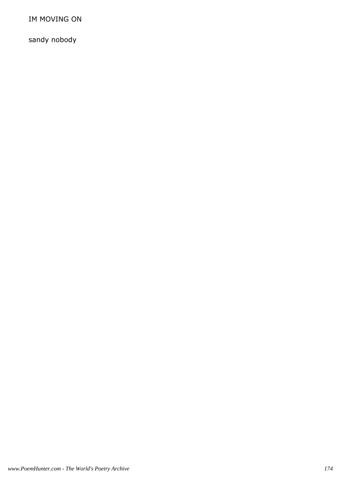IM MOVING ON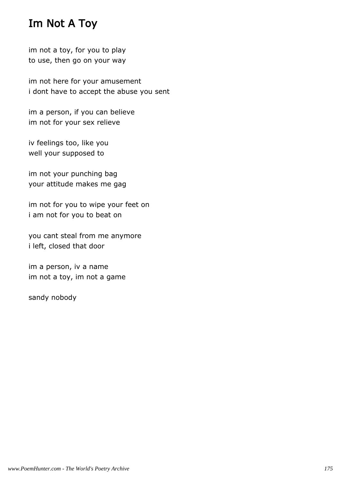## Im Not A Toy

im not a toy, for you to play to use, then go on your way

im not here for your amusement i dont have to accept the abuse you sent

im a person, if you can believe im not for your sex relieve

iv feelings too, like you well your supposed to

im not your punching bag your attitude makes me gag

im not for you to wipe your feet on i am not for you to beat on

you cant steal from me anymore i left, closed that door

im a person, iv a name im not a toy, im not a game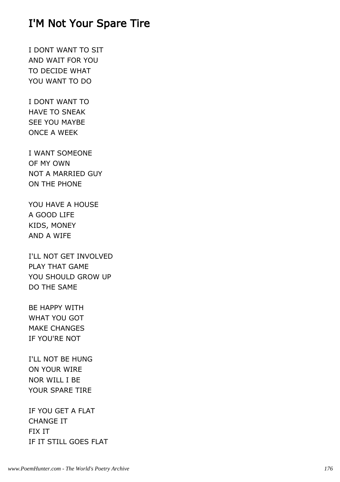#### I'M Not Your Spare Tire

I DONT WANT TO SIT AND WAIT FOR YOU TO DECIDE WHAT YOU WANT TO DO

I DONT WANT TO HAVE TO SNEAK SEE YOU MAYBE ONCE A WEEK

I WANT SOMEONE OF MY OWN NOT A MARRIED GUY ON THE PHONE

YOU HAVE A HOUSE A GOOD LIFE KIDS, MONEY AND A WIFE

I'LL NOT GET INVOLVED PLAY THAT GAME YOU SHOULD GROW UP DO THE SAME

BE HAPPY WITH WHAT YOU GOT MAKE CHANGES IF YOU'RE NOT

I'LL NOT BE HUNG ON YOUR WIRE NOR WILL I BE YOUR SPARE TIRE

IF YOU GET A FLAT CHANGE IT FIX IT IF IT STILL GOES FLAT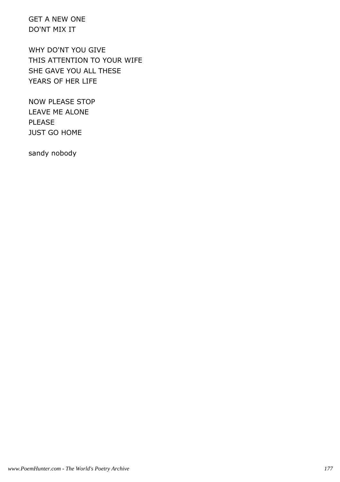GET A NEW ONE DO'NT MIX IT

WHY DO'NT YOU GIVE THIS ATTENTION TO YOUR WIFE SHE GAVE YOU ALL THESE YEARS OF HER LIFE

NOW PLEASE STOP LEAVE ME ALONE PLEASE JUST GO HOME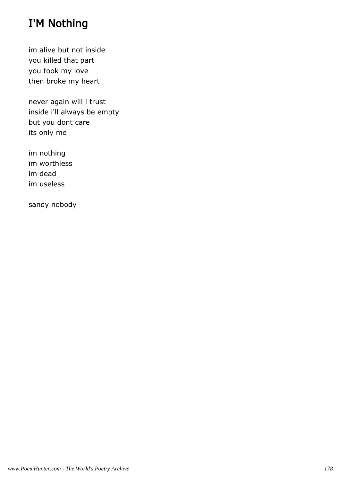## I'M Nothing

im alive but not inside you killed that part you took my love then broke my heart

never again will i trust inside i'll always be empty but you dont care its only me

im nothing im worthless im dead im useless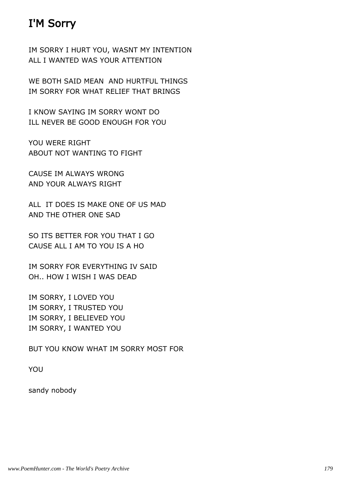## I'M Sorry

IM SORRY I HURT YOU, WASNT MY INTENTION ALL I WANTED WAS YOUR ATTENTION

WE BOTH SAID MEAN AND HURTFUL THINGS IM SORRY FOR WHAT RELIEF THAT BRINGS

I KNOW SAYING IM SORRY WONT DO ILL NEVER BE GOOD ENOUGH FOR YOU

YOU WERE RIGHT ABOUT NOT WANTING TO FIGHT

CAUSE IM ALWAYS WRONG AND YOUR ALWAYS RIGHT

ALL IT DOES IS MAKE ONE OF US MAD AND THE OTHER ONE SAD

SO ITS BETTER FOR YOU THAT I GO CAUSE ALL I AM TO YOU IS A HO

IM SORRY FOR EVERYTHING IV SAID OH.. HOW I WISH I WAS DEAD

IM SORRY, I LOVED YOU IM SORRY, I TRUSTED YOU IM SORRY, I BELIEVED YOU IM SORRY, I WANTED YOU

BUT YOU KNOW WHAT IM SORRY MOST FOR

YOU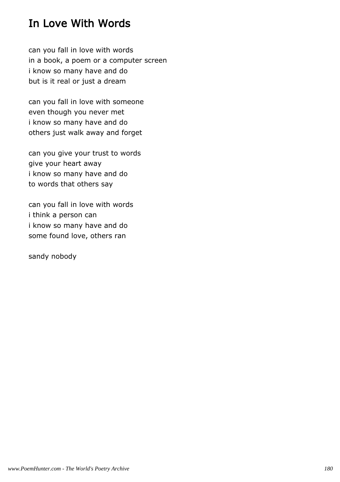## In Love With Words

can you fall in love with words in a book, a poem or a computer screen i know so many have and do but is it real or just a dream

can you fall in love with someone even though you never met i know so many have and do others just walk away and forget

can you give your trust to words give your heart away i know so many have and do to words that others say

can you fall in love with words i think a person can i know so many have and do some found love, others ran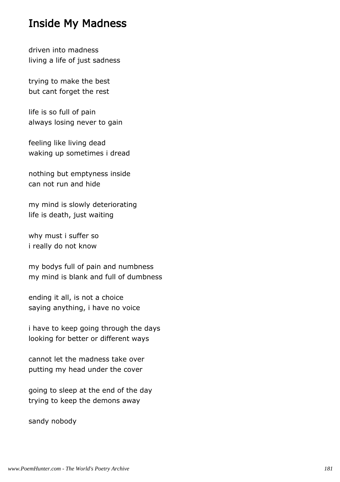#### Inside My Madness

driven into madness living a life of just sadness

trying to make the best but cant forget the rest

life is so full of pain always losing never to gain

feeling like living dead waking up sometimes i dread

nothing but emptyness inside can not run and hide

my mind is slowly deteriorating life is death, just waiting

why must i suffer so i really do not know

my bodys full of pain and numbness my mind is blank and full of dumbness

ending it all, is not a choice saying anything, i have no voice

i have to keep going through the days looking for better or different ways

cannot let the madness take over putting my head under the cover

going to sleep at the end of the day trying to keep the demons away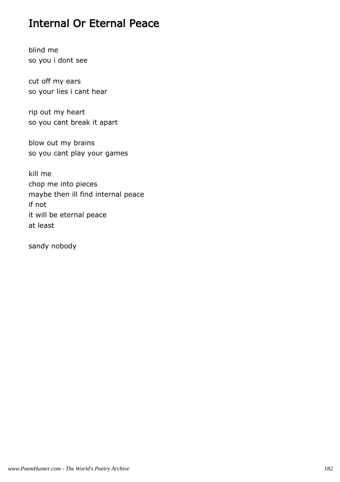## Internal Or Eternal Peace

blind me so you i dont see

cut off my ears so your lies i cant hear

rip out my heart so you cant break it apart

blow out my brains so you cant play your games

kill me chop me into pieces maybe then ill find internal peace if not it will be eternal peace at least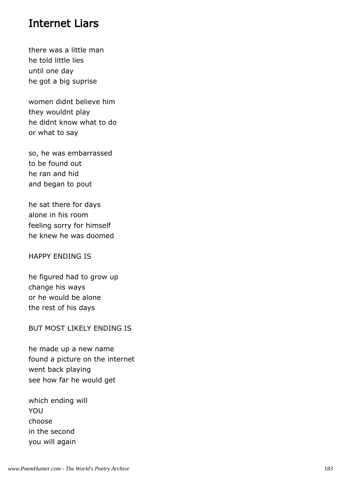#### Internet Liars

there was a little man he told little lies until one day he got a big suprise

women didnt believe him they wouldnt play he didnt know what to do or what to say

so, he was embarrassed to be found out he ran and hid and began to pout

he sat there for days alone in his room feeling sorry for himself he knew he was doomed

HAPPY ENDING IS

he figured had to grow up change his ways or he would be alone the rest of his days

BUT MOST LIKELY ENDING IS

he made up a new name found a picture on the internet went back playing see how far he would get

which ending will YOU choose in the second you will again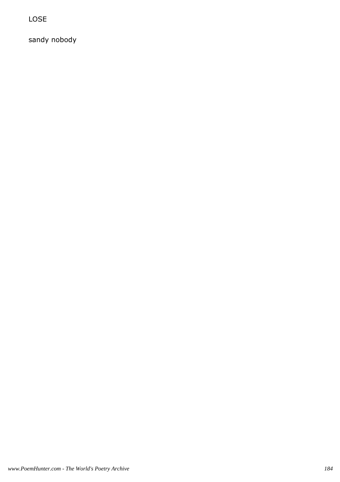LOSE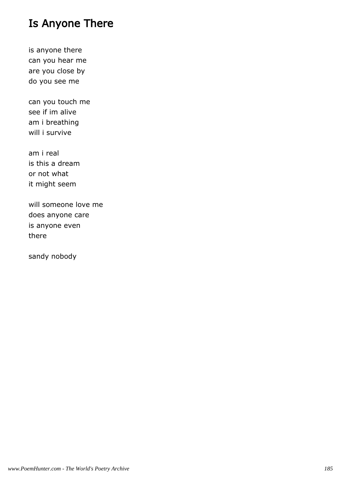# Is Anyone There

is anyone there can you hear me are you close by do you see me

can you touch me see if im alive am i breathing will i survive

am i real is this a dream or not what it might seem

will someone love me does anyone care is anyone even there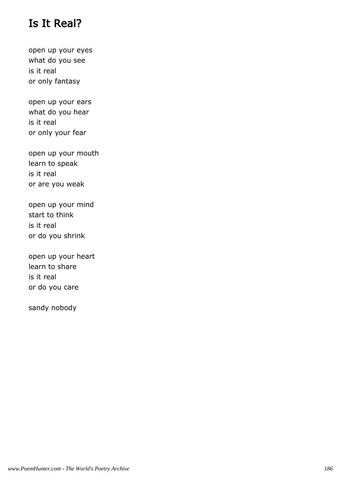## Is It Real?

open up your eyes what do you see is it real or only fantasy

open up your ears what do you hear is it real or only your fear

open up your mouth learn to speak is it real or are you weak

open up your mind start to think is it real or do you shrink

open up your heart learn to share is it real or do you care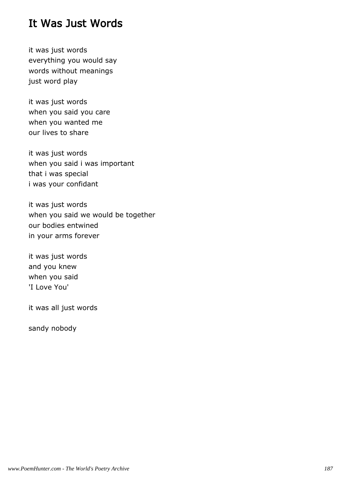### It Was Just Words

it was just words everything you would say words without meanings just word play

it was just words when you said you care when you wanted me our lives to share

it was just words when you said i was important that i was special i was your confidant

it was just words when you said we would be together our bodies entwined in your arms forever

it was just words and you knew when you said 'I Love You'

it was all just words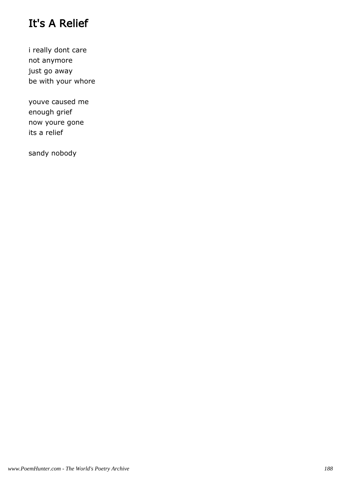# It's A Relief

i really dont care not anymore just go away be with your whore

youve caused me enough grief now youre gone its a relief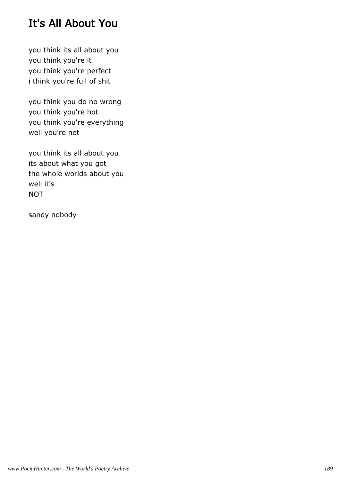# It's All About You

you think its all about you you think you're it you think you're perfect i think you're full of shit

you think you do no wrong you think you're hot you think you're everything well you're not

you think its all about you its about what you got the whole worlds about you well it's **NOT**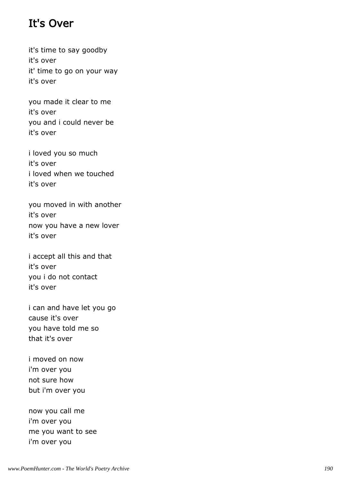# It's Over

it's time to say goodby it's over it' time to go on your way it's over

you made it clear to me it's over you and i could never be it's over

i loved you so much it's over i loved when we touched it's over

you moved in with another it's over now you have a new lover it's over

i accept all this and that it's over you i do not contact it's over

i can and have let you go cause it's over you have told me so that it's over

i moved on now i'm over you not sure how but i'm over you

now you call me i'm over you me you want to see i'm over you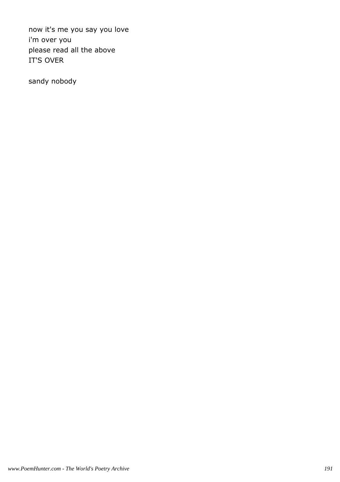now it's me you say you love i'm over you please read all the above IT'S OVER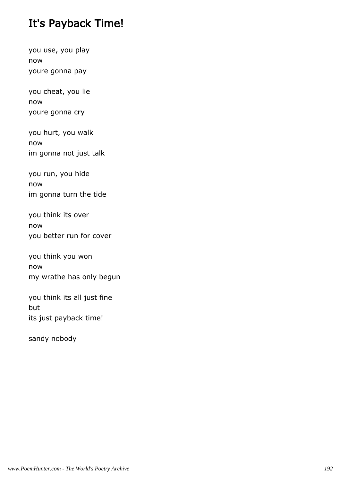# It's Payback Time!

you use, you play now youre gonna pay

you cheat, you lie now youre gonna cry

you hurt, you walk now im gonna not just talk

you run, you hide now im gonna turn the tide

you think its over now you better run for cover

you think you won now my wrathe has only begun

you think its all just fine but its just payback time!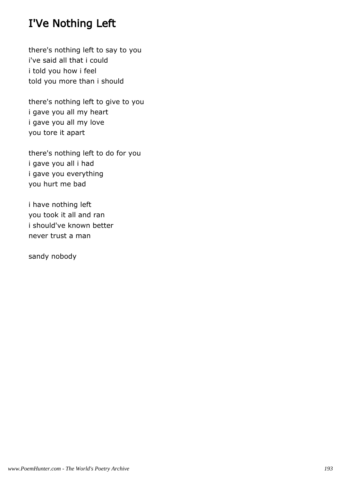# I'Ve Nothing Left

there's nothing left to say to you i've said all that i could i told you how i feel told you more than i should

there's nothing left to give to you i gave you all my heart i gave you all my love you tore it apart

there's nothing left to do for you i gave you all i had i gave you everything you hurt me bad

i have nothing left you took it all and ran i should've known better never trust a man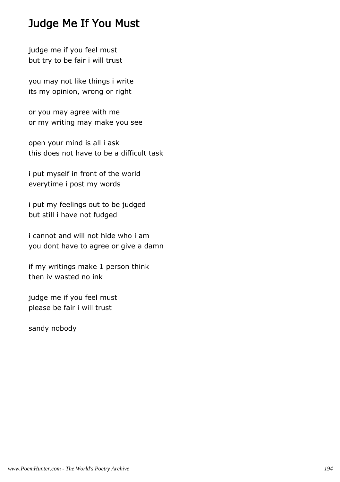## Judge Me If You Must

judge me if you feel must but try to be fair i will trust

you may not like things i write its my opinion, wrong or right

or you may agree with me or my writing may make you see

open your mind is all i ask this does not have to be a difficult task

i put myself in front of the world everytime i post my words

i put my feelings out to be judged but still i have not fudged

i cannot and will not hide who i am you dont have to agree or give a damn

if my writings make 1 person think then iv wasted no ink

judge me if you feel must please be fair i will trust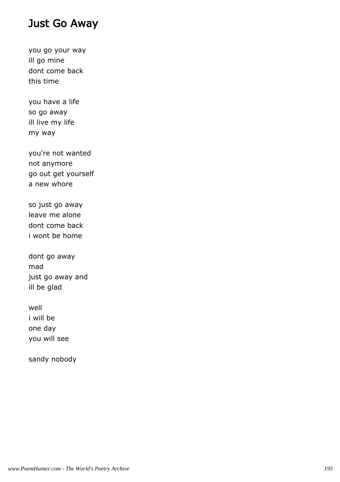### Just Go Away

you go your way ill go mine dont come back this time

you have a life so go away ill live my life my way

you're not wanted not anymore go out get yourself a new whore

so just go away leave me alone dont come back i wont be home

dont go away mad just go away and ill be glad

well i will be one day you will see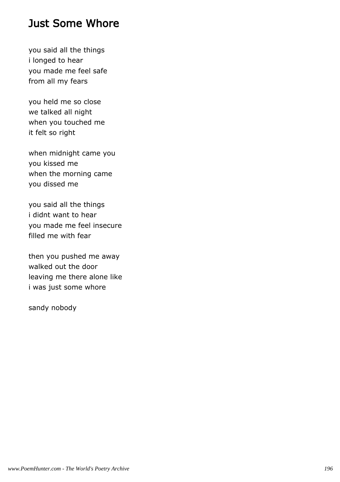### Just Some Whore

you said all the things i longed to hear you made me feel safe from all my fears

you held me so close we talked all night when you touched me it felt so right

when midnight came you you kissed me when the morning came you dissed me

you said all the things i didnt want to hear you made me feel insecure filled me with fear

then you pushed me away walked out the door leaving me there alone like i was just some whore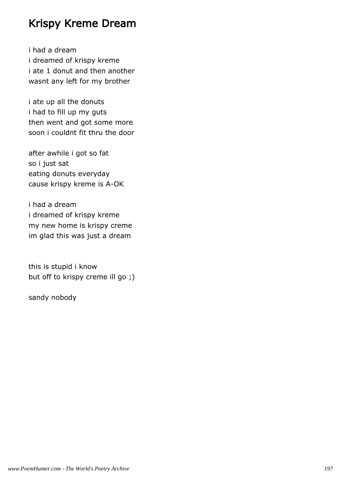## Krispy Kreme Dream

i had a dream i dreamed of krispy kreme i ate 1 donut and then another wasnt any left for my brother

i ate up all the donuts i had to fill up my guts then went and got some more soon i couldnt fit thru the door

after awhile i got so fat so i just sat eating donuts everyday cause krispy kreme is A-OK

i had a dream i dreamed of krispy kreme my new home is krispy creme im glad this was just a dream

this is stupid i know but off to krispy creme ill go ;)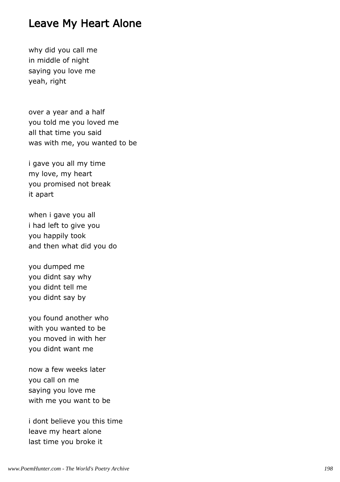#### Leave My Heart Alone

why did you call me in middle of night saying you love me yeah, right

over a year and a half you told me you loved me all that time you said was with me, you wanted to be

i gave you all my time my love, my heart you promised not break it apart

when i gave you all i had left to give you you happily took and then what did you do

you dumped me you didnt say why you didnt tell me you didnt say by

you found another who with you wanted to be you moved in with her you didnt want me

now a few weeks later you call on me saying you love me with me you want to be

i dont believe you this time leave my heart alone last time you broke it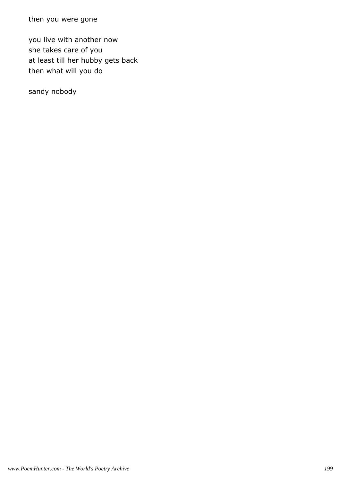then you were gone

you live with another now she takes care of you at least till her hubby gets back then what will you do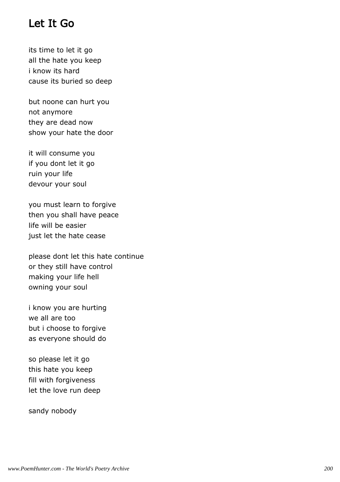#### Let It Go

its time to let it go all the hate you keep i know its hard cause its buried so deep

but noone can hurt you not anymore they are dead now show your hate the door

it will consume you if you dont let it go ruin your life devour your soul

you must learn to forgive then you shall have peace life will be easier just let the hate cease

please dont let this hate continue or they still have control making your life hell owning your soul

i know you are hurting we all are too but i choose to forgive as everyone should do

so please let it go this hate you keep fill with forgiveness let the love run deep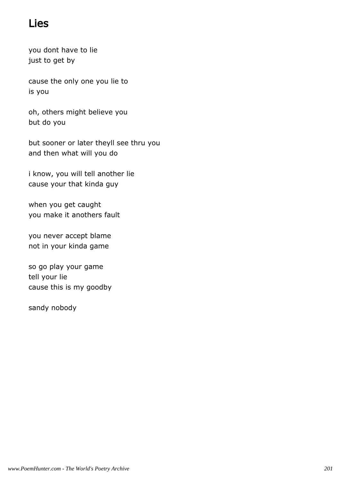## Lies

you dont have to lie just to get by

cause the only one you lie to is you

oh, others might believe you but do you

but sooner or later theyll see thru you and then what will you do

i know, you will tell another lie cause your that kinda guy

when you get caught you make it anothers fault

you never accept blame not in your kinda game

so go play your game tell your lie cause this is my goodby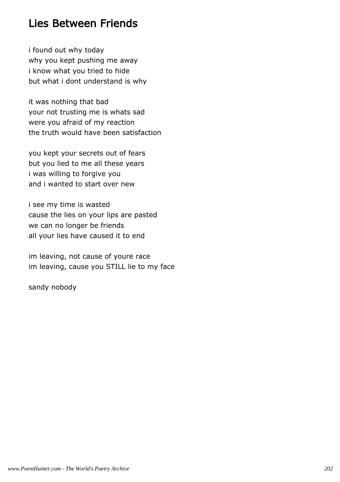## Lies Between Friends

i found out why today why you kept pushing me away i know what you tried to hide but what i dont understand is why

it was nothing that bad your not trusting me is whats sad were you afraid of my reaction the truth would have been satisfaction

you kept your secrets out of fears but you lied to me all these years i was willing to forgive you and i wanted to start over new

i see my time is wasted cause the lies on your lips are pasted we can no longer be friends all your lies have caused it to end

im leaving, not cause of youre race im leaving, cause you STILL lie to my face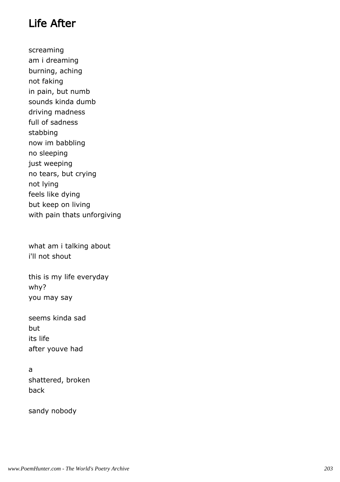## Life After

screaming am i dreaming burning, aching not faking in pain, but numb sounds kinda dumb driving madness full of sadness stabbing now im babbling no sleeping just weeping no tears, but crying not lying feels like dying but keep on living with pain thats unforgiving

what am i talking about i'll not shout

this is my life everyday why? you may say

seems kinda sad but its life after youve had

#### a shattered, broken back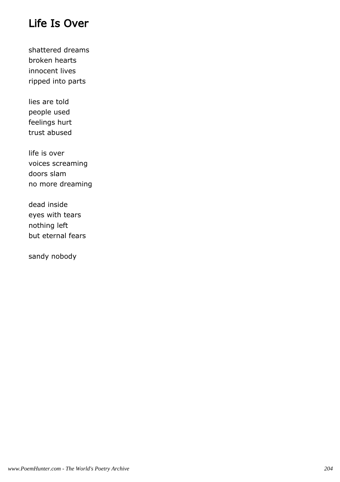# Life Is Over

shattered dreams broken hearts innocent lives ripped into parts

lies are told people used feelings hurt trust abused

life is over voices screaming doors slam no more dreaming

dead inside eyes with tears nothing left but eternal fears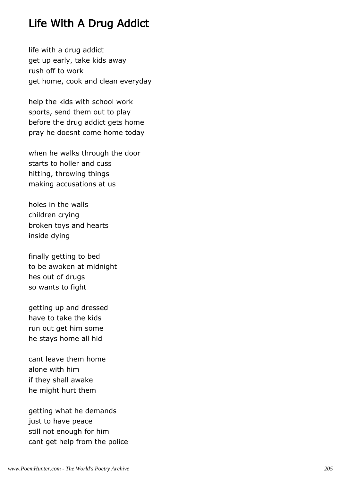## Life With A Drug Addict

life with a drug addict get up early, take kids away rush off to work get home, cook and clean everyday

help the kids with school work sports, send them out to play before the drug addict gets home pray he doesnt come home today

when he walks through the door starts to holler and cuss hitting, throwing things making accusations at us

holes in the walls children crying broken toys and hearts inside dying

finally getting to bed to be awoken at midnight hes out of drugs so wants to fight

getting up and dressed have to take the kids run out get him some he stays home all hid

cant leave them home alone with him if they shall awake he might hurt them

getting what he demands just to have peace still not enough for him cant get help from the police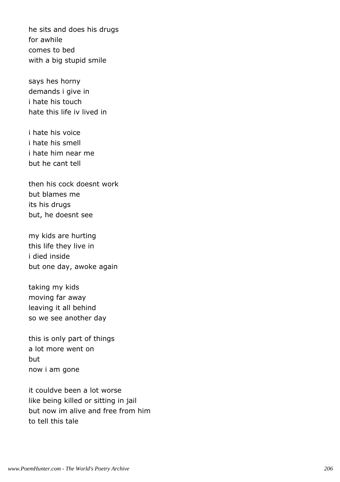he sits and does his drugs for awhile comes to bed with a big stupid smile

says hes horny demands i give in i hate his touch hate this life iv lived in

i hate his voice i hate his smell i hate him near me but he cant tell

then his cock doesnt work but blames me its his drugs but, he doesnt see

my kids are hurting this life they live in i died inside but one day, awoke again

taking my kids moving far away leaving it all behind so we see another day

this is only part of things a lot more went on but now i am gone

it couldve been a lot worse like being killed or sitting in jail but now im alive and free from him to tell this tale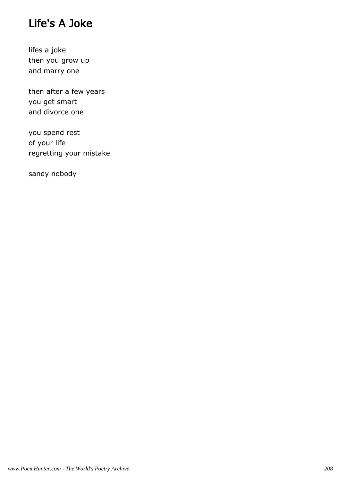# Life's A Joke

lifes a joke then you grow up and marry one

then after a few years you get smart and divorce one

you spend rest of your life regretting your mistake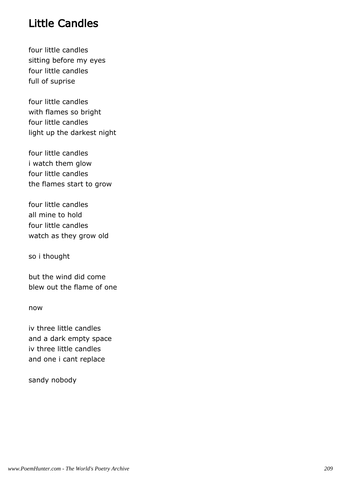## Little Candles

four little candles sitting before my eyes four little candles full of suprise

four little candles with flames so bright four little candles light up the darkest night

four little candles i watch them glow four little candles the flames start to grow

four little candles all mine to hold four little candles watch as they grow old

so i thought

but the wind did come blew out the flame of one

now

iv three little candles and a dark empty space iv three little candles and one i cant replace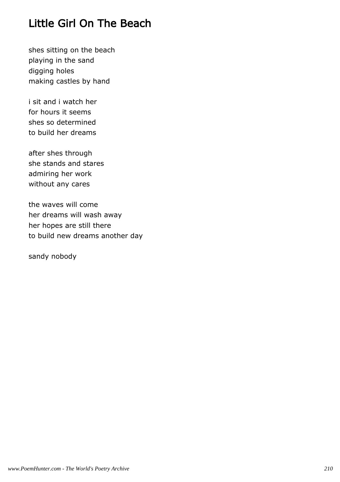## Little Girl On The Beach

shes sitting on the beach playing in the sand digging holes making castles by hand

i sit and i watch her for hours it seems shes so determined to build her dreams

after shes through she stands and stares admiring her work without any cares

the waves will come her dreams will wash away her hopes are still there to build new dreams another day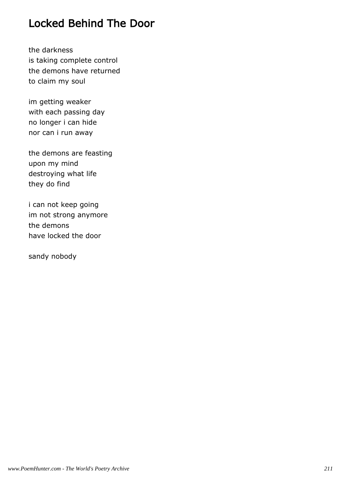## Locked Behind The Door

the darkness is taking complete control the demons have returned to claim my soul

im getting weaker with each passing day no longer i can hide nor can i run away

the demons are feasting upon my mind destroying what life they do find

i can not keep going im not strong anymore the demons have locked the door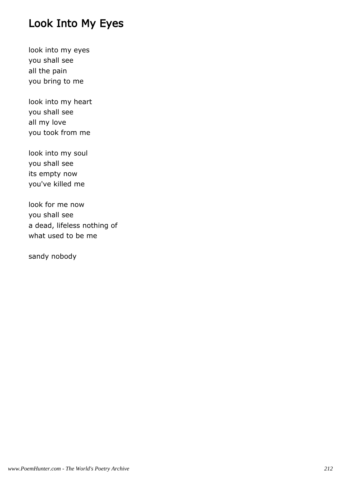# Look Into My Eyes

look into my eyes you shall see all the pain you bring to me

look into my heart you shall see all my love you took from me

look into my soul you shall see its empty now you've killed me

look for me now you shall see a dead, lifeless nothing of what used to be me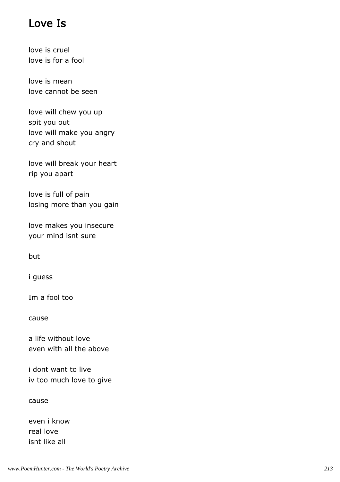## Love Is

love is cruel love is for a fool

love is mean love cannot be seen

love will chew you up spit you out love will make you angry cry and shout

love will break your heart rip you apart

love is full of pain losing more than you gain

love makes you insecure your mind isnt sure

but

i guess

Im a fool too

cause

a life without love even with all the above

i dont want to live iv too much love to give

cause

even i know real love isnt like all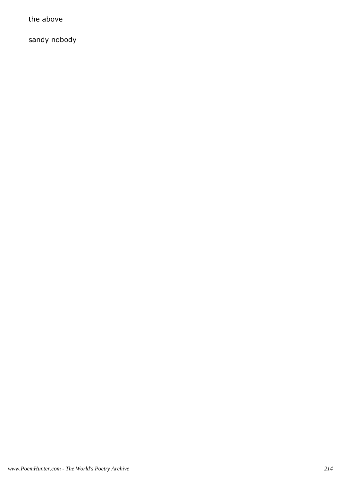the above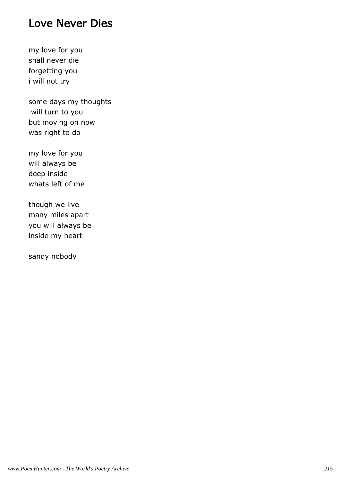# Love Never Dies

my love for you shall never die forgetting you i will not try

some days my thoughts will turn to you but moving on now was right to do

my love for you will always be deep inside whats left of me

though we live many miles apart you will always be inside my heart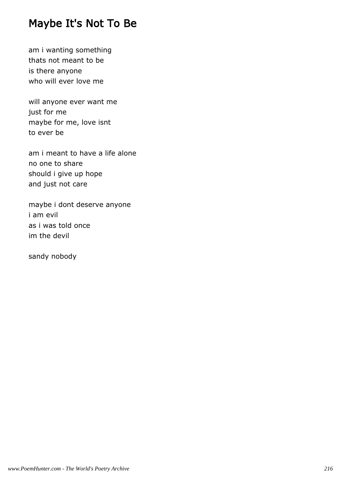# Maybe It's Not To Be

am i wanting something thats not meant to be is there anyone who will ever love me

will anyone ever want me just for me maybe for me, love isnt to ever be

am i meant to have a life alone no one to share should i give up hope and just not care

maybe i dont deserve anyone i am evil as i was told once im the devil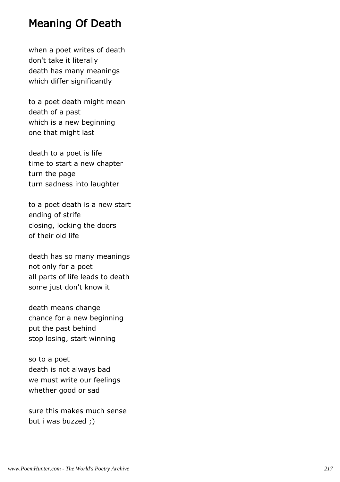#### Meaning Of Death

when a poet writes of death don't take it literally death has many meanings which differ significantly

to a poet death might mean death of a past which is a new beginning one that might last

death to a poet is life time to start a new chapter turn the page turn sadness into laughter

to a poet death is a new start ending of strife closing, locking the doors of their old life

death has so many meanings not only for a poet all parts of life leads to death some just don't know it

death means change chance for a new beginning put the past behind stop losing, start winning

so to a poet death is not always bad we must write our feelings whether good or sad

sure this makes much sense but i was buzzed ;)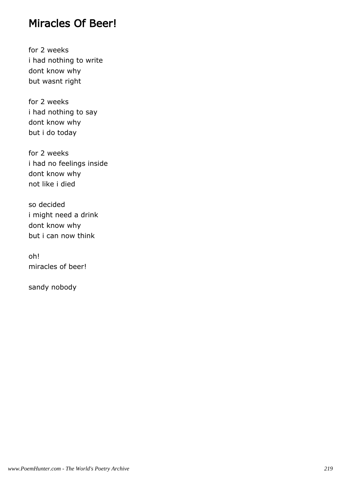#### Miracles Of Beer!

for 2 weeks i had nothing to write dont know why but wasnt right

for 2 weeks i had nothing to say dont know why but i do today

for 2 weeks i had no feelings inside dont know why not like i died

so decided i might need a drink dont know why but i can now think

oh! miracles of beer!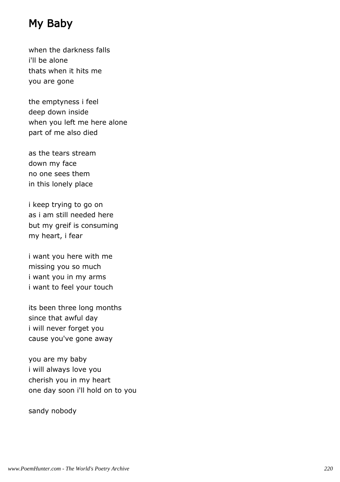# My Baby

when the darkness falls i'll be alone thats when it hits me you are gone

the emptyness i feel deep down inside when you left me here alone part of me also died

as the tears stream down my face no one sees them in this lonely place

i keep trying to go on as i am still needed here but my greif is consuming my heart, i fear

i want you here with me missing you so much i want you in my arms i want to feel your touch

its been three long months since that awful day i will never forget you cause you've gone away

you are my baby i will always love you cherish you in my heart one day soon i'll hold on to you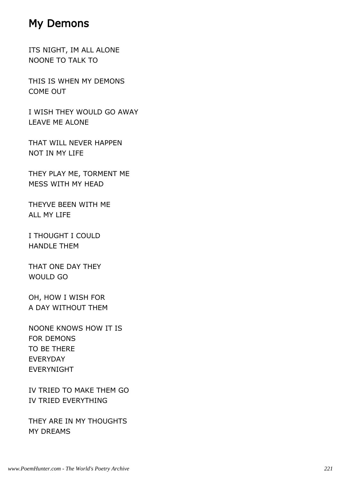#### My Demons

ITS NIGHT, IM ALL ALONE NOONE TO TALK TO

THIS IS WHEN MY DEMONS COME OUT

I WISH THEY WOULD GO AWAY LEAVE ME ALONE

THAT WILL NEVER HAPPEN NOT IN MY LIFE

THEY PLAY ME, TORMENT ME MESS WITH MY HEAD

THEYVE BEEN WITH ME ALL MY LIFE

I THOUGHT I COULD HANDLE THEM

THAT ONE DAY THEY WOULD GO

OH, HOW I WISH FOR A DAY WITHOUT THEM

NOONE KNOWS HOW IT IS FOR DEMONS TO BE THERE EVERYDAY EVERYNIGHT

IV TRIED TO MAKE THEM GO IV TRIED EVERYTHING

THEY ARE IN MY THOUGHTS MY DREAMS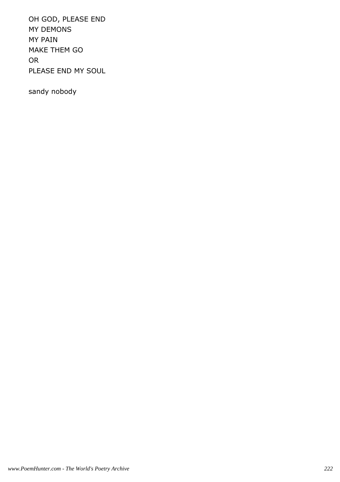OH GOD, PLEASE END MY DEMONS MY PAIN MAKE THEM GO OR PLEASE END MY SOUL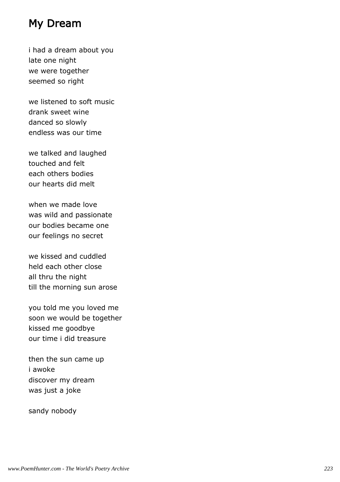## My Dream

i had a dream about you late one night we were together seemed so right

we listened to soft music drank sweet wine danced so slowly endless was our time

we talked and laughed touched and felt each others bodies our hearts did melt

when we made love was wild and passionate our bodies became one our feelings no secret

we kissed and cuddled held each other close all thru the night till the morning sun arose

you told me you loved me soon we would be together kissed me goodbye our time i did treasure

then the sun came up i awoke discover my dream was just a joke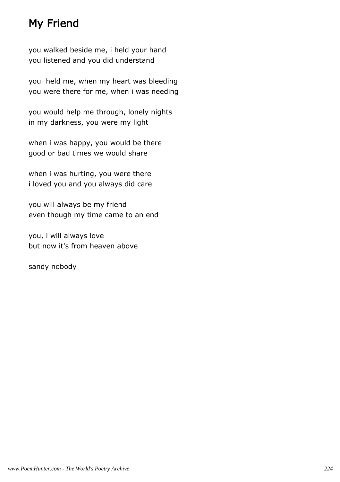# My Friend

you walked beside me, i held your hand you listened and you did understand

you held me, when my heart was bleeding you were there for me, when i was needing

you would help me through, lonely nights in my darkness, you were my light

when i was happy, you would be there good or bad times we would share

when i was hurting, you were there i loved you and you always did care

you will always be my friend even though my time came to an end

you, i will always love but now it's from heaven above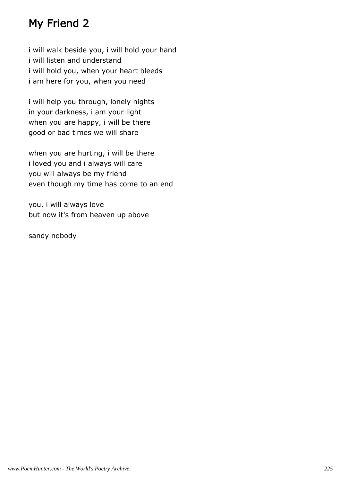# My Friend 2

i will walk beside you, i will hold your hand i will listen and understand i will hold you, when your heart bleeds i am here for you, when you need

i will help you through, lonely nights in your darkness, i am your light when you are happy, i will be there good or bad times we will share

when you are hurting, i will be there i loved you and i always will care you will always be my friend even though my time has come to an end

you, i will always love but now it's from heaven up above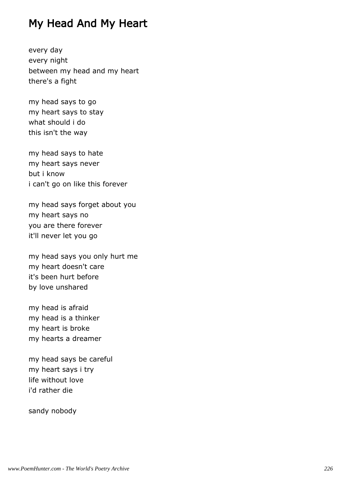## My Head And My Heart

every day every night between my head and my heart there's a fight

my head says to go my heart says to stay what should i do this isn't the way

my head says to hate my heart says never but i know i can't go on like this forever

my head says forget about you my heart says no you are there forever it'll never let you go

my head says you only hurt me my heart doesn't care it's been hurt before by love unshared

my head is afraid my head is a thinker my heart is broke my hearts a dreamer

my head says be careful my heart says i try life without love i'd rather die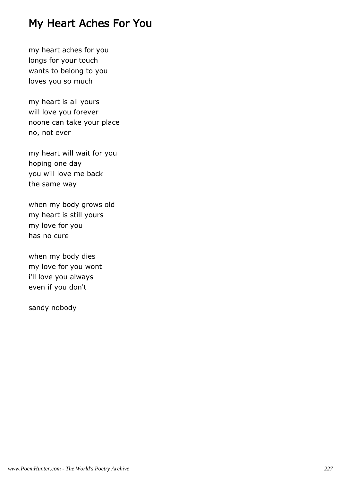#### My Heart Aches For You

my heart aches for you longs for your touch wants to belong to you loves you so much

my heart is all yours will love you forever noone can take your place no, not ever

my heart will wait for you hoping one day you will love me back the same way

when my body grows old my heart is still yours my love for you has no cure

when my body dies my love for you wont i'll love you always even if you don't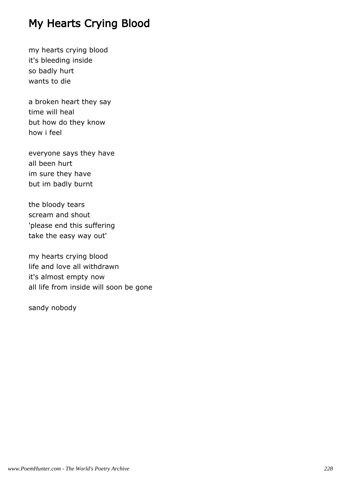# My Hearts Crying Blood

my hearts crying blood it's bleeding inside so badly hurt wants to die

a broken heart they say time will heal but how do they know how i feel

everyone says they have all been hurt im sure they have but im badly burnt

the bloody tears scream and shout 'please end this suffering take the easy way out'

my hearts crying blood life and love all withdrawn it's almost empty now all life from inside will soon be gone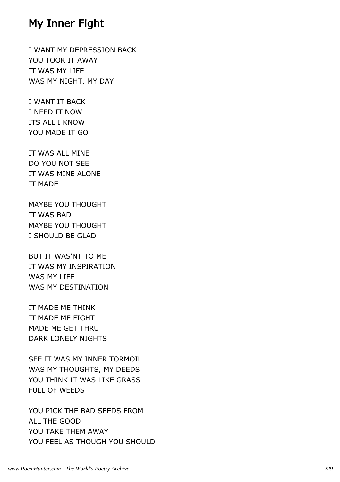#### My Inner Fight

I WANT MY DEPRESSION BACK YOU TOOK IT AWAY IT WAS MY LIFE WAS MY NIGHT, MY DAY

I WANT IT BACK I NEED IT NOW ITS ALL I KNOW YOU MADE IT GO

IT WAS ALL MINE DO YOU NOT SEE IT WAS MINE ALONE IT MADE

MAYBE YOU THOUGHT IT WAS BAD MAYBE YOU THOUGHT I SHOULD BE GLAD

BUT IT WAS'NT TO ME IT WAS MY INSPIRATION WAS MY LIFE WAS MY DESTINATION

IT MADE ME THINK IT MADE ME FIGHT MADE ME GET THRU DARK LONELY NIGHTS

SEE IT WAS MY INNER TORMOIL WAS MY THOUGHTS, MY DEEDS YOU THINK IT WAS LIKE GRASS FULL OF WEEDS

YOU PICK THE BAD SEEDS FROM ALL THE GOOD YOU TAKE THEM AWAY YOU FEEL AS THOUGH YOU SHOULD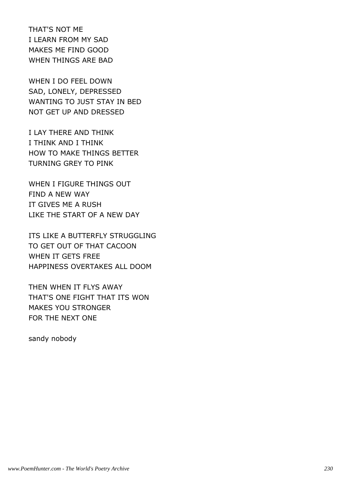THAT'S NOT ME I LEARN FROM MY SAD MAKES ME FIND GOOD WHEN THINGS ARE BAD

WHEN I DO FEEL DOWN SAD, LONELY, DEPRESSED WANTING TO JUST STAY IN BED NOT GET UP AND DRESSED

I LAY THERE AND THINK I THINK AND I THINK HOW TO MAKE THINGS BETTER TURNING GREY TO PINK

WHEN I FIGURE THINGS OUT FIND A NEW WAY IT GIVES ME A RUSH LIKE THE START OF A NEW DAY

ITS LIKE A BUTTERFLY STRUGGLING TO GET OUT OF THAT CACOON WHEN IT GETS FREE HAPPINESS OVERTAKES ALL DOOM

THEN WHEN IT FLYS AWAY THAT'S ONE FIGHT THAT ITS WON MAKES YOU STRONGER FOR THE NEXT ONE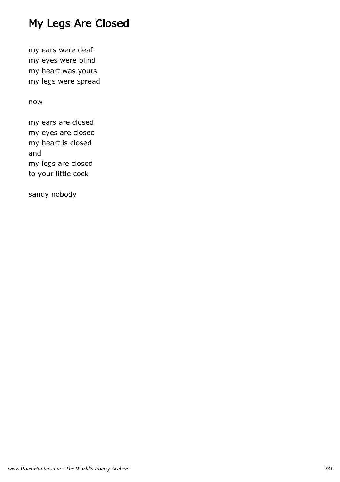# My Legs Are Closed

my ears were deaf my eyes were blind my heart was yours my legs were spread

#### now

my ears are closed my eyes are closed my heart is closed and my legs are closed to your little cock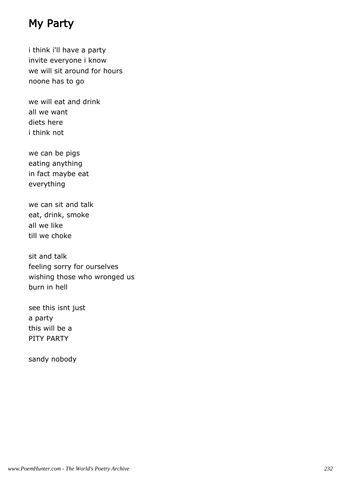# My Party

i think i'll have a party invite everyone i know we will sit around for hours noone has to go

we will eat and drink all we want diets here i think not

we can be pigs eating anything in fact maybe eat everything

we can sit and talk eat, drink, smoke all we like till we choke

sit and talk feeling sorry for ourselves wishing those who wronged us burn in hell

see this isnt just a party this will be a PITY PARTY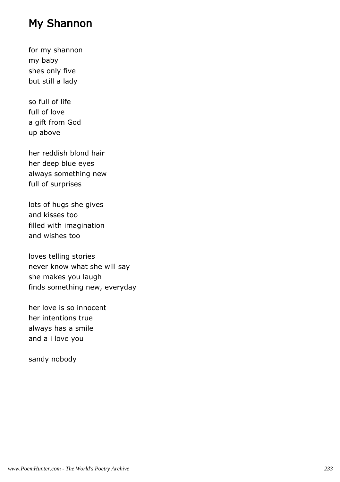# My Shannon

for my shannon my baby shes only five but still a lady

so full of life full of love a gift from God up above

her reddish blond hair her deep blue eyes always something new full of surprises

lots of hugs she gives and kisses too filled with imagination and wishes too

loves telling stories never know what she will say she makes you laugh finds something new, everyday

her love is so innocent her intentions true always has a smile and a i love you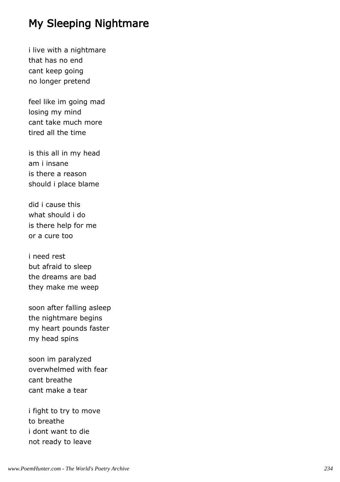# My Sleeping Nightmare

i live with a nightmare that has no end cant keep going no longer pretend

feel like im going mad losing my mind cant take much more tired all the time

is this all in my head am i insane is there a reason should i place blame

did i cause this what should i do is there help for me or a cure too

i need rest but afraid to sleep the dreams are bad they make me weep

soon after falling asleep the nightmare begins my heart pounds faster my head spins

soon im paralyzed overwhelmed with fear cant breathe cant make a tear

i fight to try to move to breathe i dont want to die not ready to leave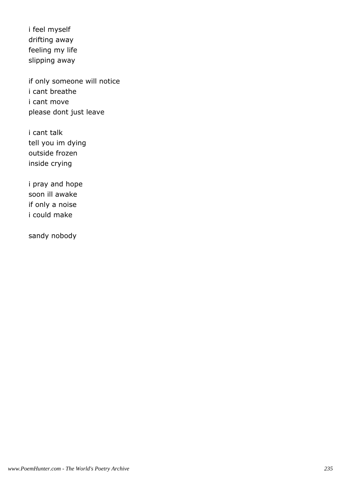i feel myself drifting away feeling my life slipping away

if only someone will notice i cant breathe i cant move please dont just leave

i cant talk tell you im dying outside frozen inside crying

i pray and hope soon ill awake if only a noise i could make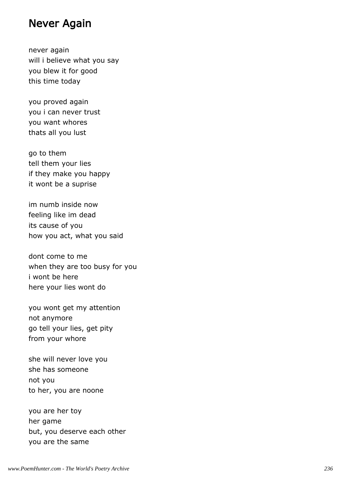#### Never Again

never again will i believe what you say you blew it for good this time today

you proved again you i can never trust you want whores thats all you lust

go to them tell them your lies if they make you happy it wont be a suprise

im numb inside now feeling like im dead its cause of you how you act, what you said

dont come to me when they are too busy for you i wont be here here your lies wont do

you wont get my attention not anymore go tell your lies, get pity from your whore

she will never love you she has someone not you to her, you are noone

you are her toy her game but, you deserve each other you are the same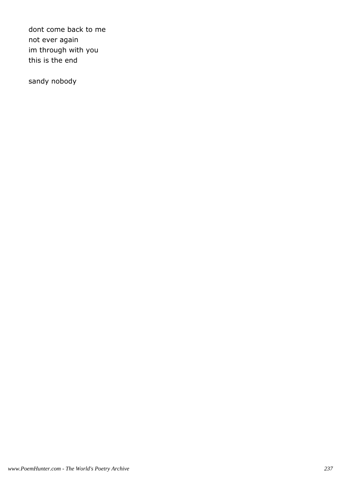dont come back to me not ever again im through with you this is the end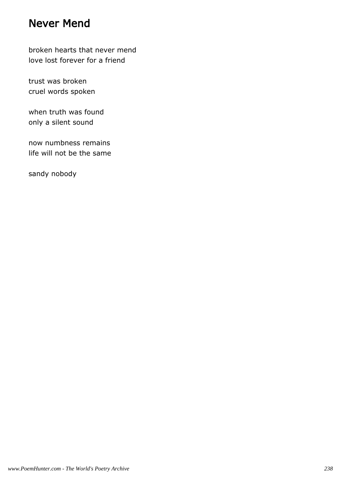#### Never Mend

broken hearts that never mend love lost forever for a friend

trust was broken cruel words spoken

when truth was found only a silent sound

now numbness remains life will not be the same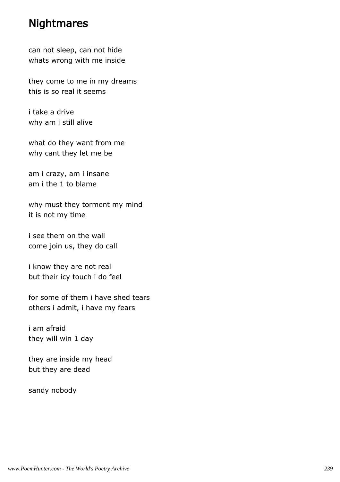#### **Nightmares**

can not sleep, can not hide whats wrong with me inside

they come to me in my dreams this is so real it seems

i take a drive why am i still alive

what do they want from me why cant they let me be

am i crazy, am i insane am i the 1 to blame

why must they torment my mind it is not my time

i see them on the wall come join us, they do call

i know they are not real but their icy touch i do feel

for some of them i have shed tears others i admit, i have my fears

i am afraid they will win 1 day

they are inside my head but they are dead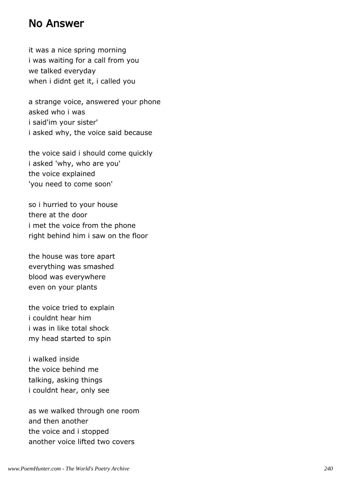#### No Answer

it was a nice spring morning i was waiting for a call from you we talked everyday when i didnt get it, i called you

a strange voice, answered your phone asked who i was i said'im your sister' i asked why, the voice said because

the voice said i should come quickly i asked 'why, who are you' the voice explained 'you need to come soon'

so i hurried to your house there at the door i met the voice from the phone right behind him i saw on the floor

the house was tore apart everything was smashed blood was everywhere even on your plants

the voice tried to explain i couldnt hear him i was in like total shock my head started to spin

i walked inside the voice behind me talking, asking things i couldnt hear, only see

as we walked through one room and then another the voice and i stopped another voice lifted two covers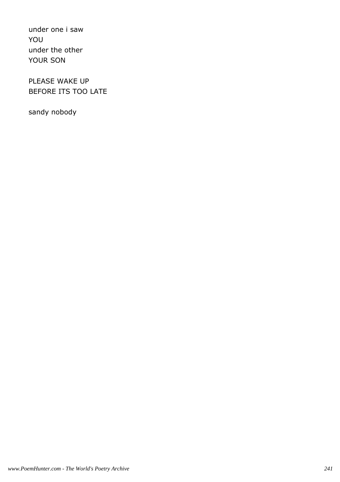under one i saw YOU under the other YOUR SON

PLEASE WAKE UP BEFORE ITS TOO LATE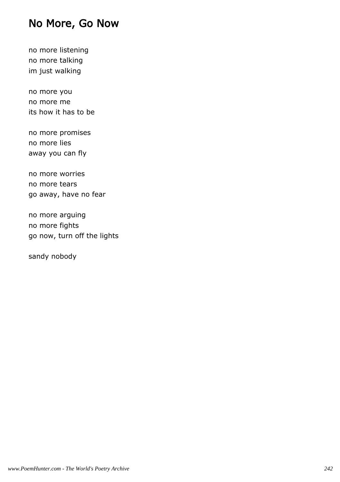#### No More, Go Now

no more listening no more talking im just walking

no more you no more me its how it has to be

no more promises no more lies away you can fly

no more worries no more tears go away, have no fear

no more arguing no more fights go now, turn off the lights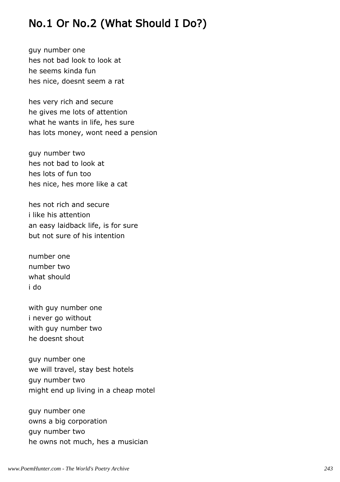# No.1 Or No.2 (What Should I Do?)

guy number one hes not bad look to look at he seems kinda fun hes nice, doesnt seem a rat

hes very rich and secure he gives me lots of attention what he wants in life, hes sure has lots money, wont need a pension

guy number two hes not bad to look at hes lots of fun too hes nice, hes more like a cat

hes not rich and secure i like his attention an easy laidback life, is for sure but not sure of his intention

number one number two what should i do

with guy number one i never go without with guy number two he doesnt shout

guy number one we will travel, stay best hotels guy number two might end up living in a cheap motel

guy number one owns a big corporation guy number two he owns not much, hes a musician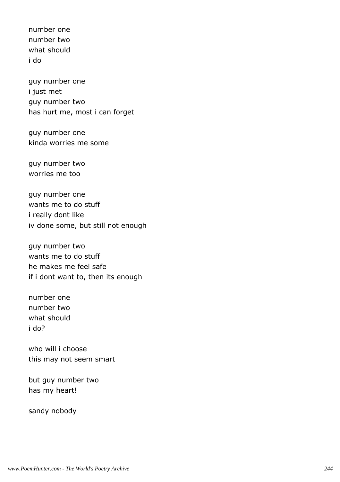number one number two what should i do

guy number one i just met guy number two has hurt me, most i can forget

guy number one kinda worries me some

guy number two worries me too

guy number one wants me to do stuff i really dont like iv done some, but still not enough

guy number two wants me to do stuff he makes me feel safe if i dont want to, then its enough

number one number two what should i do?

who will i choose this may not seem smart

but guy number two has my heart!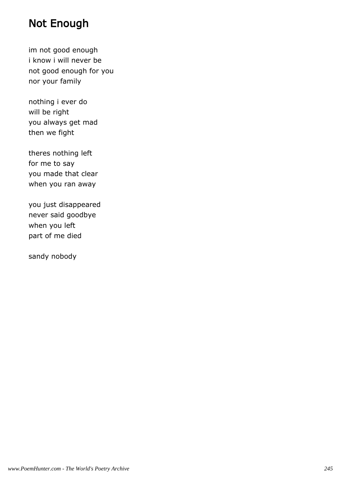# Not Enough

im not good enough i know i will never be not good enough for you nor your family

nothing i ever do will be right you always get mad then we fight

theres nothing left for me to say you made that clear when you ran away

you just disappeared never said goodbye when you left part of me died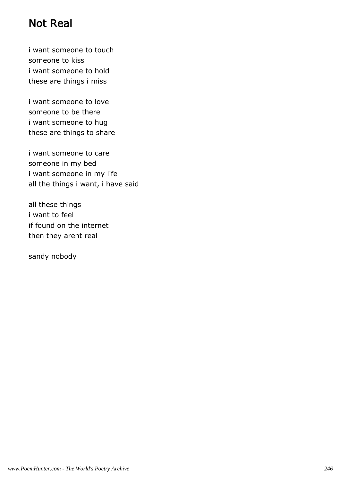# Not Real

i want someone to touch someone to kiss i want someone to hold these are things i miss

i want someone to love someone to be there i want someone to hug these are things to share

i want someone to care someone in my bed i want someone in my life all the things i want, i have said

all these things i want to feel if found on the internet then they arent real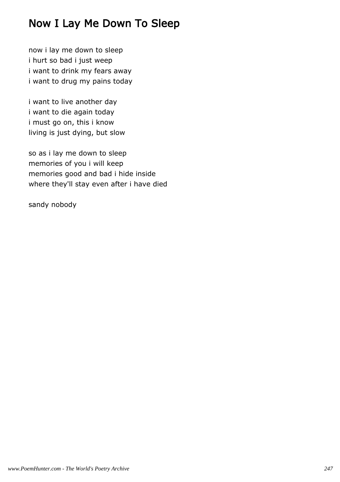# Now I Lay Me Down To Sleep

now i lay me down to sleep i hurt so bad i just weep i want to drink my fears away i want to drug my pains today

i want to live another day i want to die again today i must go on, this i know living is just dying, but slow

so as i lay me down to sleep memories of you i will keep memories good and bad i hide inside where they'll stay even after i have died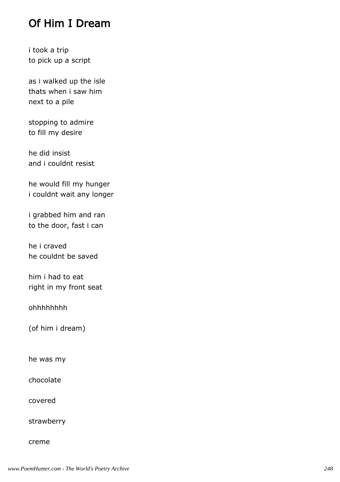# Of Him I Dream

i took a trip to pick up a script

as i walked up the isle thats when i saw him next to a pile

stopping to admire to fill my desire

he did insist and i couldnt resist

he would fill my hunger i couldnt wait any longer

i grabbed him and ran to the door, fast i can

he i craved he couldnt be saved

him i had to eat right in my front seat

ohhhhhhhh

(of him i dream)

he was my

chocolate

covered

strawberry

creme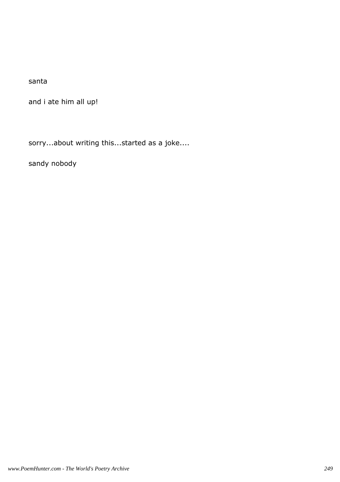santa

and i ate him all up!

sorry...about writing this...started as a joke....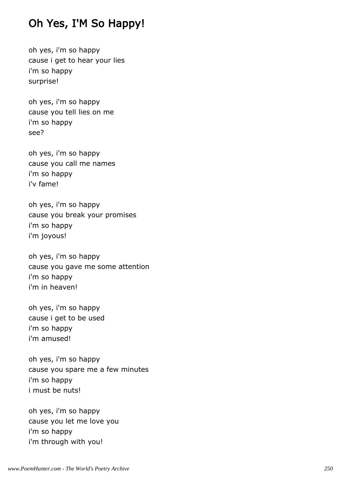# Oh Yes, I'M So Happy!

oh yes, i'm so happy cause i get to hear your lies i'm so happy surprise!

oh yes, i'm so happy cause you tell lies on me i'm so happy see?

oh yes, i'm so happy cause you call me names i'm so happy i'v fame!

oh yes, i'm so happy cause you break your promises i'm so happy i'm joyous!

oh yes, i'm so happy cause you gave me some attention i'm so happy i'm in heaven!

oh yes, i'm so happy cause i get to be used i'm so happy i'm amused!

oh yes, i'm so happy cause you spare me a few minutes i'm so happy i must be nuts!

oh yes, i'm so happy cause you let me love you i'm so happy i'm through with you!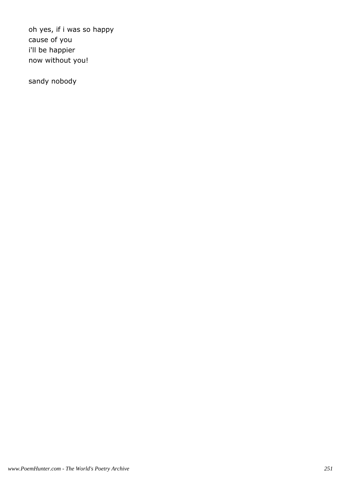oh yes, if i was so happy cause of you i'll be happier now without you!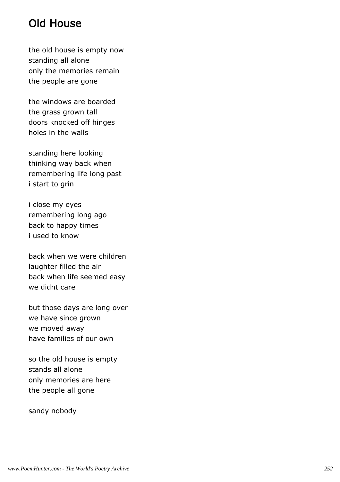## Old House

the old house is empty now standing all alone only the memories remain the people are gone

the windows are boarded the grass grown tall doors knocked off hinges holes in the walls

standing here looking thinking way back when remembering life long past i start to grin

i close my eyes remembering long ago back to happy times i used to know

back when we were children laughter filled the air back when life seemed easy we didnt care

but those days are long over we have since grown we moved away have families of our own

so the old house is empty stands all alone only memories are here the people all gone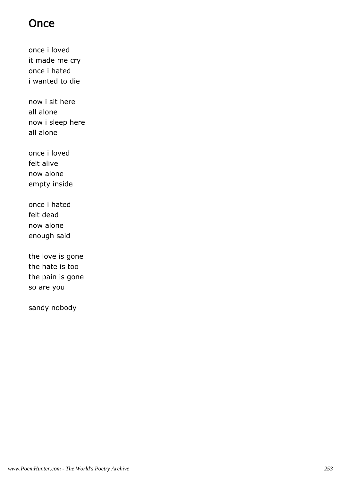## **Once**

once i loved it made me cry once i hated i wanted to die

now i sit here all alone now i sleep here all alone

once i loved felt alive now alone empty inside

once i hated felt dead now alone enough said

the love is gone the hate is too the pain is gone so are you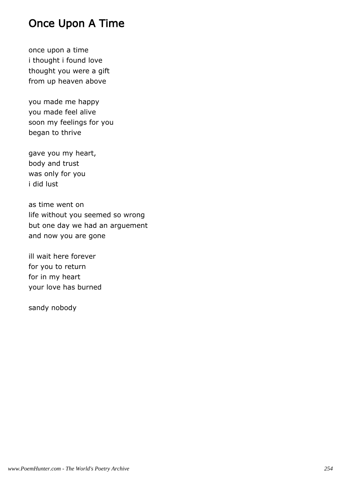## Once Upon A Time

once upon a time i thought i found love thought you were a gift from up heaven above

you made me happy you made feel alive soon my feelings for you began to thrive

gave you my heart, body and trust was only for you i did lust

as time went on life without you seemed so wrong but one day we had an arguement and now you are gone

ill wait here forever for you to return for in my heart your love has burned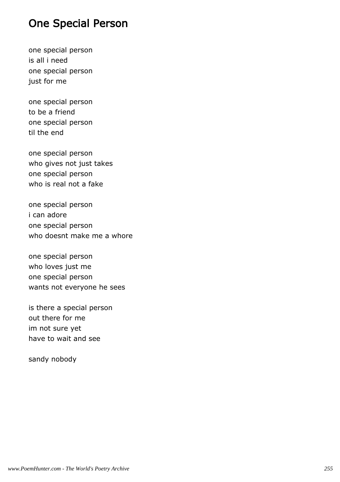## One Special Person

one special person is all i need one special person just for me

one special person to be a friend one special person til the end

one special person who gives not just takes one special person who is real not a fake

one special person i can adore one special person who doesnt make me a whore

one special person who loves just me one special person wants not everyone he sees

is there a special person out there for me im not sure yet have to wait and see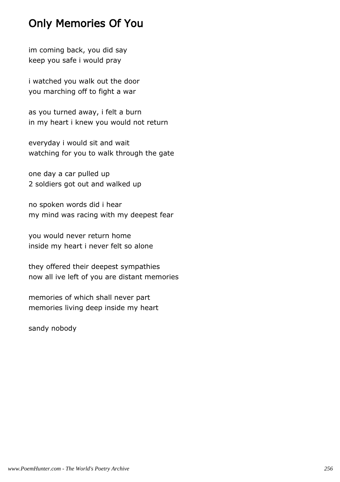## Only Memories Of You

im coming back, you did say keep you safe i would pray

i watched you walk out the door you marching off to fight a war

as you turned away, i felt a burn in my heart i knew you would not return

everyday i would sit and wait watching for you to walk through the gate

one day a car pulled up 2 soldiers got out and walked up

no spoken words did i hear my mind was racing with my deepest fear

you would never return home inside my heart i never felt so alone

they offered their deepest sympathies now all ive left of you are distant memories

memories of which shall never part memories living deep inside my heart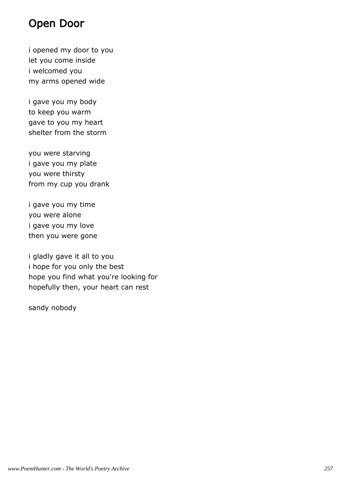#### Open Door

i opened my door to you let you come inside i welcomed you my arms opened wide

i gave you my body to keep you warm gave to you my heart shelter from the storm

you were starving i gave you my plate you were thirsty from my cup you drank

i gave you my time you were alone i gave you my love then you were gone

i gladly gave it all to you i hope for you only the best hope you find what you're looking for hopefully then, your heart can rest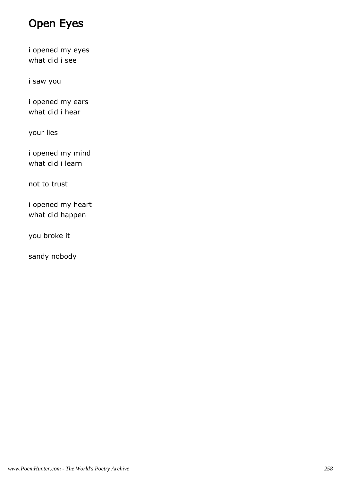## Open Eyes

i opened my eyes what did i see

i saw you

i opened my ears what did i hear

your lies

i opened my mind what did i learn

not to trust

i opened my heart what did happen

you broke it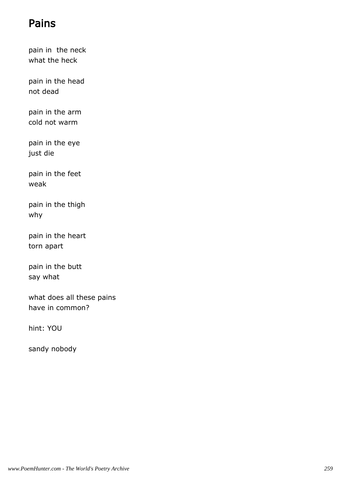## Pains

pain in the neck what the heck

pain in the head not dead

pain in the arm cold not warm

pain in the eye just die

pain in the feet weak

pain in the thigh why

pain in the heart torn apart

pain in the butt say what

what does all these pains have in common?

hint: YOU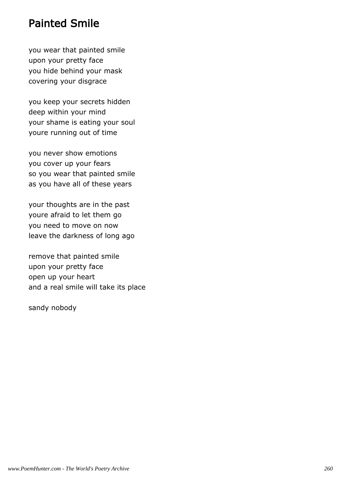### Painted Smile

you wear that painted smile upon your pretty face you hide behind your mask covering your disgrace

you keep your secrets hidden deep within your mind your shame is eating your soul youre running out of time

you never show emotions you cover up your fears so you wear that painted smile as you have all of these years

your thoughts are in the past youre afraid to let them go you need to move on now leave the darkness of long ago

remove that painted smile upon your pretty face open up your heart and a real smile will take its place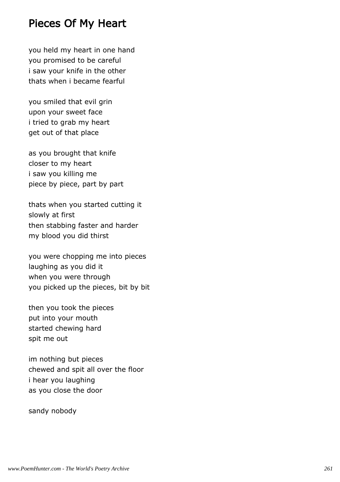### Pieces Of My Heart

you held my heart in one hand you promised to be careful i saw your knife in the other thats when i became fearful

you smiled that evil grin upon your sweet face i tried to grab my heart get out of that place

as you brought that knife closer to my heart i saw you killing me piece by piece, part by part

thats when you started cutting it slowly at first then stabbing faster and harder my blood you did thirst

you were chopping me into pieces laughing as you did it when you were through you picked up the pieces, bit by bit

then you took the pieces put into your mouth started chewing hard spit me out

im nothing but pieces chewed and spit all over the floor i hear you laughing as you close the door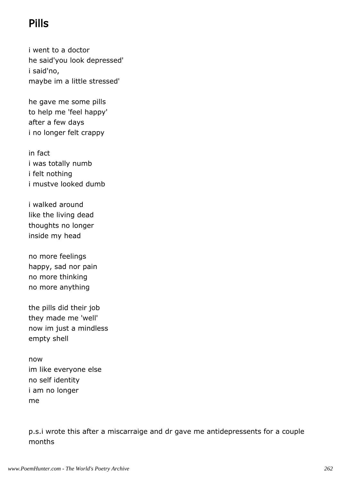# Pills

i went to a doctor he said'you look depressed' i said'no, maybe im a little stressed'

he gave me some pills to help me 'feel happy' after a few days i no longer felt crappy

in fact i was totally numb i felt nothing i mustve looked dumb

i walked around like the living dead thoughts no longer inside my head

no more feelings happy, sad nor pain no more thinking no more anything

the pills did their job they made me 'well' now im just a mindless empty shell

now im like everyone else no self identity i am no longer me

p.s.i wrote this after a miscarraige and dr gave me antidepressents for a couple months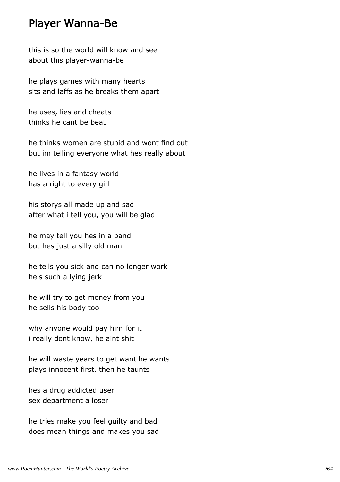#### Player Wanna-Be

this is so the world will know and see about this player-wanna-be

he plays games with many hearts sits and laffs as he breaks them apart

he uses, lies and cheats thinks he cant be beat

he thinks women are stupid and wont find out but im telling everyone what hes really about

he lives in a fantasy world has a right to every girl

his storys all made up and sad after what i tell you, you will be glad

he may tell you hes in a band but hes just a silly old man

he tells you sick and can no longer work he's such a lying jerk

he will try to get money from you he sells his body too

why anyone would pay him for it i really dont know, he aint shit

he will waste years to get want he wants plays innocent first, then he taunts

hes a drug addicted user sex department a loser

he tries make you feel guilty and bad does mean things and makes you sad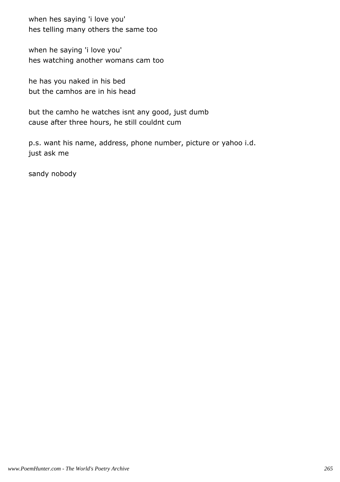when hes saying 'i love you' hes telling many others the same too

when he saying 'i love you' hes watching another womans cam too

he has you naked in his bed but the camhos are in his head

but the camho he watches isnt any good, just dumb cause after three hours, he still couldnt cum

p.s. want his name, address, phone number, picture or yahoo i.d. just ask me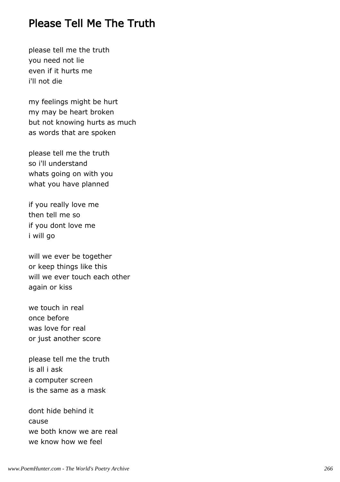### Please Tell Me The Truth

please tell me the truth you need not lie even if it hurts me i'll not die

my feelings might be hurt my may be heart broken but not knowing hurts as much as words that are spoken

please tell me the truth so i'll understand whats going on with you what you have planned

if you really love me then tell me so if you dont love me i will go

will we ever be together or keep things like this will we ever touch each other again or kiss

we touch in real once before was love for real or just another score

please tell me the truth is all i ask a computer screen is the same as a mask

dont hide behind it cause we both know we are real we know how we feel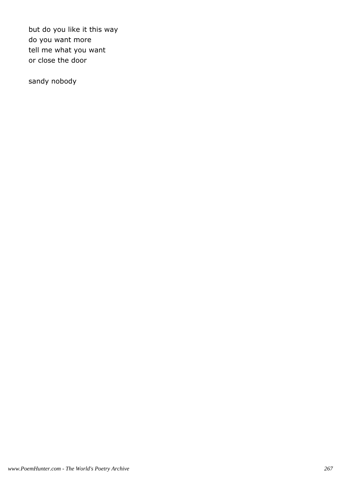but do you like it this way do you want more tell me what you want or close the door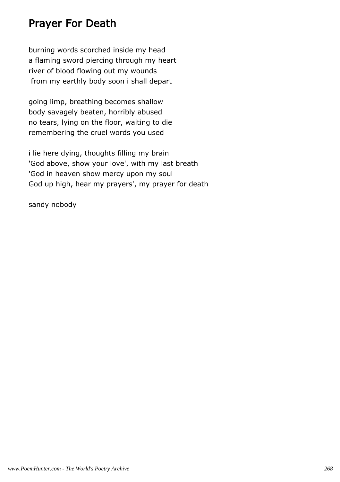## Prayer For Death

burning words scorched inside my head a flaming sword piercing through my heart river of blood flowing out my wounds from my earthly body soon i shall depart

going limp, breathing becomes shallow body savagely beaten, horribly abused no tears, lying on the floor, waiting to die remembering the cruel words you used

i lie here dying, thoughts filling my brain 'God above, show your love', with my last breath 'God in heaven show mercy upon my soul God up high, hear my prayers', my prayer for death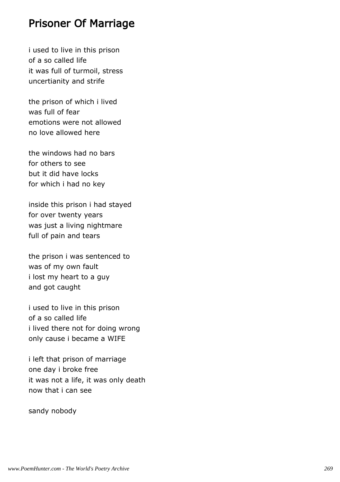### Prisoner Of Marriage

i used to live in this prison of a so called life it was full of turmoil, stress uncertianity and strife

the prison of which i lived was full of fear emotions were not allowed no love allowed here

the windows had no bars for others to see but it did have locks for which i had no key

inside this prison i had stayed for over twenty years was just a living nightmare full of pain and tears

the prison i was sentenced to was of my own fault i lost my heart to a guy and got caught

i used to live in this prison of a so called life i lived there not for doing wrong only cause i became a WIFE

i left that prison of marriage one day i broke free it was not a life, it was only death now that i can see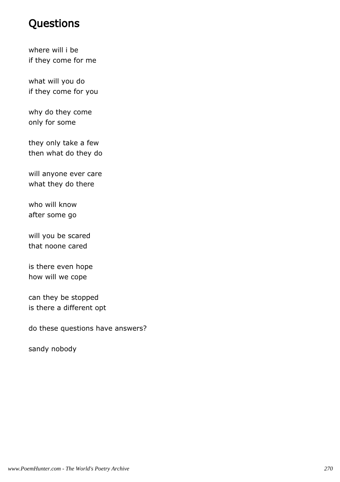## **Questions**

where will i be if they come for me

what will you do if they come for you

why do they come only for some

they only take a few then what do they do

will anyone ever care what they do there

who will know after some go

will you be scared that noone cared

is there even hope how will we cope

can they be stopped is there a different opt

do these questions have answers?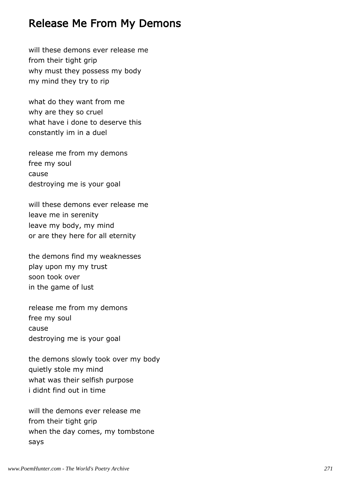### Release Me From My Demons

will these demons ever release me from their tight grip why must they possess my body my mind they try to rip

what do they want from me why are they so cruel what have i done to deserve this constantly im in a duel

release me from my demons free my soul cause destroying me is your goal

will these demons ever release me leave me in serenity leave my body, my mind or are they here for all eternity

the demons find my weaknesses play upon my my trust soon took over in the game of lust

release me from my demons free my soul cause destroying me is your goal

the demons slowly took over my body quietly stole my mind what was their selfish purpose i didnt find out in time

will the demons ever release me from their tight grip when the day comes, my tombstone says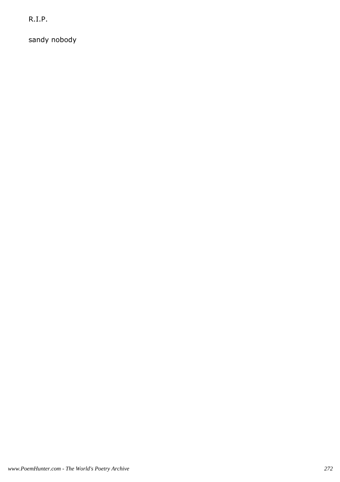R.I.P.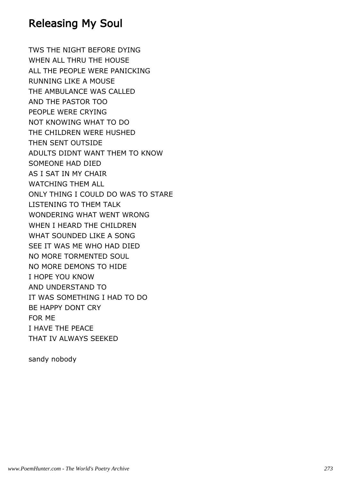### Releasing My Soul

TWS THE NIGHT BEFORE DYING WHEN ALL THRU THE HOUSE ALL THE PEOPLE WERE PANICKING RUNNING LIKE A MOUSE THE AMBULANCE WAS CALLED AND THE PASTOR TOO PEOPLE WERE CRYING NOT KNOWING WHAT TO DO THE CHILDREN WERE HUSHED THEN SENT OUTSIDE ADULTS DIDNT WANT THEM TO KNOW SOMEONE HAD DIED AS I SAT IN MY CHAIR WATCHING THEM ALL ONLY THING I COULD DO WAS TO STARE LISTENING TO THEM TALK WONDERING WHAT WENT WRONG WHEN I HEARD THE CHILDREN WHAT SOUNDED LIKE A SONG SEE IT WAS ME WHO HAD DIED NO MORE TORMENTED SOUL NO MORE DEMONS TO HIDE I HOPE YOU KNOW AND UNDERSTAND TO IT WAS SOMETHING I HAD TO DO BE HAPPY DONT CRY FOR ME I HAVE THE PEACE THAT IV ALWAYS SEEKED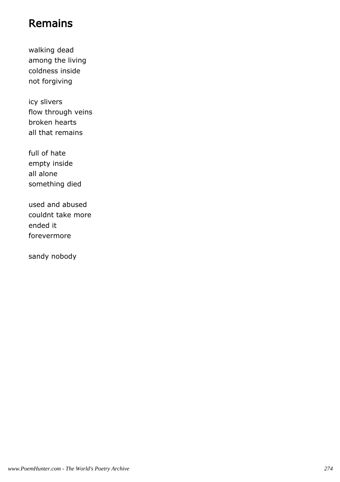## Remains

walking dead among the living coldness inside not forgiving

icy slivers flow through veins broken hearts all that remains

full of hate empty inside all alone something died

used and abused couldnt take more ended it forevermore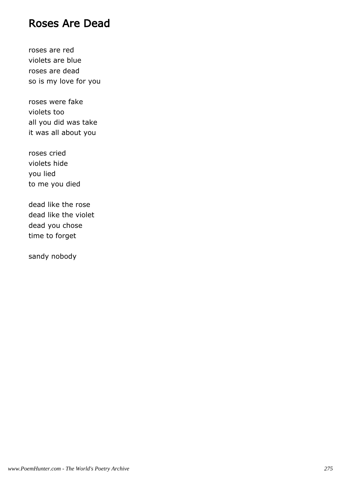#### Roses Are Dead

roses are red violets are blue roses are dead so is my love for you

roses were fake violets too all you did was take it was all about you

roses cried violets hide you lied to me you died

dead like the rose dead like the violet dead you chose time to forget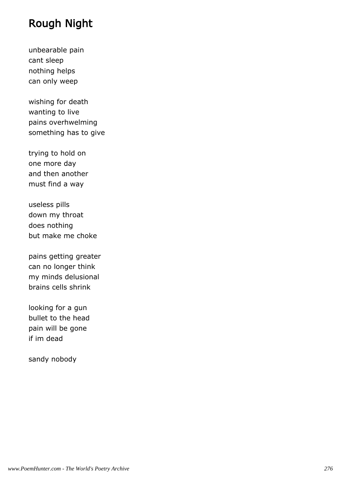## Rough Night

unbearable pain cant sleep nothing helps can only weep

wishing for death wanting to live pains overhwelming something has to give

trying to hold on one more day and then another must find a way

useless pills down my throat does nothing but make me choke

pains getting greater can no longer think my minds delusional brains cells shrink

looking for a gun bullet to the head pain will be gone if im dead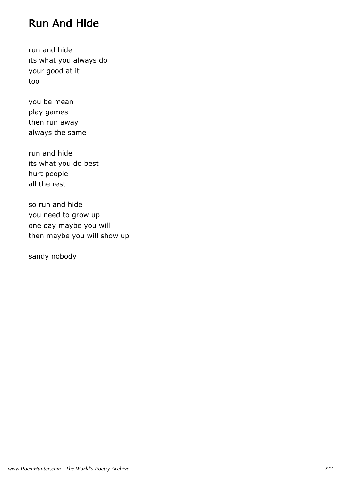## Run And Hide

run and hide its what you always do your good at it too

you be mean play games then run away always the same

run and hide its what you do best hurt people all the rest

so run and hide you need to grow up one day maybe you will then maybe you will show up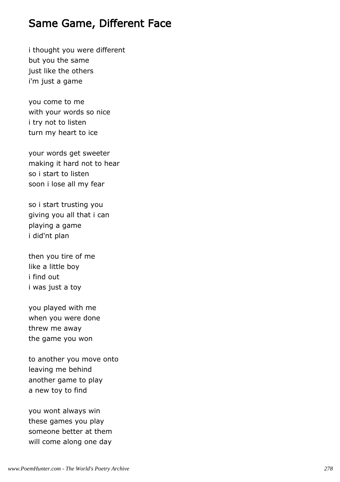### Same Game, Different Face

i thought you were different but you the same just like the others i'm just a game

you come to me with your words so nice i try not to listen turn my heart to ice

your words get sweeter making it hard not to hear so i start to listen soon i lose all my fear

so i start trusting you giving you all that i can playing a game i did'nt plan

then you tire of me like a little boy i find out i was just a toy

you played with me when you were done threw me away the game you won

to another you move onto leaving me behind another game to play a new toy to find

you wont always win these games you play someone better at them will come along one day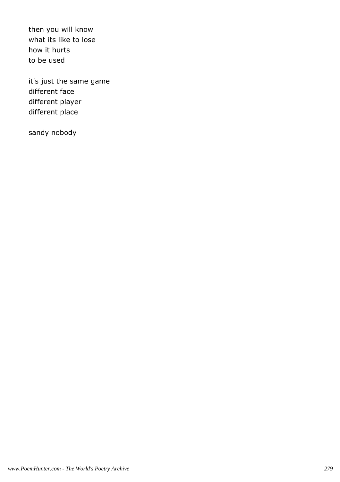then you will know what its like to lose how it hurts to be used

it's just the same game different face different player different place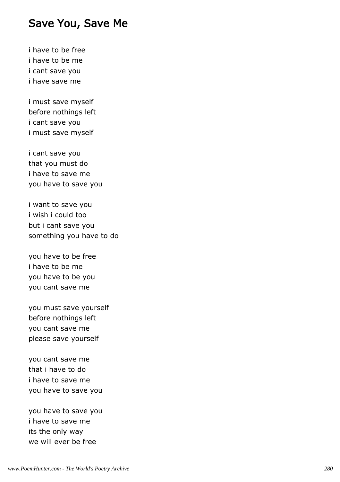#### Save You, Save Me

i have to be free i have to be me i cant save you i have save me

i must save myself before nothings left i cant save you i must save myself

i cant save you that you must do i have to save me you have to save you

i want to save you i wish i could too but i cant save you something you have to do

you have to be free i have to be me you have to be you you cant save me

you must save yourself before nothings left you cant save me please save yourself

you cant save me that i have to do i have to save me you have to save you

you have to save you i have to save me its the only way we will ever be free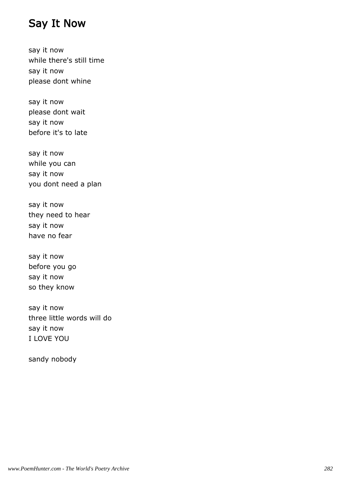#### Say It Now

say it now while there's still time say it now please dont whine

say it now please dont wait say it now before it's to late

say it now while you can say it now you dont need a plan

say it now they need to hear say it now have no fear

say it now before you go say it now so they know

say it now three little words will do say it now I LOVE YOU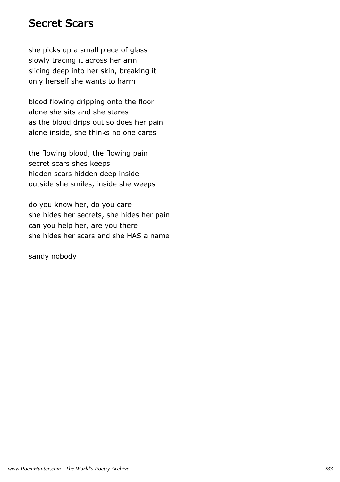#### Secret Scars

she picks up a small piece of glass slowly tracing it across her arm slicing deep into her skin, breaking it only herself she wants to harm

blood flowing dripping onto the floor alone she sits and she stares as the blood drips out so does her pain alone inside, she thinks no one cares

the flowing blood, the flowing pain secret scars shes keeps hidden scars hidden deep inside outside she smiles, inside she weeps

do you know her, do you care she hides her secrets, she hides her pain can you help her, are you there she hides her scars and she HAS a name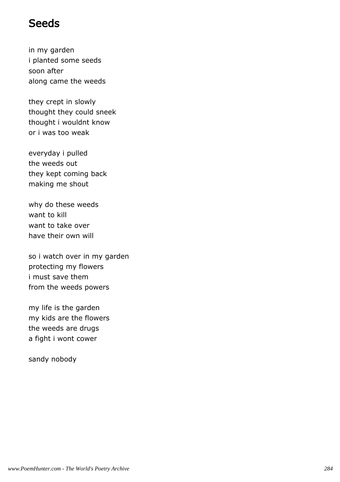#### **Seeds**

in my garden i planted some seeds soon after along came the weeds

they crept in slowly thought they could sneek thought i wouldnt know or i was too weak

everyday i pulled the weeds out they kept coming back making me shout

why do these weeds want to kill want to take over have their own will

so i watch over in my garden protecting my flowers i must save them from the weeds powers

my life is the garden my kids are the flowers the weeds are drugs a fight i wont cower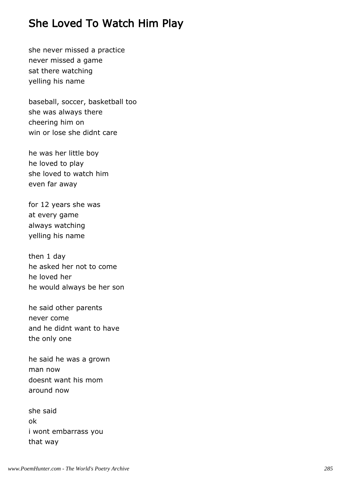## She Loved To Watch Him Play

she never missed a practice never missed a game sat there watching yelling his name

baseball, soccer, basketball too she was always there cheering him on win or lose she didnt care

he was her little boy he loved to play she loved to watch him even far away

for 12 years she was at every game always watching yelling his name

then 1 day he asked her not to come he loved her he would always be her son

he said other parents never come and he didnt want to have the only one

he said he was a grown man now doesnt want his mom around now

she said ok i wont embarrass you that way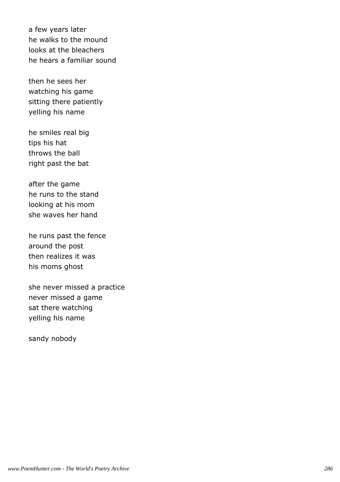a few years later he walks to the mound looks at the bleachers he hears a familiar sound

then he sees her watching his game sitting there patiently yelling his name

he smiles real big tips his hat throws the ball right past the bat

after the game he runs to the stand looking at his mom she waves her hand

he runs past the fence around the post then realizes it was his moms ghost

she never missed a practice never missed a game sat there watching yelling his name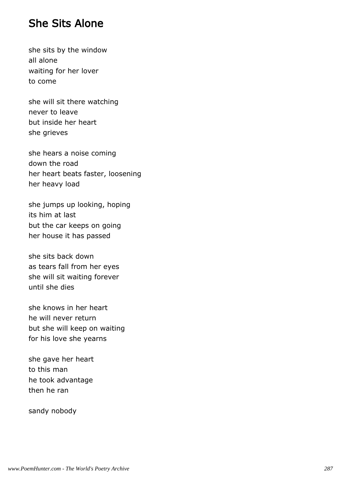#### She Sits Alone

she sits by the window all alone waiting for her lover to come

she will sit there watching never to leave but inside her heart she grieves

she hears a noise coming down the road her heart beats faster, loosening her heavy load

she jumps up looking, hoping its him at last but the car keeps on going her house it has passed

she sits back down as tears fall from her eyes she will sit waiting forever until she dies

she knows in her heart he will never return but she will keep on waiting for his love she yearns

she gave her heart to this man he took advantage then he ran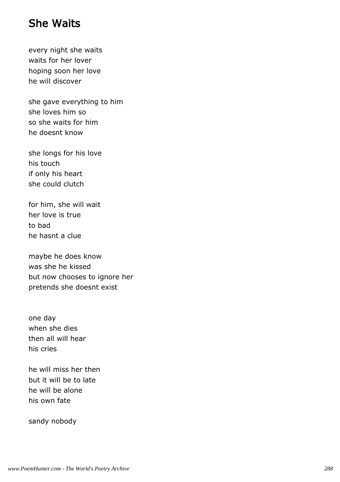#### She Waits

every night she waits waits for her lover hoping soon her love he will discover

she gave everything to him she loves him so so she waits for him he doesnt know

she longs for his love his touch if only his heart she could clutch

for him, she will wait her love is true to bad he hasnt a clue

maybe he does know was she he kissed but now chooses to ignore her pretends she doesnt exist

one day when she dies then all will hear his cries

he will miss her then but it will be to late he will be alone his own fate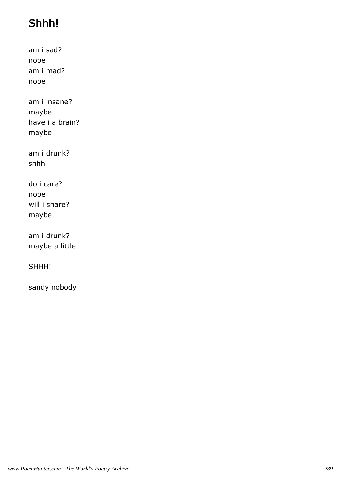# Shhh!

am i sad? nope am i mad? nope

am i insane? maybe have i a brain? maybe

am i drunk? shhh

do i care? nope will i share? maybe

am i drunk? maybe a little

SHHH!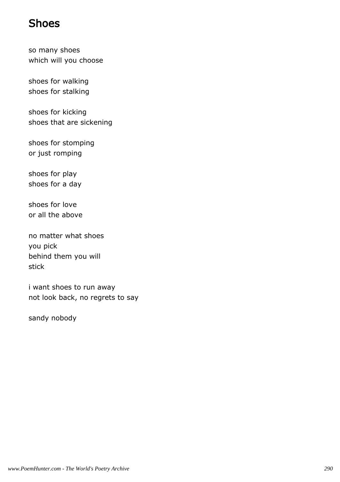### Shoes

so many shoes which will you choose

shoes for walking shoes for stalking

shoes for kicking shoes that are sickening

shoes for stomping or just romping

shoes for play shoes for a day

shoes for love or all the above

no matter what shoes you pick behind them you will stick

i want shoes to run away not look back, no regrets to say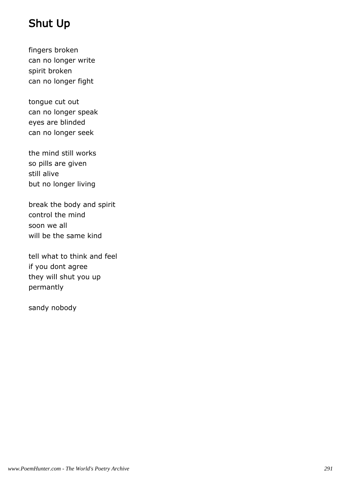# Shut Up

fingers broken can no longer write spirit broken can no longer fight

tongue cut out can no longer speak eyes are blinded can no longer seek

the mind still works so pills are given still alive but no longer living

break the body and spirit control the mind soon we all will be the same kind

tell what to think and feel if you dont agree they will shut you up permantly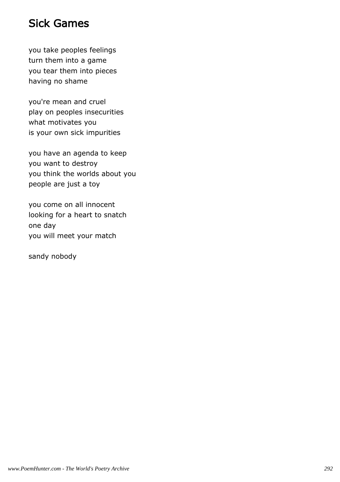### Sick Games

you take peoples feelings turn them into a game you tear them into pieces having no shame

you're mean and cruel play on peoples insecurities what motivates you is your own sick impurities

you have an agenda to keep you want to destroy you think the worlds about you people are just a toy

you come on all innocent looking for a heart to snatch one day you will meet your match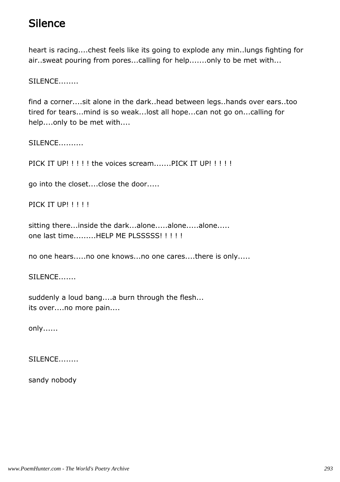## **Silence**

heart is racing....chest feels like its going to explode any min..lungs fighting for air..sweat pouring from pores...calling for help.......only to be met with...

SILENCE........

find a corner....sit alone in the dark..head between legs..hands over ears..too tired for tears...mind is so weak...lost all hope...can not go on...calling for help....only to be met with....

SILENCE..........

PICK IT UP!!!!! the voices scream.......PICK IT UP!!!!!

go into the closet....close the door.....

PICK IT UP! ! ! ! !

sitting there...inside the dark...alone.....alone.....alone..... one last time.........HELP ME PLSSSSS! ! ! ! !

no one hears.....no one knows...no one cares....there is only.....

SILENCE.......

suddenly a loud bang....a burn through the flesh... its over....no more pain....

only......

SILENCE........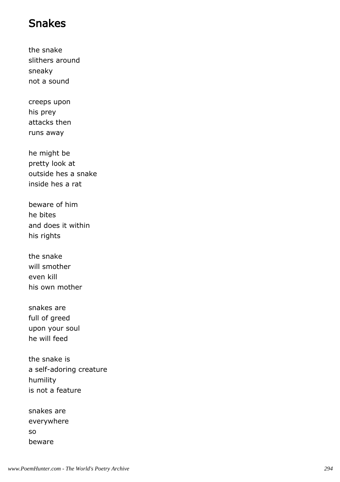### Snakes

the snake slithers around sneaky not a sound

creeps upon his prey attacks then runs away

he might be pretty look at outside hes a snake inside hes a rat

beware of him he bites and does it within his rights

the snake will smother even kill his own mother

snakes are full of greed upon your soul he will feed

the snake is a self-adoring creature humility is not a feature

snakes are everywhere so beware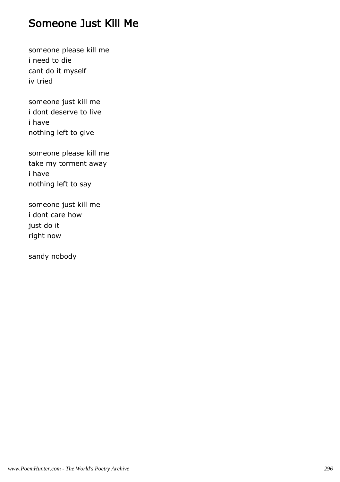#### Someone Just Kill Me

someone please kill me i need to die cant do it myself iv tried

someone just kill me i dont deserve to live i have nothing left to give

someone please kill me take my torment away i have nothing left to say

someone just kill me i dont care how just do it right now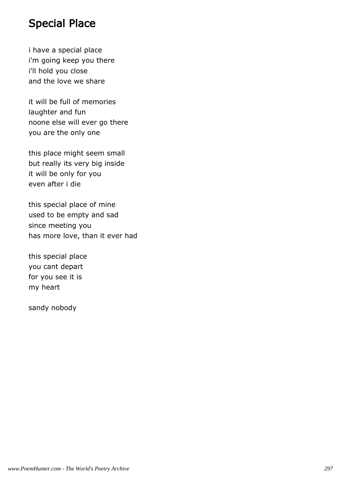#### Special Place

i have a special place i'm going keep you there i'll hold you close and the love we share

it will be full of memories laughter and fun noone else will ever go there you are the only one

this place might seem small but really its very big inside it will be only for you even after i die

this special place of mine used to be empty and sad since meeting you has more love, than it ever had

this special place you cant depart for you see it is my heart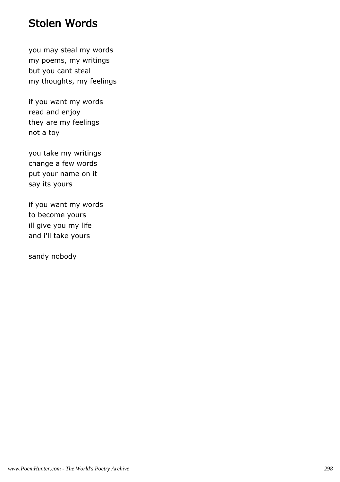#### Stolen Words

you may steal my words my poems, my writings but you cant steal my thoughts, my feelings

if you want my words read and enjoy they are my feelings not a toy

you take my writings change a few words put your name on it say its yours

if you want my words to become yours ill give you my life and i'll take yours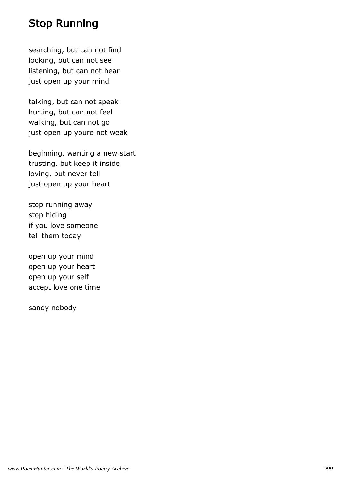# Stop Running

searching, but can not find looking, but can not see listening, but can not hear just open up your mind

talking, but can not speak hurting, but can not feel walking, but can not go just open up youre not weak

beginning, wanting a new start trusting, but keep it inside loving, but never tell just open up your heart

stop running away stop hiding if you love someone tell them today

open up your mind open up your heart open up your self accept love one time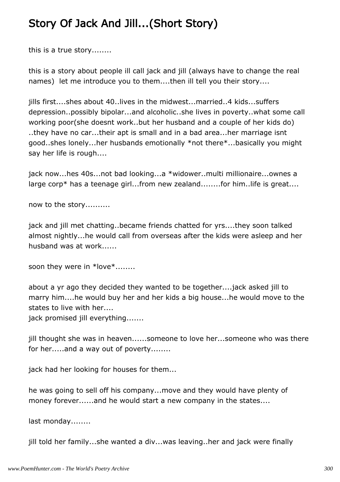# Story Of Jack And Jill...(Short Story)

this is a true story........

this is a story about people ill call jack and jill (always have to change the real names) let me introduce you to them....then ill tell you their story....

jills first....shes about 40..lives in the midwest...married..4 kids...suffers depression..possibly bipolar...and alcoholic..she lives in poverty..what some call working poor(she doesnt work..but her husband and a couple of her kids do) ..they have no car...their apt is small and in a bad area...her marriage isnt good..shes lonely...her husbands emotionally \*not there\*...basically you might say her life is rough....

jack now...hes 40s...not bad looking...a \*widower..multi millionaire...ownes a large corp\* has a teenage girl...from new zealand........for him..life is great....

now to the story..........

jack and jill met chatting..became friends chatted for yrs....they soon talked almost nightly...he would call from overseas after the kids were asleep and her husband was at work......

soon they were in \*love\*........

about a yr ago they decided they wanted to be together....jack asked jill to marry him....he would buy her and her kids a big house...he would move to the states to live with her....

jack promised jill everything.......

jill thought she was in heaven......someone to love her...someone who was there for her.....and a way out of poverty........

jack had her looking for houses for them...

he was going to sell off his company...move and they would have plenty of money forever......and he would start a new company in the states....

last monday........

jill told her family...she wanted a div...was leaving..her and jack were finally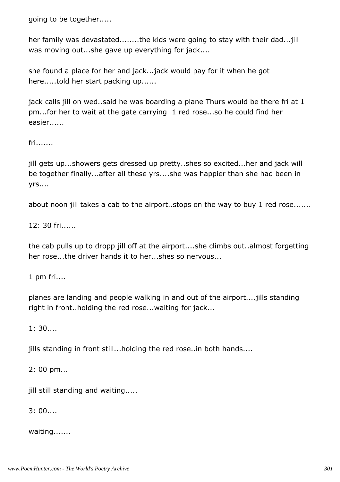going to be together.....

her family was devastated........the kids were going to stay with their dad...jill was moving out...she gave up everything for jack....

she found a place for her and jack...jack would pay for it when he got here.....told her start packing up......

jack calls jill on wed..said he was boarding a plane Thurs would be there fri at 1 pm...for her to wait at the gate carrying 1 red rose...so he could find her easier......

fri.......

jill gets up...showers gets dressed up pretty..shes so excited...her and jack will be together finally...after all these yrs....she was happier than she had been in yrs....

about noon jill takes a cab to the airport..stops on the way to buy 1 red rose.......

12: 30 fri......

the cab pulls up to dropp jill off at the airport....she climbs out..almost forgetting her rose...the driver hands it to her...shes so nervous...

1 pm fri....

planes are landing and people walking in and out of the airport....jills standing right in front..holding the red rose...waiting for jack...

1: 30....

jills standing in front still...holding the red rose..in both hands....

2: 00 pm...

jill still standing and waiting.....

3: 00....

waiting.......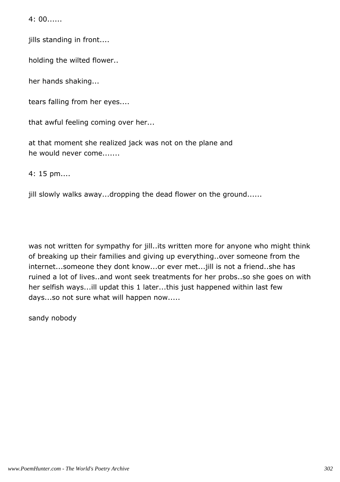4: 00......

jills standing in front....

holding the wilted flower..

her hands shaking...

tears falling from her eyes....

that awful feeling coming over her...

at that moment she realized jack was not on the plane and he would never come.......

4: 15 pm....

jill slowly walks away...dropping the dead flower on the ground......

was not written for sympathy for jill..its written more for anyone who might think of breaking up their families and giving up everything..over someone from the internet...someone they dont know...or ever met...jill is not a friend..she has ruined a lot of lives..and wont seek treatments for her probs..so she goes on with her selfish ways...ill updat this 1 later...this just happened within last few days...so not sure what will happen now.....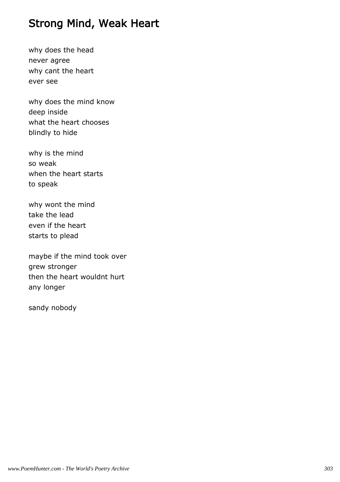# Strong Mind, Weak Heart

why does the head never agree why cant the heart ever see

why does the mind know deep inside what the heart chooses blindly to hide

why is the mind so weak when the heart starts to speak

why wont the mind take the lead even if the heart starts to plead

maybe if the mind took over grew stronger then the heart wouldnt hurt any longer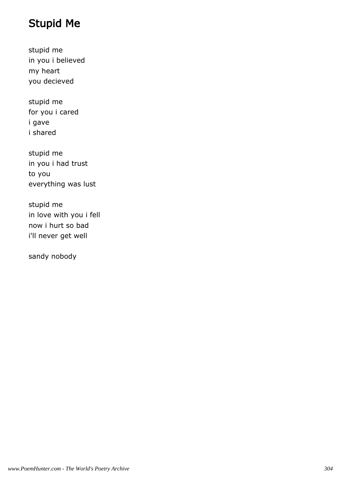# Stupid Me

stupid me in you i believed my heart you decieved

stupid me for you i cared i gave i shared

stupid me in you i had trust to you everything was lust

stupid me in love with you i fell now i hurt so bad i'll never get well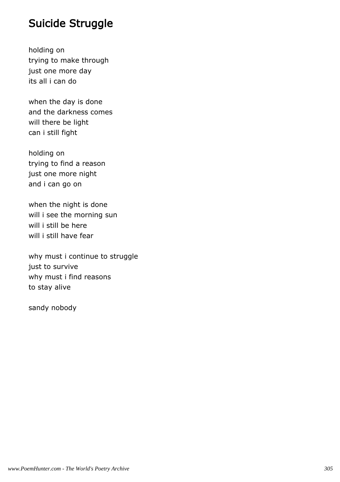### Suicide Struggle

holding on trying to make through just one more day its all i can do

when the day is done and the darkness comes will there be light can i still fight

holding on trying to find a reason just one more night and i can go on

when the night is done will i see the morning sun will i still be here will i still have fear

why must i continue to struggle just to survive why must i find reasons to stay alive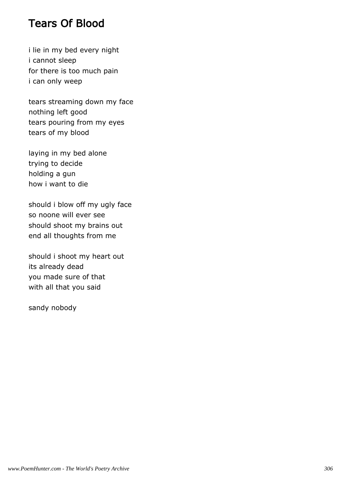#### Tears Of Blood

i lie in my bed every night i cannot sleep for there is too much pain i can only weep

tears streaming down my face nothing left good tears pouring from my eyes tears of my blood

laying in my bed alone trying to decide holding a gun how i want to die

should i blow off my ugly face so noone will ever see should shoot my brains out end all thoughts from me

should i shoot my heart out its already dead you made sure of that with all that you said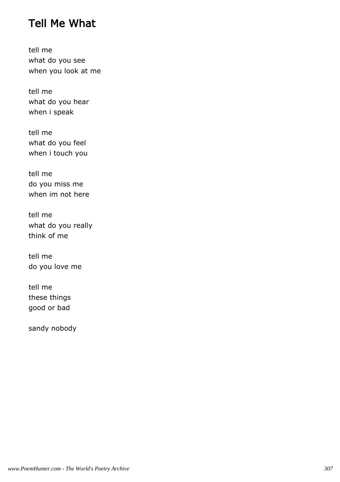### Tell Me What

tell me what do you see when you look at me

tell me what do you hear when i speak

tell me what do you feel when i touch you

tell me do you miss me when im not here

tell me what do you really think of me

tell me do you love me

tell me these things good or bad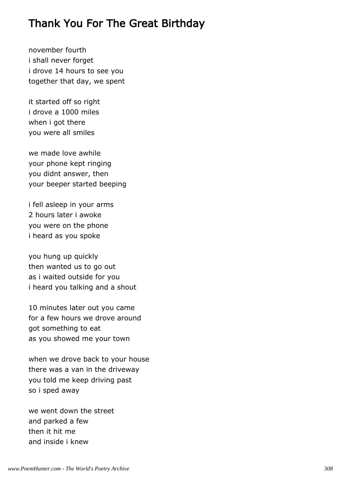### Thank You For The Great Birthday

november fourth i shall never forget i drove 14 hours to see you together that day, we spent

it started off so right i drove a 1000 miles when i got there you were all smiles

we made love awhile your phone kept ringing you didnt answer, then your beeper started beeping

i fell asleep in your arms 2 hours later i awoke you were on the phone i heard as you spoke

you hung up quickly then wanted us to go out as i waited outside for you i heard you talking and a shout

10 minutes later out you came for a few hours we drove around got something to eat as you showed me your town

when we drove back to your house there was a van in the driveway you told me keep driving past so i sped away

we went down the street and parked a few then it hit me and inside i knew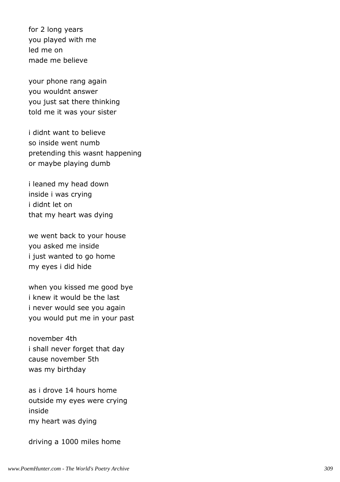for 2 long years you played with me led me on made me believe

your phone rang again you wouldnt answer you just sat there thinking told me it was your sister

i didnt want to believe so inside went numb pretending this wasnt happening or maybe playing dumb

i leaned my head down inside i was crying i didnt let on that my heart was dying

we went back to your house you asked me inside i just wanted to go home my eyes i did hide

when you kissed me good bye i knew it would be the last i never would see you again you would put me in your past

november 4th i shall never forget that day cause november 5th was my birthday

as i drove 14 hours home outside my eyes were crying inside my heart was dying

driving a 1000 miles home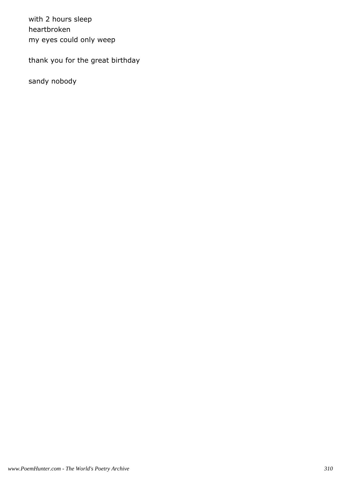with 2 hours sleep heartbroken my eyes could only weep

thank you for the great birthday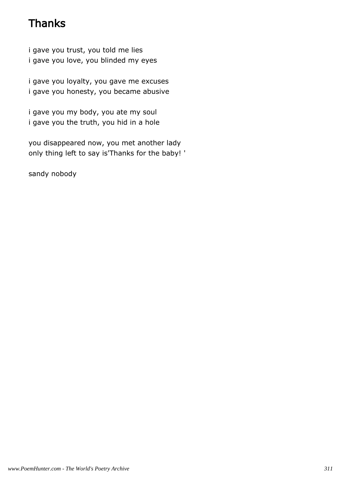# **Thanks**

i gave you trust, you told me lies i gave you love, you blinded my eyes

i gave you loyalty, you gave me excuses i gave you honesty, you became abusive

i gave you my body, you ate my soul i gave you the truth, you hid in a hole

you disappeared now, you met another lady only thing left to say is'Thanks for the baby! '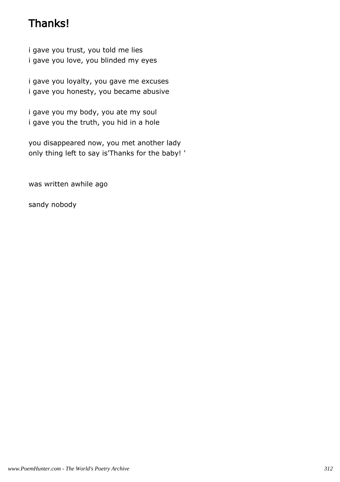# Thanks!

i gave you trust, you told me lies i gave you love, you blinded my eyes

i gave you loyalty, you gave me excuses i gave you honesty, you became abusive

i gave you my body, you ate my soul i gave you the truth, you hid in a hole

you disappeared now, you met another lady only thing left to say is'Thanks for the baby! '

was written awhile ago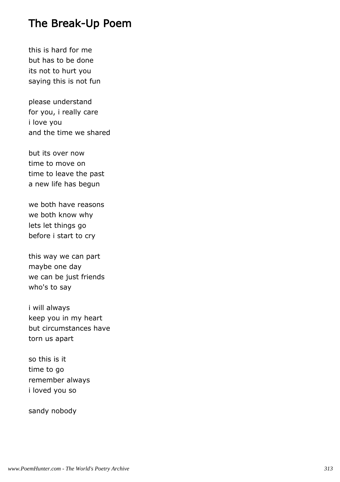### The Break-Up Poem

this is hard for me but has to be done its not to hurt you saying this is not fun

please understand for you, i really care i love you and the time we shared

but its over now time to move on time to leave the past a new life has begun

we both have reasons we both know why lets let things go before i start to cry

this way we can part maybe one day we can be just friends who's to say

i will always keep you in my heart but circumstances have torn us apart

so this is it time to go remember always i loved you so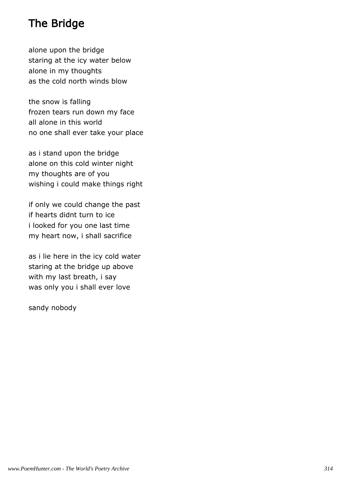# The Bridge

alone upon the bridge staring at the icy water below alone in my thoughts as the cold north winds blow

the snow is falling frozen tears run down my face all alone in this world no one shall ever take your place

as i stand upon the bridge alone on this cold winter night my thoughts are of you wishing i could make things right

if only we could change the past if hearts didnt turn to ice i looked for you one last time my heart now, i shall sacrifice

as i lie here in the icy cold water staring at the bridge up above with my last breath, i say was only you i shall ever love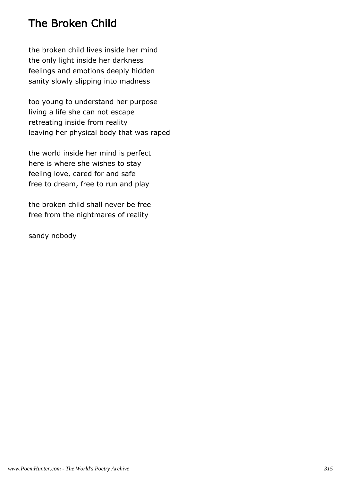# The Broken Child

the broken child lives inside her mind the only light inside her darkness feelings and emotions deeply hidden sanity slowly slipping into madness

too young to understand her purpose living a life she can not escape retreating inside from reality leaving her physical body that was raped

the world inside her mind is perfect here is where she wishes to stay feeling love, cared for and safe free to dream, free to run and play

the broken child shall never be free free from the nightmares of reality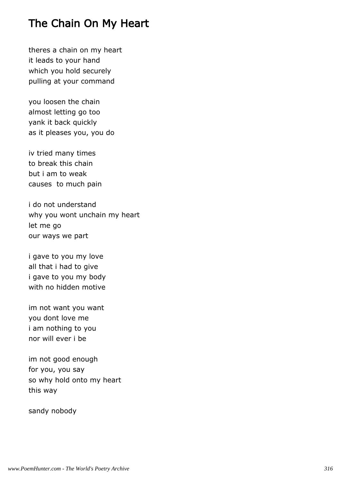## The Chain On My Heart

theres a chain on my heart it leads to your hand which you hold securely pulling at your command

you loosen the chain almost letting go too yank it back quickly as it pleases you, you do

iv tried many times to break this chain but i am to weak causes to much pain

i do not understand why you wont unchain my heart let me go our ways we part

i gave to you my love all that i had to give i gave to you my body with no hidden motive

im not want you want you dont love me i am nothing to you nor will ever i be

im not good enough for you, you say so why hold onto my heart this way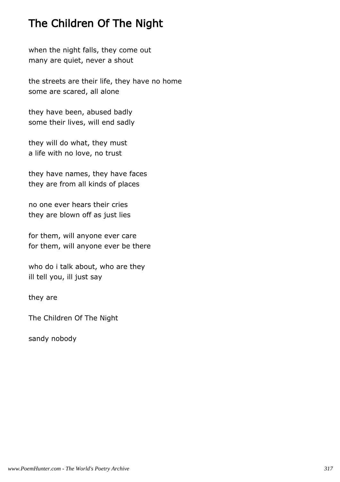# The Children Of The Night

when the night falls, they come out many are quiet, never a shout

the streets are their life, they have no home some are scared, all alone

they have been, abused badly some their lives, will end sadly

they will do what, they must a life with no love, no trust

they have names, they have faces they are from all kinds of places

no one ever hears their cries they are blown off as just lies

for them, will anyone ever care for them, will anyone ever be there

who do i talk about, who are they ill tell you, ill just say

they are

The Children Of The Night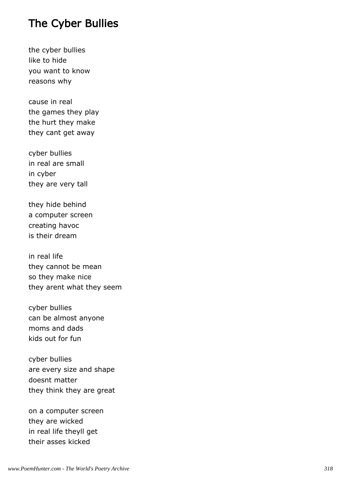#### The Cyber Bullies

the cyber bullies like to hide you want to know reasons why

cause in real the games they play the hurt they make they cant get away

cyber bullies in real are small in cyber they are very tall

they hide behind a computer screen creating havoc is their dream

in real life they cannot be mean so they make nice they arent what they seem

cyber bullies can be almost anyone moms and dads kids out for fun

cyber bullies are every size and shape doesnt matter they think they are great

on a computer screen they are wicked in real life theyll get their asses kicked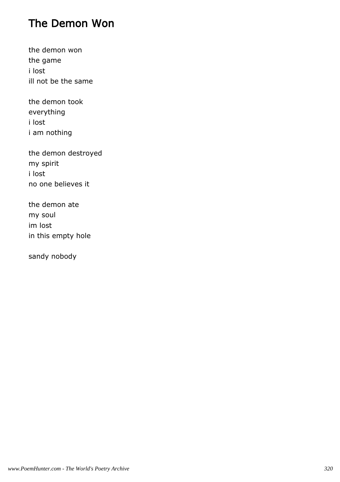# The Demon Won

the demon won the game i lost ill not be the same

the demon took everything i lost i am nothing

the demon destroyed my spirit i lost no one believes it

the demon ate my soul im lost in this empty hole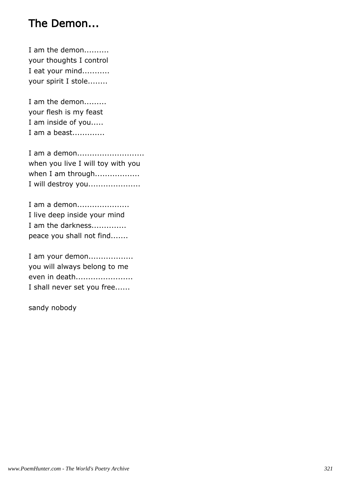# The Demon...

I am the demon.......... your thoughts I control I eat your mind........... your spirit I stole........

I am the demon......... your flesh is my feast I am inside of you..... I am a beast.............

I am a demon........................... when you live I will toy with you when I am through.................. I will destroy you.....................

I am a demon..................... I live deep inside your mind I am the darkness.............. peace you shall not find.......

I am your demon.................. you will always belong to me even in death....................... I shall never set you free......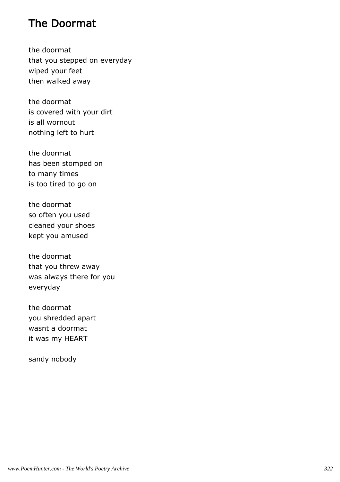### The Doormat

the doormat that you stepped on everyday wiped your feet then walked away

the doormat is covered with your dirt is all wornout nothing left to hurt

the doormat has been stomped on to many times is too tired to go on

the doormat so often you used cleaned your shoes kept you amused

the doormat that you threw away was always there for you everyday

the doormat you shredded apart wasnt a doormat it was my HEART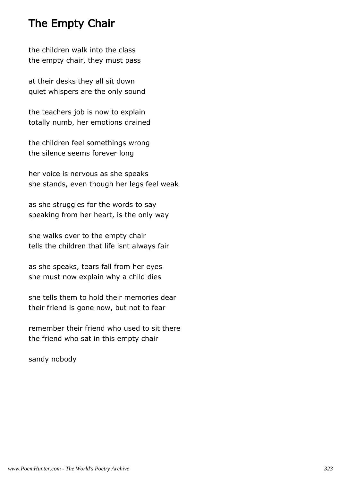### The Empty Chair

the children walk into the class the empty chair, they must pass

at their desks they all sit down quiet whispers are the only sound

the teachers job is now to explain totally numb, her emotions drained

the children feel somethings wrong the silence seems forever long

her voice is nervous as she speaks she stands, even though her legs feel weak

as she struggles for the words to say speaking from her heart, is the only way

she walks over to the empty chair tells the children that life isnt always fair

as she speaks, tears fall from her eyes she must now explain why a child dies

she tells them to hold their memories dear their friend is gone now, but not to fear

remember their friend who used to sit there the friend who sat in this empty chair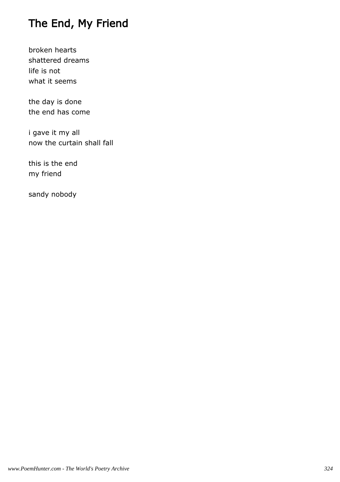# The End, My Friend

broken hearts shattered dreams life is not what it seems

the day is done the end has come

i gave it my all now the curtain shall fall

this is the end my friend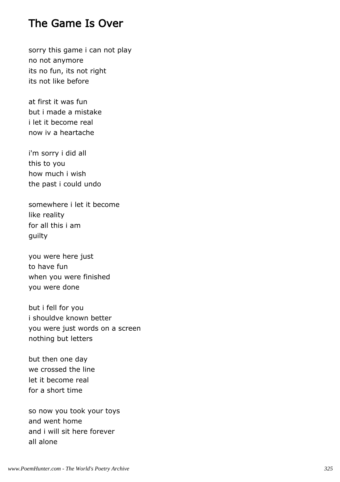#### The Game Is Over

sorry this game i can not play no not anymore its no fun, its not right its not like before

at first it was fun but i made a mistake i let it become real now iv a heartache

i'm sorry i did all this to you how much i wish the past i could undo

somewhere i let it become like reality for all this i am guilty

you were here just to have fun when you were finished you were done

but i fell for you i shouldve known better you were just words on a screen nothing but letters

but then one day we crossed the line let it become real for a short time

so now you took your toys and went home and i will sit here forever all alone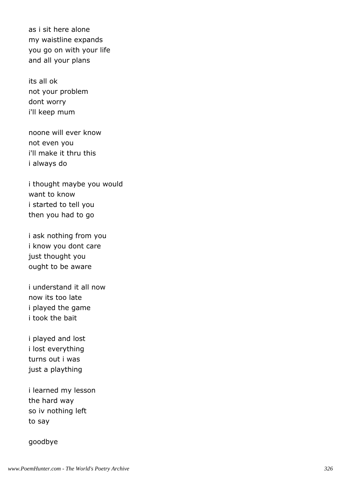as i sit here alone my waistline expands you go on with your life and all your plans

its all ok not your problem dont worry i'll keep mum

noone will ever know not even you i'll make it thru this i always do

i thought maybe you would want to know i started to tell you then you had to go

i ask nothing from you i know you dont care just thought you ought to be aware

i understand it all now now its too late i played the game i took the bait

i played and lost i lost everything turns out i was just a plaything

i learned my lesson the hard way so iv nothing left to say

#### goodbye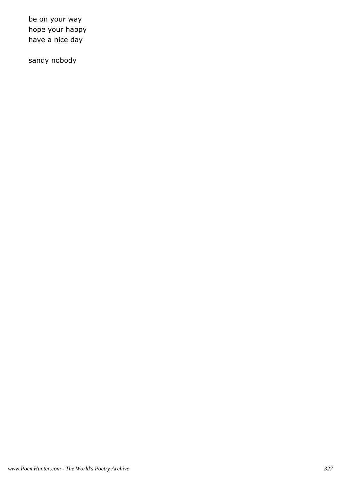be on your way hope your happy have a nice day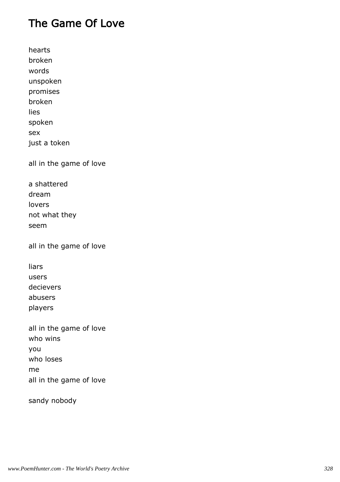## The Game Of Love

hearts broken words unspoken promises broken lies spoken sex just a token all in the game of love a shattered dream lovers not what they seem all in the game of love liars users

decievers abusers players

all in the game of love who wins you who loses me all in the game of love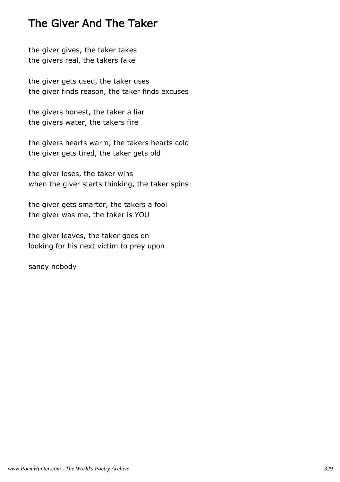## The Giver And The Taker

the giver gives, the taker takes the givers real, the takers fake

the giver gets used, the taker uses the giver finds reason, the taker finds excuses

the givers honest, the taker a liar the givers water, the takers fire

the givers hearts warm, the takers hearts cold the giver gets tired, the taker gets old

the giver loses, the taker wins when the giver starts thinking, the taker spins

the giver gets smarter, the takers a fool the giver was me, the taker is YOU

the giver leaves, the taker goes on looking for his next victim to prey upon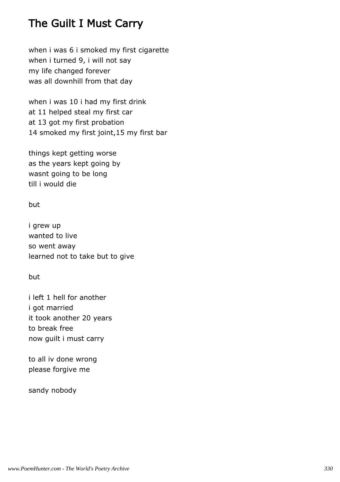## The Guilt I Must Carry

when i was 6 i smoked my first cigarette when i turned 9, i will not say my life changed forever was all downhill from that day

when i was 10 i had my first drink at 11 helped steal my first car at 13 got my first probation 14 smoked my first joint,15 my first bar

things kept getting worse as the years kept going by wasnt going to be long till i would die

but

i grew up wanted to live so went away learned not to take but to give

but

i left 1 hell for another i got married it took another 20 years to break free now guilt i must carry

to all iv done wrong please forgive me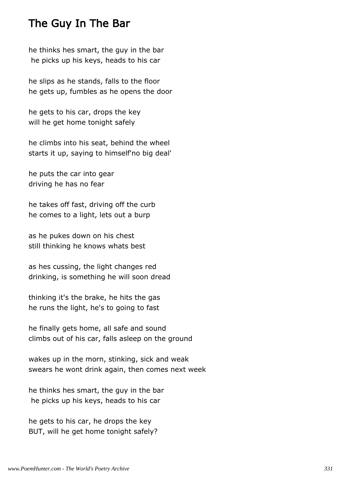### The Guy In The Bar

he thinks hes smart, the guy in the bar he picks up his keys, heads to his car

he slips as he stands, falls to the floor he gets up, fumbles as he opens the door

he gets to his car, drops the key will he get home tonight safely

he climbs into his seat, behind the wheel starts it up, saying to himself'no big deal'

he puts the car into gear driving he has no fear

he takes off fast, driving off the curb he comes to a light, lets out a burp

as he pukes down on his chest still thinking he knows whats best

as hes cussing, the light changes red drinking, is something he will soon dread

thinking it's the brake, he hits the gas he runs the light, he's to going to fast

he finally gets home, all safe and sound climbs out of his car, falls asleep on the ground

wakes up in the morn, stinking, sick and weak swears he wont drink again, then comes next week

he thinks hes smart, the guy in the bar he picks up his keys, heads to his car

he gets to his car, he drops the key BUT, will he get home tonight safely?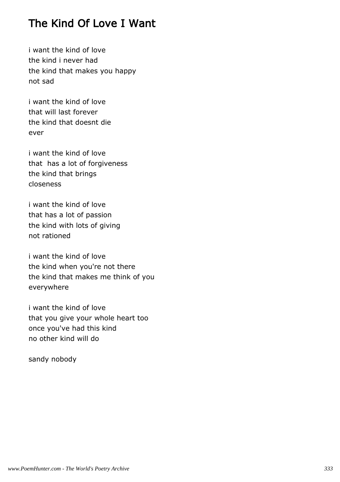## The Kind Of Love I Want

i want the kind of love the kind i never had the kind that makes you happy not sad

i want the kind of love that will last forever the kind that doesnt die ever

i want the kind of love that has a lot of forgiveness the kind that brings closeness

i want the kind of love that has a lot of passion the kind with lots of giving not rationed

i want the kind of love the kind when you're not there the kind that makes me think of you everywhere

i want the kind of love that you give your whole heart too once you've had this kind no other kind will do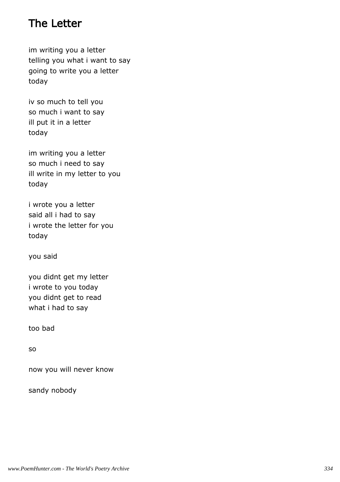## The Letter

im writing you a letter telling you what i want to say going to write you a letter today

iv so much to tell you so much i want to say ill put it in a letter today

im writing you a letter so much i need to say ill write in my letter to you today

i wrote you a letter said all i had to say i wrote the letter for you today

you said

you didnt get my letter i wrote to you today you didnt get to read what i had to say

too bad

so

now you will never know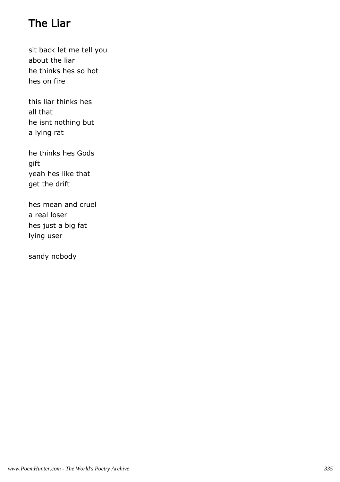# The Liar

sit back let me tell you about the liar he thinks hes so hot hes on fire

this liar thinks hes all that he isnt nothing but a lying rat

he thinks hes Gods gift yeah hes like that get the drift

hes mean and cruel a real loser hes just a big fat lying user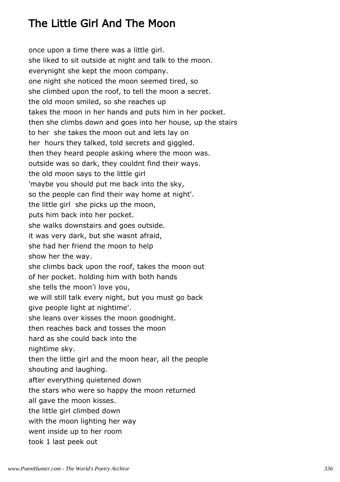## The Little Girl And The Moon

once upon a time there was a little girl. she liked to sit outside at night and talk to the moon. everynight she kept the moon company. one night she noticed the moon seemed tired, so she climbed upon the roof, to tell the moon a secret. the old moon smiled, so she reaches up takes the moon in her hands and puts him in her pocket. then she climbs down and goes into her house, up the stairs to her she takes the moon out and lets lay on her hours they talked, told secrets and giggled. then they heard people asking where the moon was. outside was so dark, they couldnt find their ways. the old moon says to the little girl 'maybe you should put me back into the sky, so the people can find their way home at night'. the little girl she picks up the moon, puts him back into her pocket. she walks downstairs and goes outside. it was very dark, but she wasnt afraid, she had her friend the moon to help show her the way. she climbs back upon the roof, takes the moon out of her pocket. holding him with both hands she tells the moon'i love you, we will still talk every night, but you must go back give people light at nightime'. she leans over kisses the moon goodnight. then reaches back and tosses the moon hard as she could back into the nightime sky. then the little girl and the moon hear, all the people shouting and laughing. after everything quietened down the stars who were so happy the moon returned all gave the moon kisses. the little girl climbed down with the moon lighting her way went inside up to her room took 1 last peek out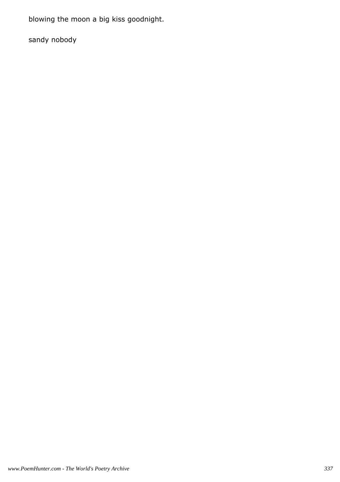blowing the moon a big kiss goodnight.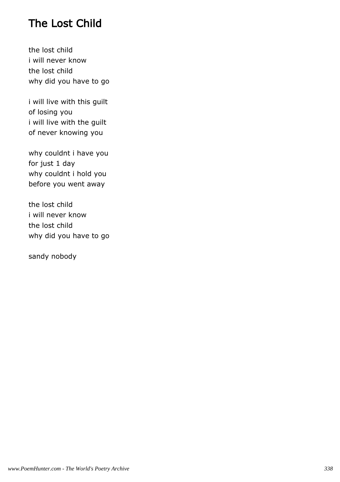## The Lost Child

the lost child i will never know the lost child why did you have to go

i will live with this guilt of losing you i will live with the guilt of never knowing you

why couldnt i have you for just 1 day why couldnt i hold you before you went away

the lost child i will never know the lost child why did you have to go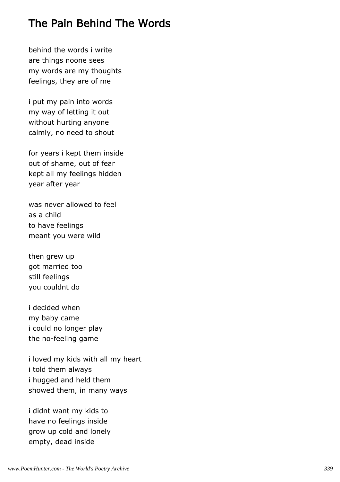## The Pain Behind The Words

behind the words i write are things noone sees my words are my thoughts feelings, they are of me

i put my pain into words my way of letting it out without hurting anyone calmly, no need to shout

for years i kept them inside out of shame, out of fear kept all my feelings hidden year after year

was never allowed to feel as a child to have feelings meant you were wild

then grew up got married too still feelings you couldnt do

i decided when my baby came i could no longer play the no-feeling game

i loved my kids with all my heart i told them always i hugged and held them showed them, in many ways

i didnt want my kids to have no feelings inside grow up cold and lonely empty, dead inside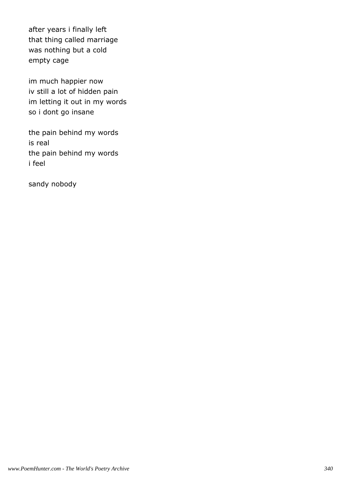after years i finally left that thing called marriage was nothing but a cold empty cage

im much happier now iv still a lot of hidden pain im letting it out in my words so i dont go insane

the pain behind my words is real the pain behind my words i feel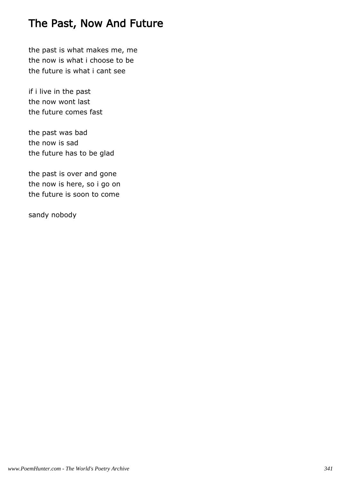## The Past, Now And Future

the past is what makes me, me the now is what i choose to be the future is what i cant see

if i live in the past the now wont last the future comes fast

the past was bad the now is sad the future has to be glad

the past is over and gone the now is here, so i go on the future is soon to come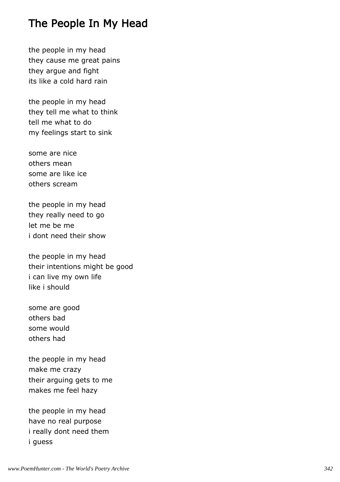## The People In My Head

the people in my head they cause me great pains they argue and fight its like a cold hard rain

the people in my head they tell me what to think tell me what to do my feelings start to sink

some are nice others mean some are like ice others scream

the people in my head they really need to go let me be me i dont need their show

the people in my head their intentions might be good i can live my own life like i should

some are good others bad some would others had

the people in my head make me crazy their arguing gets to me makes me feel hazy

the people in my head have no real purpose i really dont need them i guess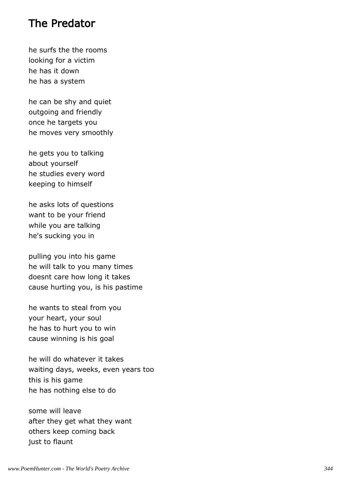#### The Predator

he surfs the the rooms looking for a victim he has it down he has a system

he can be shy and quiet outgoing and friendly once he targets you he moves very smoothly

he gets you to talking about yourself he studies every word keeping to himself

he asks lots of questions want to be your friend while you are talking he's sucking you in

pulling you into his game he will talk to you many times doesnt care how long it takes cause hurting you, is his pastime

he wants to steal from you your heart, your soul he has to hurt you to win cause winning is his goal

he will do whatever it takes waiting days, weeks, even years too this is his game he has nothing else to do

some will leave after they get what they want others keep coming back just to flaunt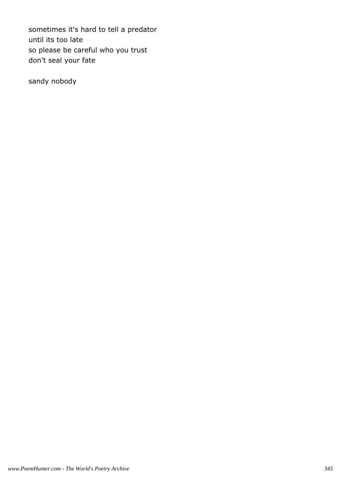sometimes it's hard to tell a predator until its too late so please be careful who you trust don't seal your fate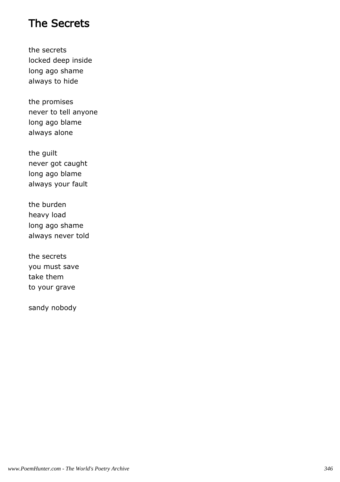## The Secrets

the secrets locked deep inside long ago shame always to hide

the promises never to tell anyone long ago blame always alone

the guilt never got caught long ago blame always your fault

the burden heavy load long ago shame always never told

the secrets you must save take them to your grave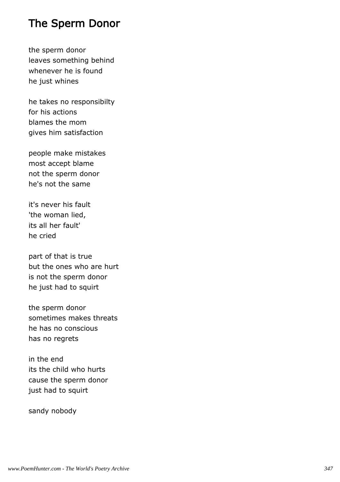## The Sperm Donor

the sperm donor leaves something behind whenever he is found he just whines

he takes no responsibilty for his actions blames the mom gives him satisfaction

people make mistakes most accept blame not the sperm donor he's not the same

it's never his fault 'the woman lied, its all her fault' he cried

part of that is true but the ones who are hurt is not the sperm donor he just had to squirt

the sperm donor sometimes makes threats he has no conscious has no regrets

in the end its the child who hurts cause the sperm donor just had to squirt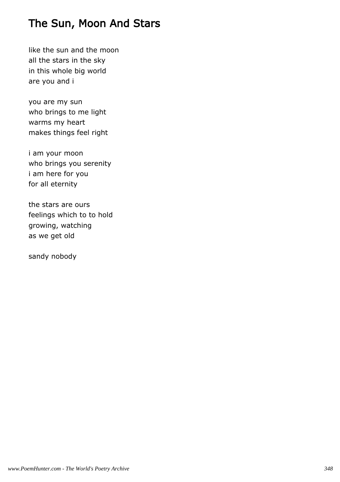## The Sun, Moon And Stars

like the sun and the moon all the stars in the sky in this whole big world are you and i

you are my sun who brings to me light warms my heart makes things feel right

i am your moon who brings you serenity i am here for you for all eternity

the stars are ours feelings which to to hold growing, watching as we get old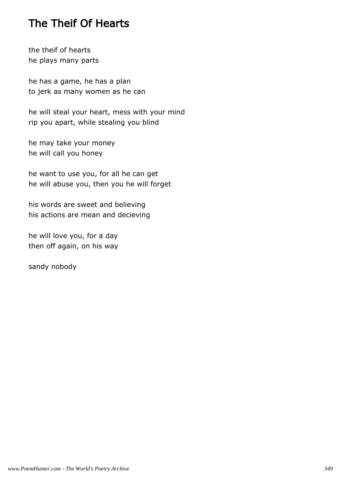## The Theif Of Hearts

the theif of hearts he plays many parts

he has a game, he has a plan to jerk as many women as he can

he will steal your heart, mess with your mind rip you apart, while stealing you blind

he may take your money he will call you honey

he want to use you, for all he can get he will abuse you, then you he will forget

his words are sweet and believing his actions are mean and decieving

he will love you, for a day then off again, on his way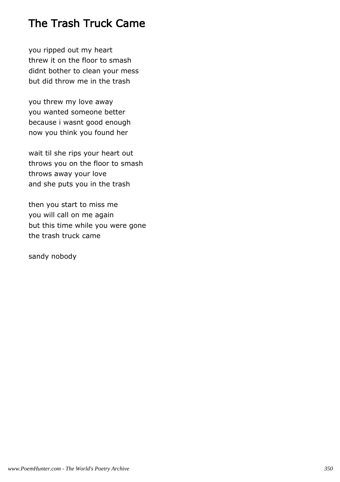## The Trash Truck Came

you ripped out my heart threw it on the floor to smash didnt bother to clean your mess but did throw me in the trash

you threw my love away you wanted someone better because i wasnt good enough now you think you found her

wait til she rips your heart out throws you on the floor to smash throws away your love and she puts you in the trash

then you start to miss me you will call on me again but this time while you were gone the trash truck came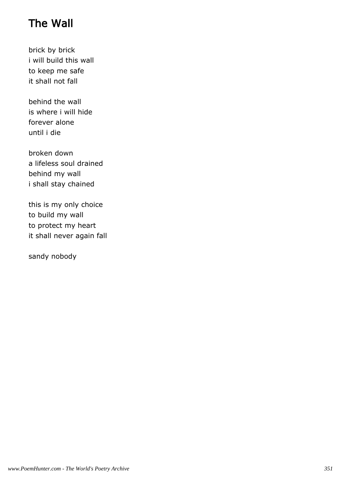# The Wall

brick by brick i will build this wall to keep me safe it shall not fall

behind the wall is where i will hide forever alone until i die

broken down a lifeless soul drained behind my wall i shall stay chained

this is my only choice to build my wall to protect my heart it shall never again fall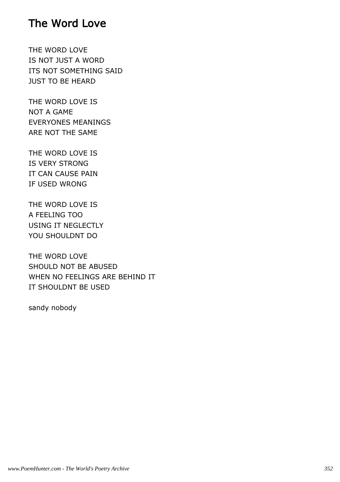#### The Word Love

THE WORD LOVE IS NOT JUST A WORD ITS NOT SOMETHING SAID JUST TO BE HEARD

THE WORD LOVE IS NOT A GAME EVERYONES MEANINGS ARE NOT THE SAME

THE WORD LOVE IS IS VERY STRONG IT CAN CAUSE PAIN IF USED WRONG

THE WORD LOVE IS A FEELING TOO USING IT NEGLECTLY YOU SHOULDNT DO

THE WORD LOVE SHOULD NOT BE ABUSED WHEN NO FEELINGS ARE BEHIND IT IT SHOULDNT BE USED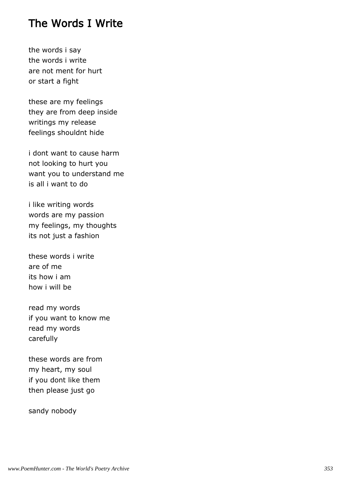#### The Words I Write

the words i say the words i write are not ment for hurt or start a fight

these are my feelings they are from deep inside writings my release feelings shouldnt hide

i dont want to cause harm not looking to hurt you want you to understand me is all i want to do

i like writing words words are my passion my feelings, my thoughts its not just a fashion

these words i write are of me its how i am how i will be

read my words if you want to know me read my words carefully

these words are from my heart, my soul if you dont like them then please just go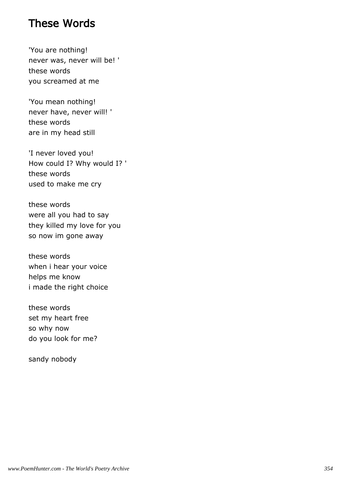#### These Words

'You are nothing! never was, never will be! ' these words you screamed at me

'You mean nothing! never have, never will! ' these words are in my head still

'I never loved you! How could I? Why would I? ' these words used to make me cry

these words were all you had to say they killed my love for you so now im gone away

these words when i hear your voice helps me know i made the right choice

these words set my heart free so why now do you look for me?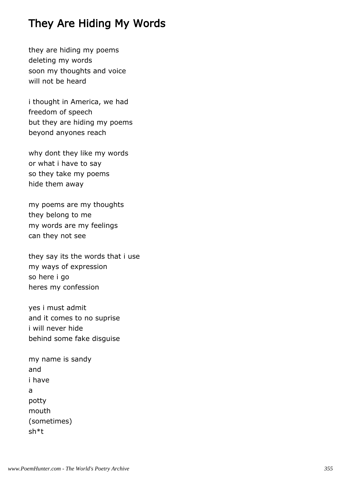## They Are Hiding My Words

they are hiding my poems deleting my words soon my thoughts and voice will not be heard

i thought in America, we had freedom of speech but they are hiding my poems beyond anyones reach

why dont they like my words or what i have to say so they take my poems hide them away

my poems are my thoughts they belong to me my words are my feelings can they not see

they say its the words that i use my ways of expression so here i go heres my confession

yes i must admit and it comes to no suprise i will never hide behind some fake disguise

my name is sandy and i have a potty mouth (sometimes) sh\*t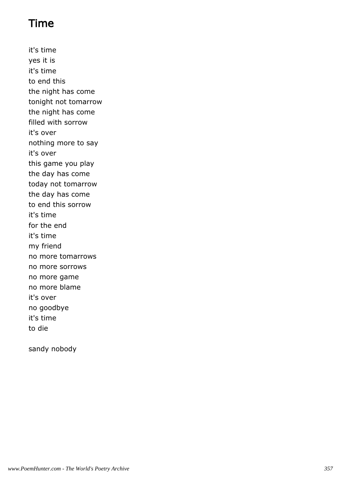## Time

it's time yes it is it's time to end this the night has come tonight not tomarrow the night has come filled with sorrow it's over nothing more to say it's over this game you play the day has come today not tomarrow the day has come to end this sorrow it's time for the end it's time my friend no more tomarrows no more sorrows no more game no more blame it's over no goodbye it's time to die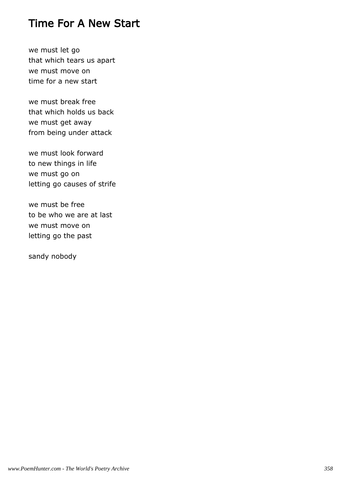#### Time For A New Start

we must let go that which tears us apart we must move on time for a new start

we must break free that which holds us back we must get away from being under attack

we must look forward to new things in life we must go on letting go causes of strife

we must be free to be who we are at last we must move on letting go the past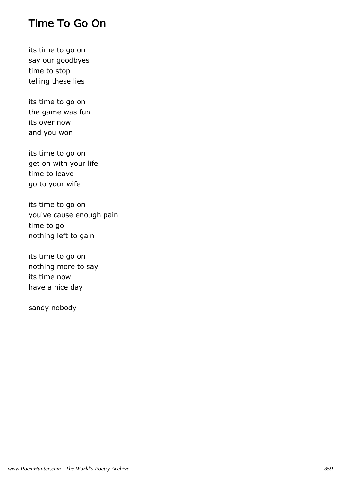#### Time To Go On

its time to go on say our goodbyes time to stop telling these lies

its time to go on the game was fun its over now and you won

its time to go on get on with your life time to leave go to your wife

its time to go on you've cause enough pain time to go nothing left to gain

its time to go on nothing more to say its time now have a nice day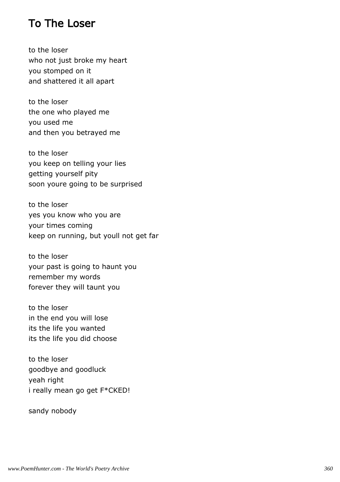## To The Loser

to the loser who not just broke my heart you stomped on it and shattered it all apart

to the loser the one who played me you used me and then you betrayed me

to the loser you keep on telling your lies getting yourself pity soon youre going to be surprised

to the loser yes you know who you are your times coming keep on running, but youll not get far

to the loser your past is going to haunt you remember my words forever they will taunt you

to the loser in the end you will lose its the life you wanted its the life you did choose

to the loser goodbye and goodluck yeah right i really mean go get F\*CKED!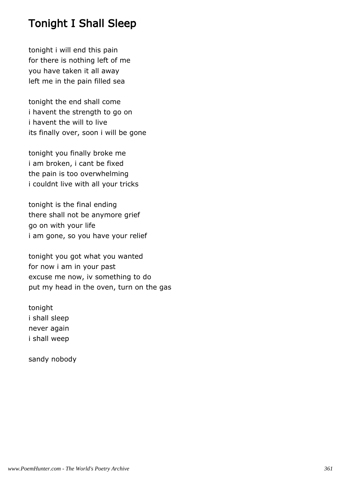# Tonight I Shall Sleep

tonight i will end this pain for there is nothing left of me you have taken it all away left me in the pain filled sea

tonight the end shall come i havent the strength to go on i havent the will to live its finally over, soon i will be gone

tonight you finally broke me i am broken, i cant be fixed the pain is too overwhelming i couldnt live with all your tricks

tonight is the final ending there shall not be anymore grief go on with your life i am gone, so you have your relief

tonight you got what you wanted for now i am in your past excuse me now, iv something to do put my head in the oven, turn on the gas

tonight i shall sleep never again i shall weep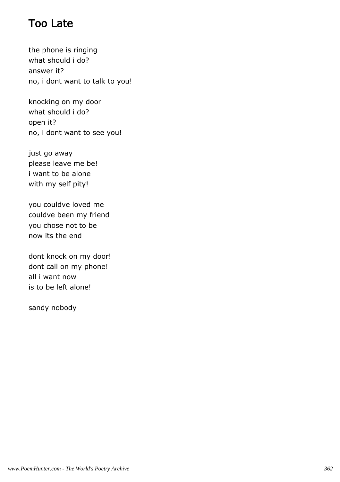# Too Late

the phone is ringing what should i do? answer it? no, i dont want to talk to you!

knocking on my door what should i do? open it? no, i dont want to see you!

just go away please leave me be! i want to be alone with my self pity!

you couldve loved me couldve been my friend you chose not to be now its the end

dont knock on my door! dont call on my phone! all i want now is to be left alone!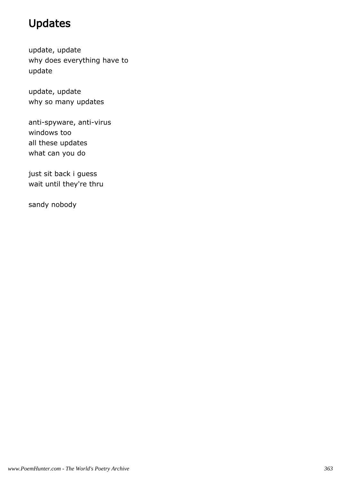# Updates

update, update why does everything have to update

update, update why so many updates

anti-spyware, anti-virus windows too all these updates what can you do

just sit back i guess wait until they're thru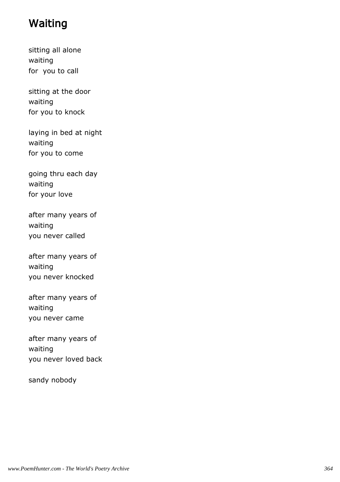# Waiting

sitting all alone waiting for you to call

sitting at the door waiting for you to knock

laying in bed at night waiting for you to come

going thru each day waiting for your love

after many years of waiting you never called

after many years of waiting you never knocked

after many years of waiting you never came

after many years of waiting you never loved back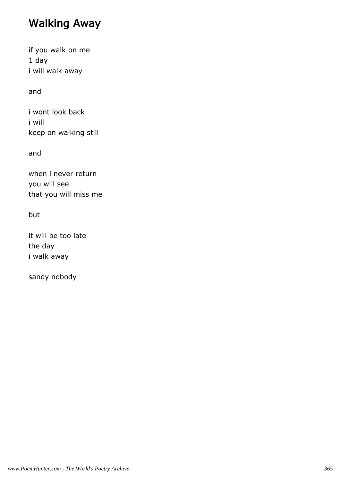# Walking Away

if you walk on me 1 day i will walk away

and

i wont look back i will keep on walking still

and

when i never return you will see that you will miss me

but

it will be too late the day i walk away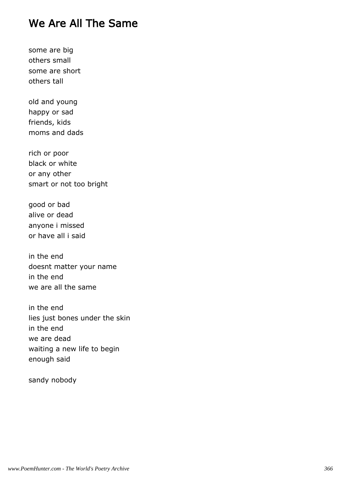## We Are All The Same

some are big others small some are short others tall

old and young happy or sad friends, kids moms and dads

rich or poor black or white or any other smart or not too bright

good or bad alive or dead anyone i missed or have all i said

in the end doesnt matter your name in the end we are all the same

in the end lies just bones under the skin in the end we are dead waiting a new life to begin enough said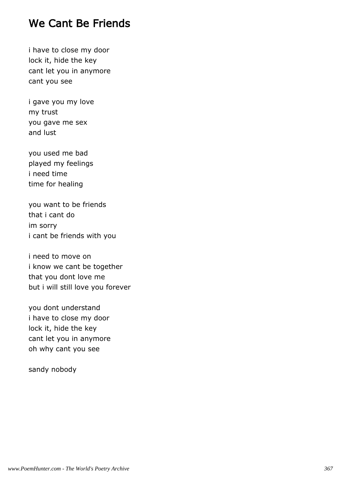## We Cant Be Friends

i have to close my door lock it, hide the key cant let you in anymore cant you see

i gave you my love my trust you gave me sex and lust

you used me bad played my feelings i need time time for healing

you want to be friends that i cant do im sorry i cant be friends with you

i need to move on i know we cant be together that you dont love me but i will still love you forever

you dont understand i have to close my door lock it, hide the key cant let you in anymore oh why cant you see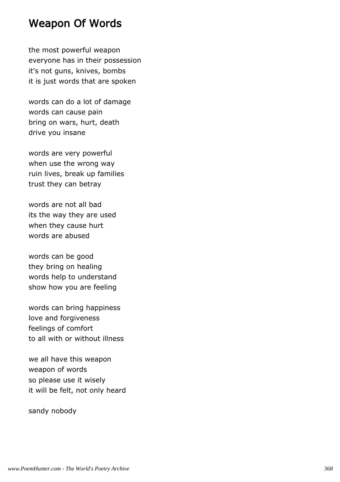#### Weapon Of Words

the most powerful weapon everyone has in their possession it's not guns, knives, bombs it is just words that are spoken

words can do a lot of damage words can cause pain bring on wars, hurt, death drive you insane

words are very powerful when use the wrong way ruin lives, break up families trust they can betray

words are not all bad its the way they are used when they cause hurt words are abused

words can be good they bring on healing words help to understand show how you are feeling

words can bring happiness love and forgiveness feelings of comfort to all with or without illness

we all have this weapon weapon of words so please use it wisely it will be felt, not only heard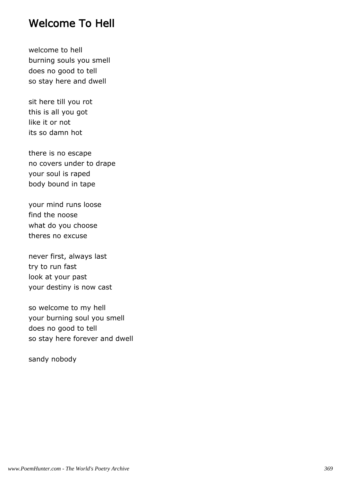#### Welcome To Hell

welcome to hell burning souls you smell does no good to tell so stay here and dwell

sit here till you rot this is all you got like it or not its so damn hot

there is no escape no covers under to drape your soul is raped body bound in tape

your mind runs loose find the noose what do you choose theres no excuse

never first, always last try to run fast look at your past your destiny is now cast

so welcome to my hell your burning soul you smell does no good to tell so stay here forever and dwell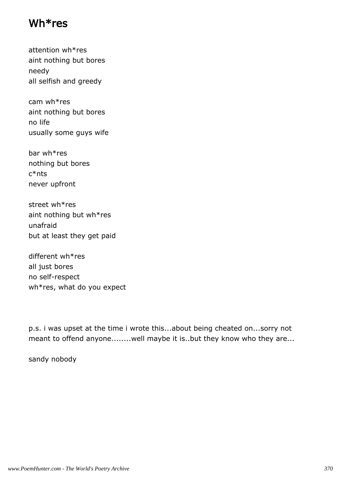#### Wh\*res

attention wh\*res aint nothing but bores needy all selfish and greedy

cam wh\*res aint nothing but bores no life usually some guys wife

bar wh\*res nothing but bores c\*nts never upfront

street wh\*res aint nothing but wh\*res unafraid but at least they get paid

different wh\*res all just bores no self-respect wh\*res, what do you expect

p.s. i was upset at the time i wrote this...about being cheated on...sorry not meant to offend anyone........well maybe it is..but they know who they are...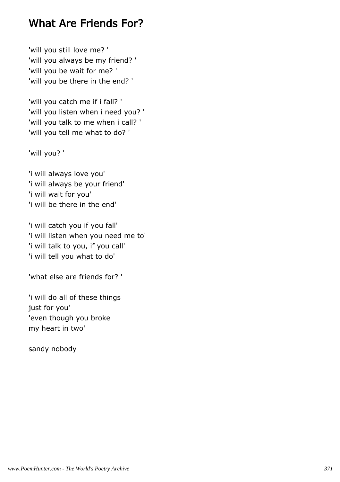## What Are Friends For?

'will you still love me? ' 'will you always be my friend? ' 'will you be wait for me? ' 'will you be there in the end? '

'will you catch me if i fall? ' 'will you listen when i need you? ' 'will you talk to me when i call? ' 'will you tell me what to do? '

'will you? '

'i will always love you' 'i will always be your friend' 'i will wait for you' 'i will be there in the end'

'i will catch you if you fall' 'i will listen when you need me to' 'i will talk to you, if you call' 'i will tell you what to do'

'what else are friends for? '

'i will do all of these things just for you' 'even though you broke my heart in two'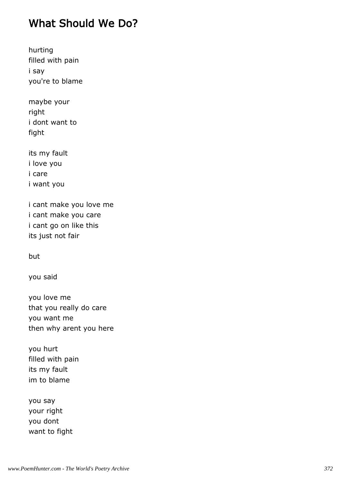# What Should We Do?

hurting filled with pain i say you're to blame

maybe your right i dont want to fight

its my fault i love you i care i want you

i cant make you love me i cant make you care i cant go on like this its just not fair

but

you said

you love me that you really do care you want me then why arent you here

you hurt filled with pain its my fault im to blame

you say your right you dont want to fight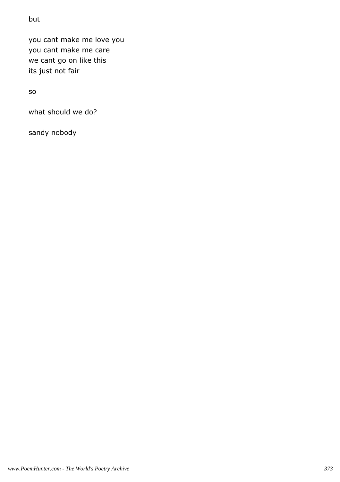#### but

you cant make me love you you cant make me care we cant go on like this its just not fair

so

what should we do?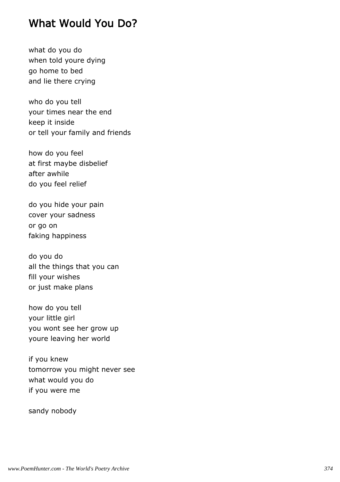#### What Would You Do?

what do you do when told youre dying go home to bed and lie there crying

who do you tell your times near the end keep it inside or tell your family and friends

how do you feel at first maybe disbelief after awhile do you feel relief

do you hide your pain cover your sadness or go on faking happiness

do you do all the things that you can fill your wishes or just make plans

how do you tell your little girl you wont see her grow up youre leaving her world

if you knew tomorrow you might never see what would you do if you were me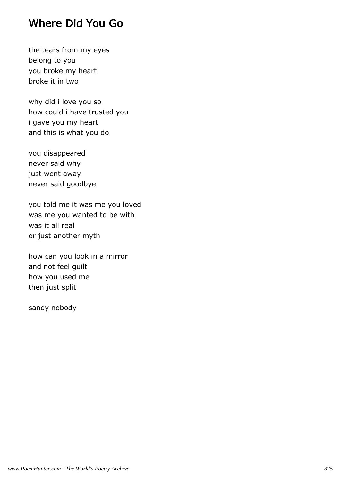### Where Did You Go

the tears from my eyes belong to you you broke my heart broke it in two

why did i love you so how could i have trusted you i gave you my heart and this is what you do

you disappeared never said why just went away never said goodbye

you told me it was me you loved was me you wanted to be with was it all real or just another myth

how can you look in a mirror and not feel guilt how you used me then just split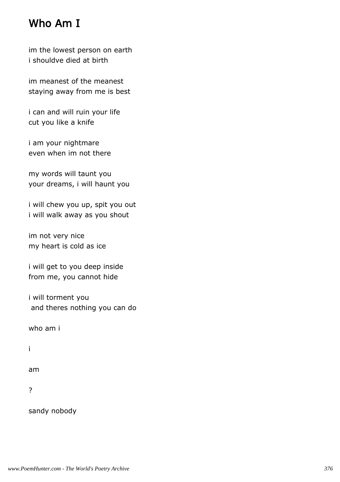# Who Am I

im the lowest person on earth i shouldve died at birth

im meanest of the meanest staying away from me is best

i can and will ruin your life cut you like a knife

i am your nightmare even when im not there

my words will taunt you your dreams, i will haunt you

i will chew you up, spit you out i will walk away as you shout

im not very nice my heart is cold as ice

i will get to you deep inside from me, you cannot hide

i will torment you and theres nothing you can do

who am i

i

am

?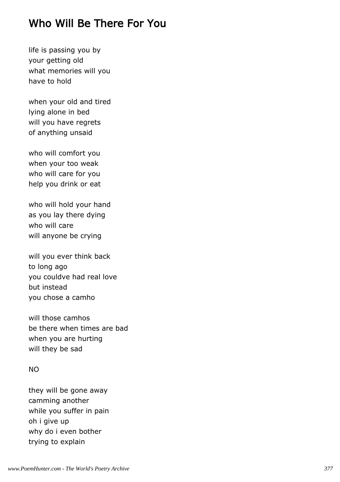## Who Will Be There For You

life is passing you by your getting old what memories will you have to hold

when your old and tired lying alone in bed will you have regrets of anything unsaid

who will comfort you when your too weak who will care for you help you drink or eat

who will hold your hand as you lay there dying who will care will anyone be crying

will you ever think back to long ago you couldve had real love but instead you chose a camho

will those camhos be there when times are bad when you are hurting will they be sad

#### NO

they will be gone away camming another while you suffer in pain oh i give up why do i even bother trying to explain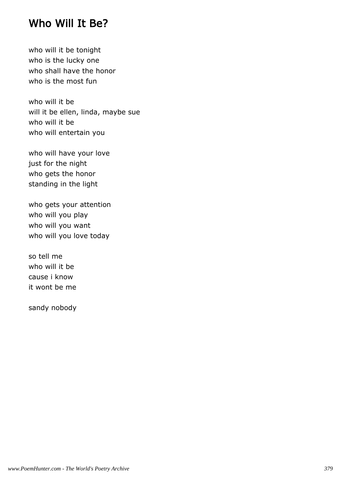#### Who Will It Be?

who will it be tonight who is the lucky one who shall have the honor who is the most fun

who will it be will it be ellen, linda, maybe sue who will it be who will entertain you

who will have your love just for the night who gets the honor standing in the light

who gets your attention who will you play who will you want who will you love today

so tell me who will it be cause i know it wont be me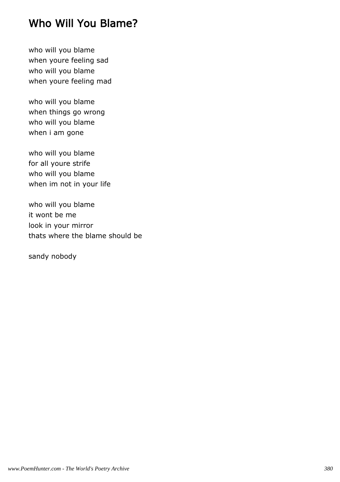# Who Will You Blame?

who will you blame when youre feeling sad who will you blame when youre feeling mad

who will you blame when things go wrong who will you blame when i am gone

who will you blame for all youre strife who will you blame when im not in your life

who will you blame it wont be me look in your mirror thats where the blame should be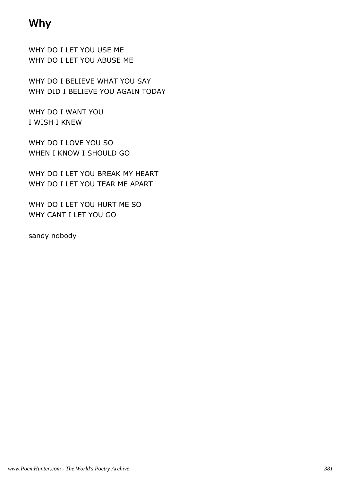# Why

WHY DO I LET YOU USE ME WHY DO I LET YOU ABUSE ME

WHY DO I BELIEVE WHAT YOU SAY WHY DID I BELIEVE YOU AGAIN TODAY

WHY DO I WANT YOU I WISH I KNEW

WHY DO I LOVE YOU SO WHEN I KNOW I SHOULD GO

WHY DO I LET YOU BREAK MY HEART WHY DO I LET YOU TEAR ME APART

WHY DO I LET YOU HURT ME SO WHY CANT I LET YOU GO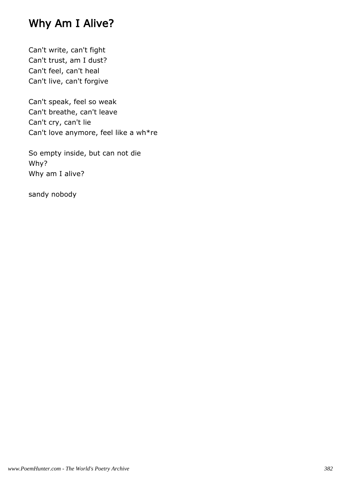## Why Am I Alive?

Can't write, can't fight Can't trust, am I dust? Can't feel, can't heal Can't live, can't forgive

Can't speak, feel so weak Can't breathe, can't leave Can't cry, can't lie Can't love anymore, feel like a wh\*re

So empty inside, but can not die Why? Why am I alive?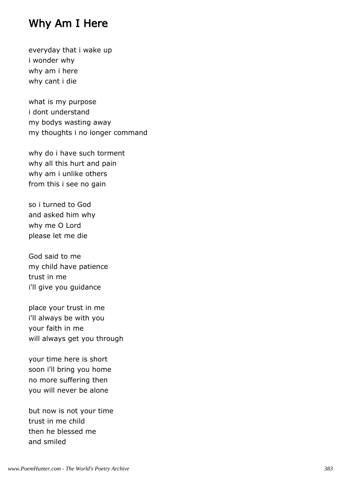#### Why Am I Here

everyday that i wake up i wonder why why am i here why cant i die

what is my purpose i dont understand my bodys wasting away my thoughts i no longer command

why do i have such torment why all this hurt and pain why am i unlike others from this i see no gain

so i turned to God and asked him why why me O Lord please let me die

God said to me my child have patience trust in me i'll give you guidance

place your trust in me i'll always be with you your faith in me will always get you through

your time here is short soon i'll bring you home no more suffering then you will never be alone

but now is not your time trust in me child then he blessed me and smiled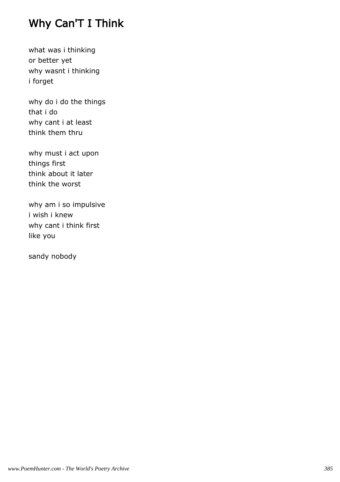# Why Can'T I Think

what was i thinking or better yet why wasnt i thinking i forget

why do i do the things that i do why cant i at least think them thru

why must i act upon things first think about it later think the worst

why am i so impulsive i wish i knew why cant i think first like you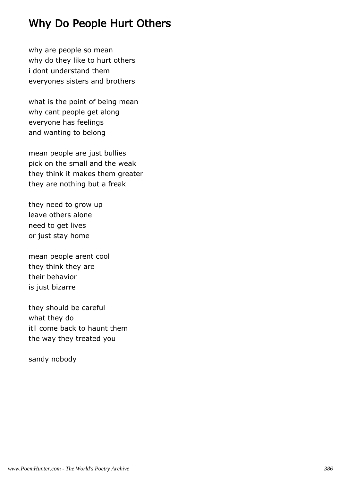# Why Do People Hurt Others

why are people so mean why do they like to hurt others i dont understand them everyones sisters and brothers

what is the point of being mean why cant people get along everyone has feelings and wanting to belong

mean people are just bullies pick on the small and the weak they think it makes them greater they are nothing but a freak

they need to grow up leave others alone need to get lives or just stay home

mean people arent cool they think they are their behavior is just bizarre

they should be careful what they do itll come back to haunt them the way they treated you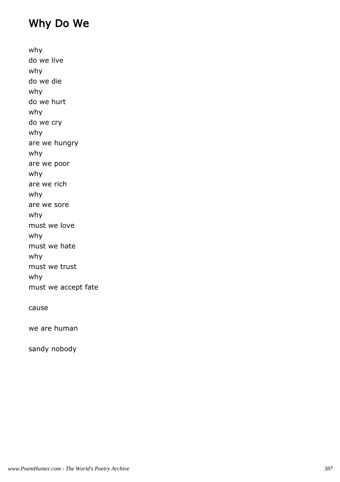# Why Do We

why do we live why do we die why do we hurt why do we cry why are we hungry why are we poor why are we rich why are we sore why must we love why must we hate why must we trust why must we accept fate cause

we are human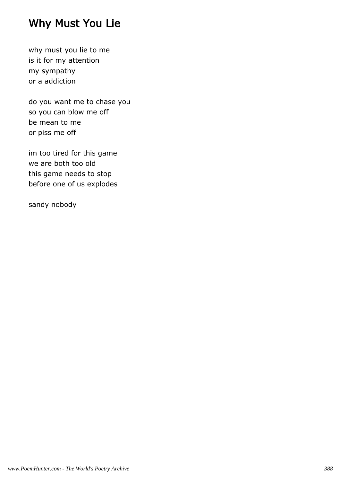# Why Must You Lie

why must you lie to me is it for my attention my sympathy or a addiction

do you want me to chase you so you can blow me off be mean to me or piss me off

im too tired for this game we are both too old this game needs to stop before one of us explodes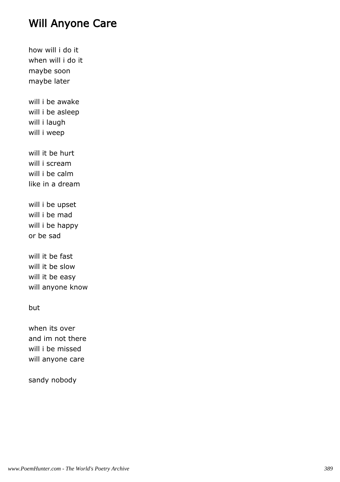### Will Anyone Care

how will i do it when will i do it maybe soon maybe later will i be awake will i be asleep will i laugh will i weep will it be hurt will i scream will i be calm like in a dream will i be upset will i be mad will i be happy or be sad will it be fast will it be slow will it be easy will anyone know but when its over

and im not there will i be missed will anyone care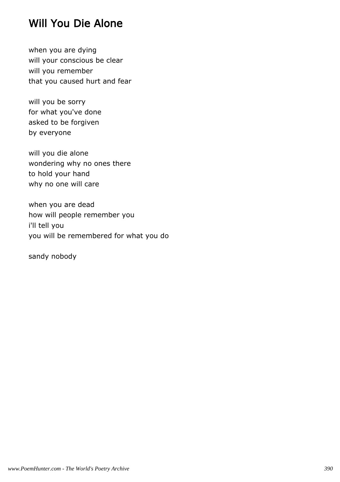# Will You Die Alone

when you are dying will your conscious be clear will you remember that you caused hurt and fear

will you be sorry for what you've done asked to be forgiven by everyone

will you die alone wondering why no ones there to hold your hand why no one will care

when you are dead how will people remember you i'll tell you you will be remembered for what you do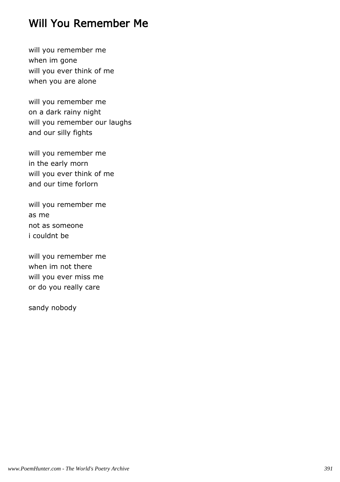## Will You Remember Me

will you remember me when im gone will you ever think of me when you are alone

will you remember me on a dark rainy night will you remember our laughs and our silly fights

will you remember me in the early morn will you ever think of me and our time forlorn

will you remember me as me not as someone i couldnt be

will you remember me when im not there will you ever miss me or do you really care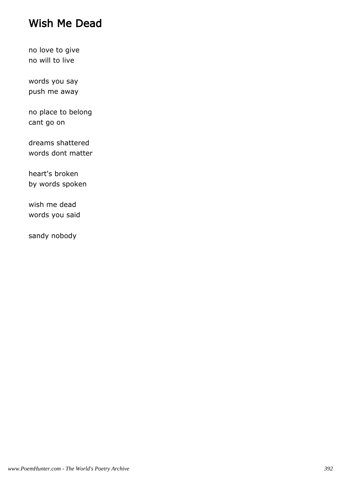# Wish Me Dead

no love to give no will to live

words you say push me away

no place to belong cant go on

dreams shattered words dont matter

heart's broken by words spoken

wish me dead words you said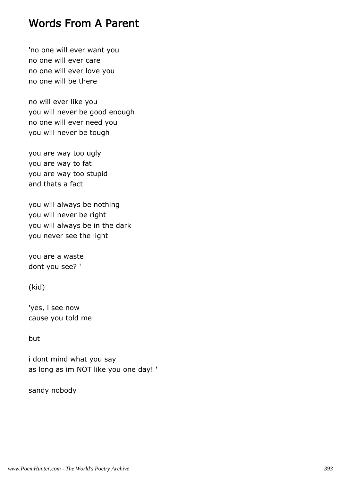#### Words From A Parent

'no one will ever want you no one will ever care no one will ever love you no one will be there

no will ever like you you will never be good enough no one will ever need you you will never be tough

you are way too ugly you are way to fat you are way too stupid and thats a fact

you will always be nothing you will never be right you will always be in the dark you never see the light

you are a waste dont you see? '

(kid)

'yes, i see now cause you told me

but

i dont mind what you say as long as im NOT like you one day! '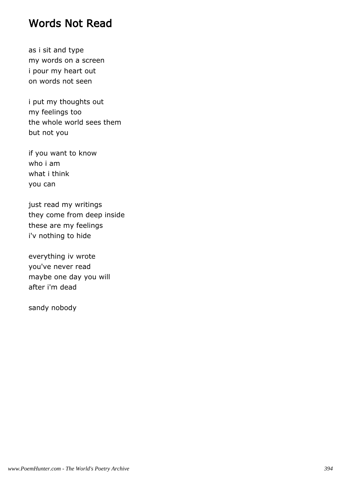### Words Not Read

as i sit and type my words on a screen i pour my heart out on words not seen

i put my thoughts out my feelings too the whole world sees them but not you

if you want to know who i am what i think you can

just read my writings they come from deep inside these are my feelings i'v nothing to hide

everything iv wrote you've never read maybe one day you will after i'm dead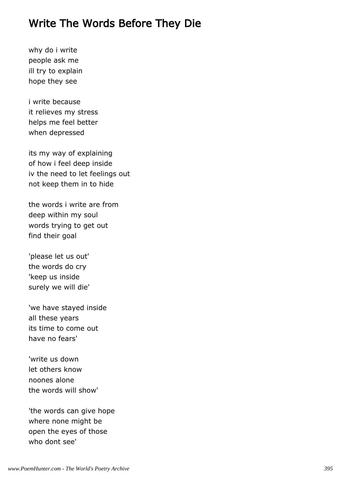## Write The Words Before They Die

why do i write people ask me ill try to explain hope they see

i write because it relieves my stress helps me feel better when depressed

its my way of explaining of how i feel deep inside iv the need to let feelings out not keep them in to hide

the words i write are from deep within my soul words trying to get out find their goal

'please let us out' the words do cry 'keep us inside surely we will die'

'we have stayed inside all these years its time to come out have no fears'

'write us down let others know noones alone the words will show'

'the words can give hope where none might be open the eyes of those who dont see'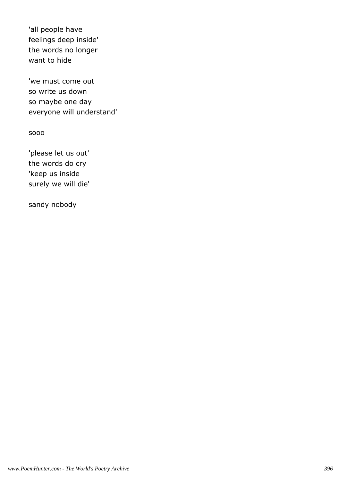'all people have feelings deep inside' the words no longer want to hide

'we must come out so write us down so maybe one day everyone will understand'

sooo

'please let us out' the words do cry 'keep us inside surely we will die'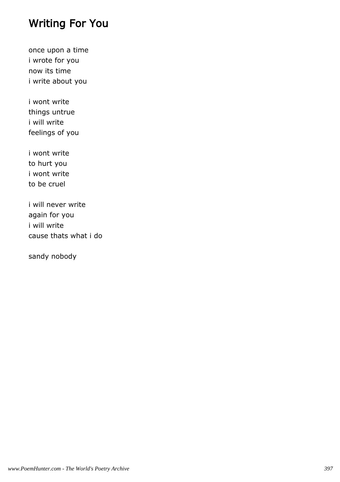## Writing For You

once upon a time i wrote for you now its time i write about you

i wont write things untrue i will write feelings of you

i wont write to hurt you i wont write to be cruel

i will never write again for you i will write cause thats what i do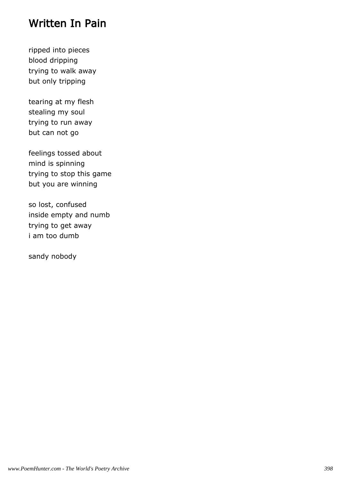### Written In Pain

ripped into pieces blood dripping trying to walk away but only tripping

tearing at my flesh stealing my soul trying to run away but can not go

feelings tossed about mind is spinning trying to stop this game but you are winning

so lost, confused inside empty and numb trying to get away i am too dumb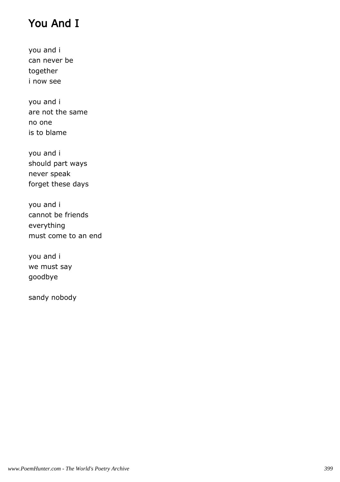# You And I

you and i can never be together i now see

you and i are not the same no one is to blame

you and i should part ways never speak forget these days

you and i cannot be friends everything must come to an end

you and i we must say goodbye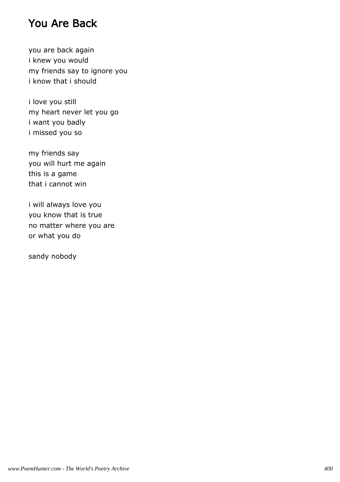## You Are Back

you are back again i knew you would my friends say to ignore you i know that i should

i love you still my heart never let you go i want you badly i missed you so

my friends say you will hurt me again this is a game that i cannot win

i will always love you you know that is true no matter where you are or what you do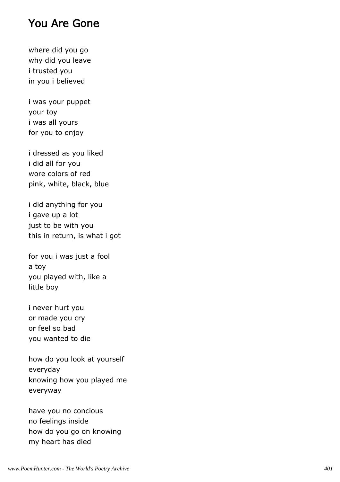#### You Are Gone

where did you go why did you leave i trusted you in you i believed

i was your puppet your toy i was all yours for you to enjoy

i dressed as you liked i did all for you wore colors of red pink, white, black, blue

i did anything for you i gave up a lot just to be with you this in return, is what i got

for you i was just a fool a toy you played with, like a little boy

i never hurt you or made you cry or feel so bad you wanted to die

how do you look at yourself everyday knowing how you played me everyway

have you no concious no feelings inside how do you go on knowing my heart has died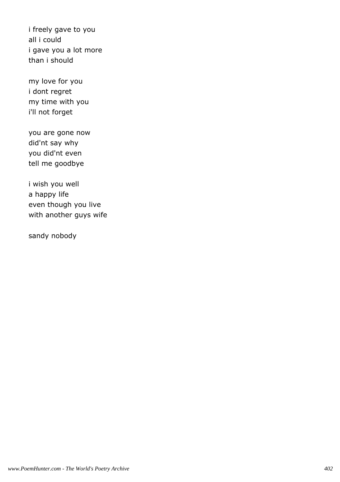i freely gave to you all i could i gave you a lot more than i should

my love for you i dont regret my time with you i'll not forget

you are gone now did'nt say why you did'nt even tell me goodbye

i wish you well a happy life even though you live with another guys wife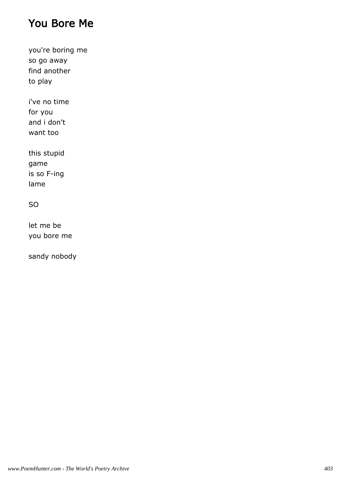## You Bore Me

you're boring me so go away find another to play

i've no time for you and i don't want too

this stupid game is so F-ing lame

#### SO

let me be you bore me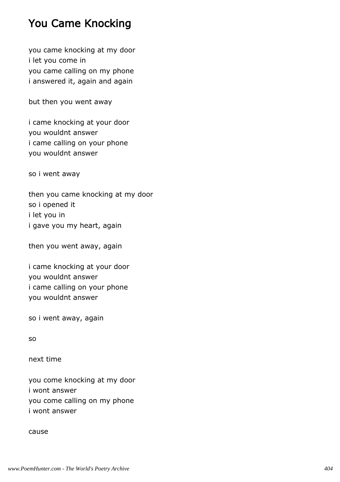## You Came Knocking

you came knocking at my door i let you come in you came calling on my phone i answered it, again and again

but then you went away

i came knocking at your door you wouldnt answer i came calling on your phone you wouldnt answer

so i went away

then you came knocking at my door so i opened it i let you in i gave you my heart, again

then you went away, again

i came knocking at your door you wouldnt answer i came calling on your phone you wouldnt answer

so i went away, again

so

next time

you come knocking at my door i wont answer you come calling on my phone i wont answer

cause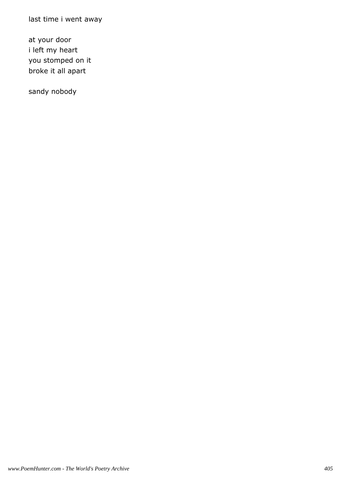last time i went away

at your door i left my heart you stomped on it broke it all apart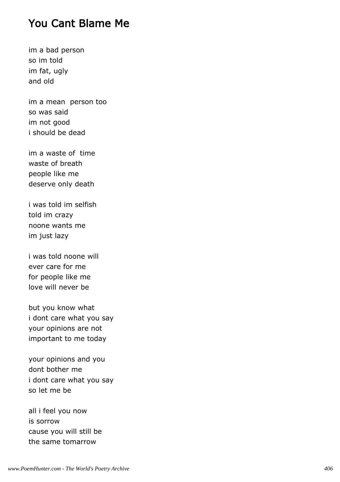#### You Cant Blame Me

im a bad person so im told im fat, ugly and old

im a mean person too so was said im not good i should be dead

im a waste of time waste of breath people like me deserve only death

i was told im selfish told im crazy noone wants me im just lazy

i was told noone will ever care for me for people like me love will never be

but you know what i dont care what you say your opinions are not important to me today

your opinions and you dont bother me i dont care what you say so let me be

all i feel you now is sorrow cause you will still be the same tomarrow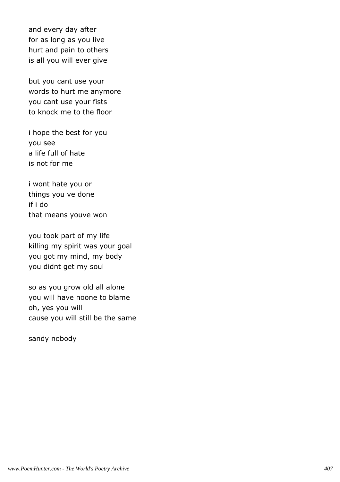and every day after for as long as you live hurt and pain to others is all you will ever give

but you cant use your words to hurt me anymore you cant use your fists to knock me to the floor

i hope the best for you you see a life full of hate is not for me

i wont hate you or things you ve done if i do that means youve won

you took part of my life killing my spirit was your goal you got my mind, my body you didnt get my soul

so as you grow old all alone you will have noone to blame oh, yes you will cause you will still be the same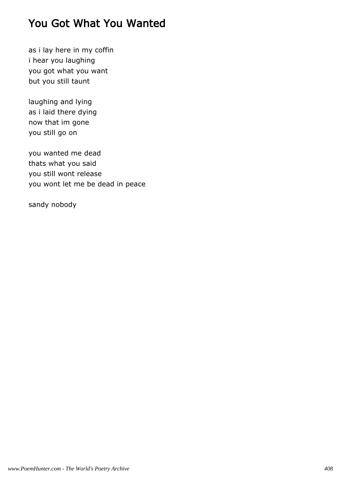## You Got What You Wanted

as i lay here in my coffin i hear you laughing you got what you want but you still taunt

laughing and lying as i laid there dying now that im gone you still go on

you wanted me dead thats what you said you still wont release you wont let me be dead in peace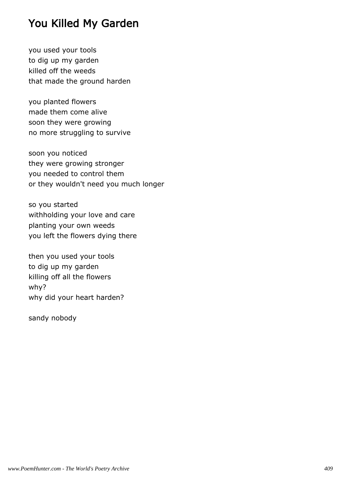## You Killed My Garden

you used your tools to dig up my garden killed off the weeds that made the ground harden

you planted flowers made them come alive soon they were growing no more struggling to survive

soon you noticed they were growing stronger you needed to control them or they wouldn't need you much longer

so you started withholding your love and care planting your own weeds you left the flowers dying there

then you used your tools to dig up my garden killing off all the flowers why? why did your heart harden?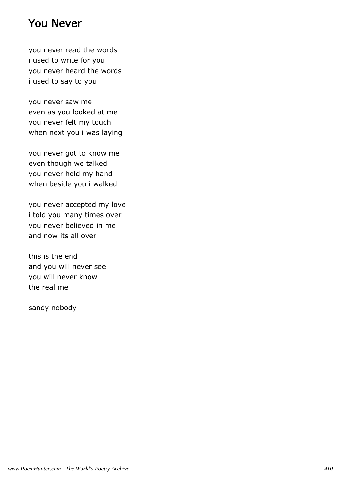## You Never

you never read the words i used to write for you you never heard the words i used to say to you

you never saw me even as you looked at me you never felt my touch when next you i was laying

you never got to know me even though we talked you never held my hand when beside you i walked

you never accepted my love i told you many times over you never believed in me and now its all over

this is the end and you will never see you will never know the real me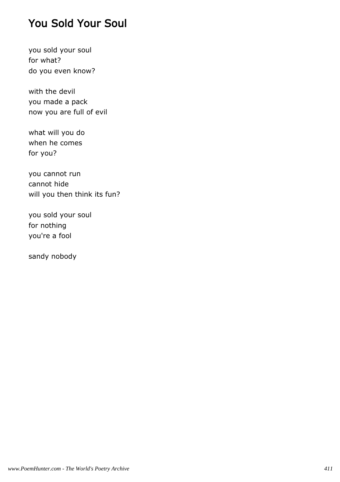## You Sold Your Soul

you sold your soul for what? do you even know?

with the devil you made a pack now you are full of evil

what will you do when he comes for you?

you cannot run cannot hide will you then think its fun?

you sold your soul for nothing you're a fool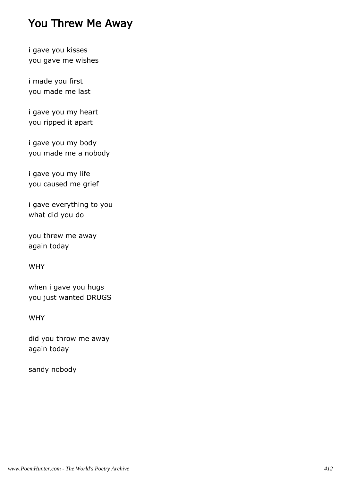## You Threw Me Away

i gave you kisses you gave me wishes

i made you first you made me last

i gave you my heart you ripped it apart

i gave you my body you made me a nobody

i gave you my life you caused me grief

i gave everything to you what did you do

you threw me away again today

WHY

when i gave you hugs you just wanted DRUGS

WHY

did you throw me away again today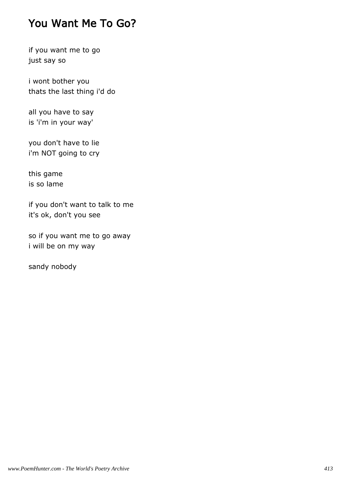## You Want Me To Go?

if you want me to go just say so

i wont bother you thats the last thing i'd do

all you have to say is 'i'm in your way'

you don't have to lie i'm NOT going to cry

this game is so lame

if you don't want to talk to me it's ok, don't you see

so if you want me to go away i will be on my way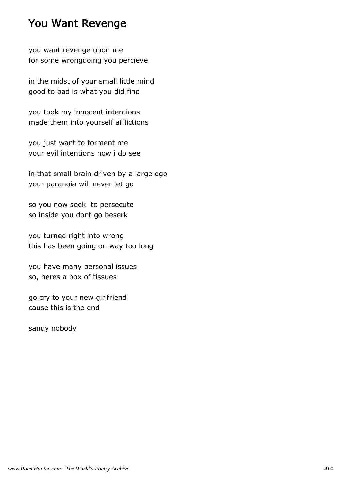## You Want Revenge

you want revenge upon me for some wrongdoing you percieve

in the midst of your small little mind good to bad is what you did find

you took my innocent intentions made them into yourself afflictions

you just want to torment me your evil intentions now i do see

in that small brain driven by a large ego your paranoia will never let go

so you now seek to persecute so inside you dont go beserk

you turned right into wrong this has been going on way too long

you have many personal issues so, heres a box of tissues

go cry to your new girlfriend cause this is the end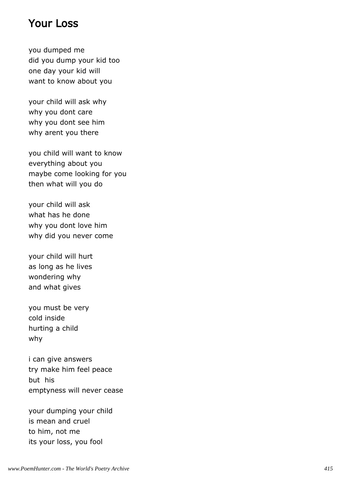#### Your Loss

you dumped me did you dump your kid too one day your kid will want to know about you

your child will ask why why you dont care why you dont see him why arent you there

you child will want to know everything about you maybe come looking for you then what will you do

your child will ask what has he done why you dont love him why did you never come

your child will hurt as long as he lives wondering why and what gives

you must be very cold inside hurting a child why

i can give answers try make him feel peace but his emptyness will never cease

your dumping your child is mean and cruel to him, not me its your loss, you fool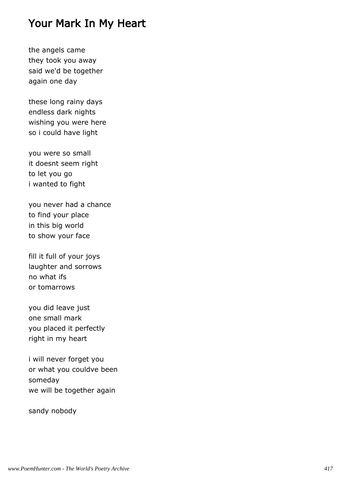### Your Mark In My Heart

the angels came they took you away said we'd be together again one day

these long rainy days endless dark nights wishing you were here so i could have light

you were so small it doesnt seem right to let you go i wanted to fight

you never had a chance to find your place in this big world to show your face

fill it full of your joys laughter and sorrows no what ifs or tomarrows

you did leave just one small mark you placed it perfectly right in my heart

i will never forget you or what you couldve been someday we will be together again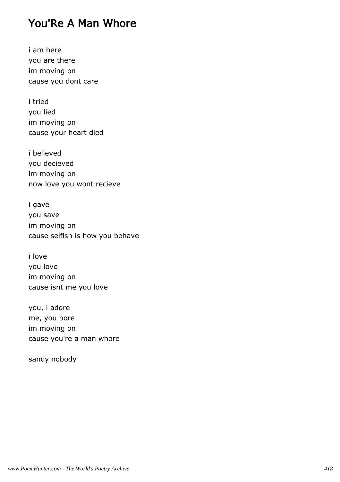## You'Re A Man Whore

i am here you are there im moving on cause you dont care

i tried you lied im moving on cause your heart died

i believed you decieved im moving on now love you wont recieve

i gave you save im moving on cause selfish is how you behave

i love you love im moving on cause isnt me you love

you, i adore me, you bore im moving on cause you're a man whore